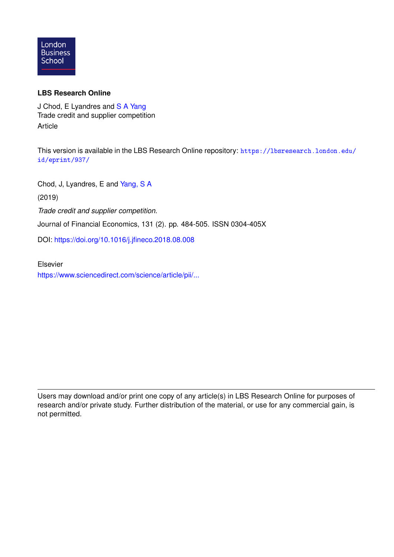

# **LBS Research Online**

J Chod, E Lyandres and [S A Yang](https://lbsresearch.london.edu/view/lbs_authors/1412817.html) Trade credit and supplier competition Article

This version is available in the LBS Research Online repository: [https://lbsresearch.london.edu/](https://lbsresearch.london.edu/id/eprint/937/) [id/eprint/937/](https://lbsresearch.london.edu/id/eprint/937/)

Chod, J, Lyandres, E and [Yang, S A](https://lbsresearch.london.edu/view/lbs_authors/1412817.html)

(2019)

*Trade credit and supplier competition.*

Journal of Financial Economics, 131 (2). pp. 484-505. ISSN 0304-405X

DOI: <https://doi.org/10.1016/j.jfineco.2018.08.008>

Elsevier [https://www.sciencedirect.com/science/article/pii/...](https://www.sciencedirect.com/science/article/pii/S0304405X18302290)

Users may download and/or print one copy of any article(s) in LBS Research Online for purposes of research and/or private study. Further distribution of the material, or use for any commercial gain, is not permitted.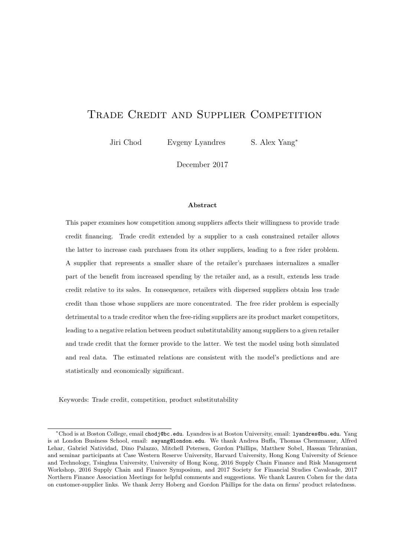# Trade Credit and Supplier Competition

Jiri Chod Evgeny Lyandres S. Alex Yang<sup>∗</sup>

December 2017

#### Abstract

This paper examines how competition among suppliers affects their willingness to provide trade credit financing. Trade credit extended by a supplier to a cash constrained retailer allows the latter to increase cash purchases from its other suppliers, leading to a free rider problem. A supplier that represents a smaller share of the retailer's purchases internalizes a smaller part of the benefit from increased spending by the retailer and, as a result, extends less trade credit relative to its sales. In consequence, retailers with dispersed suppliers obtain less trade credit than those whose suppliers are more concentrated. The free rider problem is especially detrimental to a trade creditor when the free-riding suppliers are its product market competitors, leading to a negative relation between product substitutability among suppliers to a given retailer and trade credit that the former provide to the latter. We test the model using both simulated and real data. The estimated relations are consistent with the model's predictions and are statistically and economically significant.

Keywords: Trade credit, competition, product substitutability

<sup>∗</sup>Chod is at Boston College, email chodj@bc.edu. Lyandres is at Boston University, email: lyandres@bu.edu. Yang is at London Business School, email: sayang@london.edu. We thank Andrea Buffa, Thomas Chemmanur, Alfred Lehar, Gabriel Natividad, Dino Palazzo, Mitchell Petersen, Gordon Phillips, Matthew Sobel, Hassan Tehranian, and seminar participants at Case Western Reserve University, Harvard University, Hong Kong University of Science and Technology, Tsinghua University, University of Hong Kong, 2016 Supply Chain Finance and Risk Management Workshop, 2016 Supply Chain and Finance Symposium, and 2017 Society for Financial Studies Cavalcade, 2017 Northern Finance Association Meetings for helpful comments and suggestions. We thank Lauren Cohen for the data on customer-supplier links. We thank Jerry Hoberg and Gordon Phillips for the data on firms' product relatedness.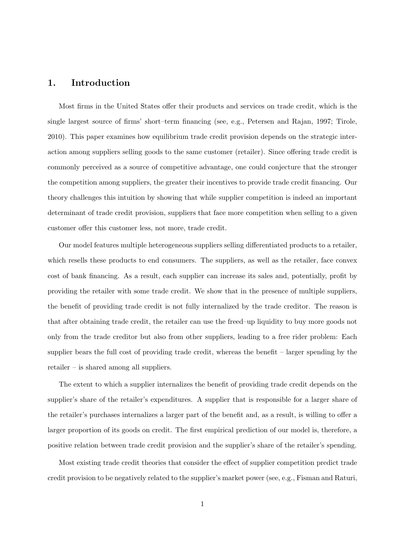# 1. Introduction

Most firms in the United States offer their products and services on trade credit, which is the single largest source of firms' short–term financing (see, e.g., Petersen and Rajan, 1997; Tirole, 2010). This paper examines how equilibrium trade credit provision depends on the strategic interaction among suppliers selling goods to the same customer (retailer). Since offering trade credit is commonly perceived as a source of competitive advantage, one could conjecture that the stronger the competition among suppliers, the greater their incentives to provide trade credit financing. Our theory challenges this intuition by showing that while supplier competition is indeed an important determinant of trade credit provision, suppliers that face more competition when selling to a given customer offer this customer less, not more, trade credit.

Our model features multiple heterogeneous suppliers selling differentiated products to a retailer, which resells these products to end consumers. The suppliers, as well as the retailer, face convex cost of bank financing. As a result, each supplier can increase its sales and, potentially, profit by providing the retailer with some trade credit. We show that in the presence of multiple suppliers, the benefit of providing trade credit is not fully internalized by the trade creditor. The reason is that after obtaining trade credit, the retailer can use the freed–up liquidity to buy more goods not only from the trade creditor but also from other suppliers, leading to a free rider problem: Each supplier bears the full cost of providing trade credit, whereas the benefit – larger spending by the retailer – is shared among all suppliers.

The extent to which a supplier internalizes the benefit of providing trade credit depends on the supplier's share of the retailer's expenditures. A supplier that is responsible for a larger share of the retailer's purchases internalizes a larger part of the benefit and, as a result, is willing to offer a larger proportion of its goods on credit. The first empirical prediction of our model is, therefore, a positive relation between trade credit provision and the supplier's share of the retailer's spending.

Most existing trade credit theories that consider the effect of supplier competition predict trade credit provision to be negatively related to the supplier's market power (see, e.g., Fisman and Raturi,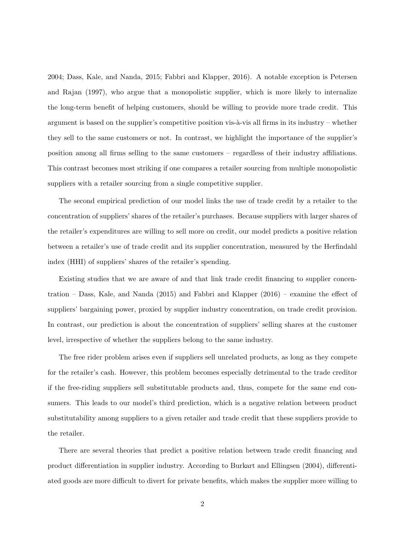2004; Dass, Kale, and Nanda, 2015; Fabbri and Klapper, 2016). A notable exception is Petersen and Rajan (1997), who argue that a monopolistic supplier, which is more likely to internalize the long-term benefit of helping customers, should be willing to provide more trade credit. This argument is based on the supplier's competitive position vis- $\lambda$ -vis all firms in its industry – whether they sell to the same customers or not. In contrast, we highlight the importance of the supplier's position among all firms selling to the same customers – regardless of their industry affiliations. This contrast becomes most striking if one compares a retailer sourcing from multiple monopolistic suppliers with a retailer sourcing from a single competitive supplier.

The second empirical prediction of our model links the use of trade credit by a retailer to the concentration of suppliers' shares of the retailer's purchases. Because suppliers with larger shares of the retailer's expenditures are willing to sell more on credit, our model predicts a positive relation between a retailer's use of trade credit and its supplier concentration, measured by the Herfindahl index (HHI) of suppliers' shares of the retailer's spending.

Existing studies that we are aware of and that link trade credit financing to supplier concentration – Dass, Kale, and Nanda (2015) and Fabbri and Klapper (2016) – examine the effect of suppliers' bargaining power, proxied by supplier industry concentration, on trade credit provision. In contrast, our prediction is about the concentration of suppliers' selling shares at the customer level, irrespective of whether the suppliers belong to the same industry.

The free rider problem arises even if suppliers sell unrelated products, as long as they compete for the retailer's cash. However, this problem becomes especially detrimental to the trade creditor if the free-riding suppliers sell substitutable products and, thus, compete for the same end consumers. This leads to our model's third prediction, which is a negative relation between product substitutability among suppliers to a given retailer and trade credit that these suppliers provide to the retailer.

There are several theories that predict a positive relation between trade credit financing and product differentiation in supplier industry. According to Burkart and Ellingsen (2004), differentiated goods are more difficult to divert for private benefits, which makes the supplier more willing to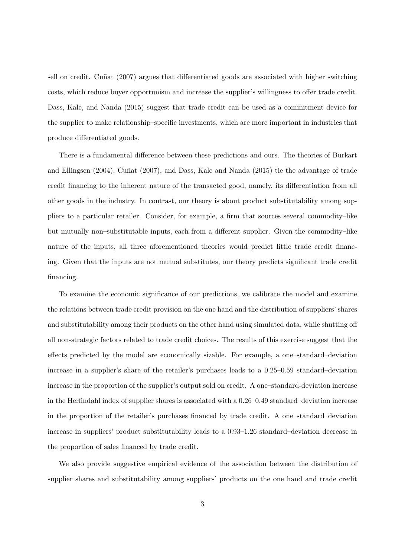sell on credit. Cuñat (2007) argues that differentiated goods are associated with higher switching costs, which reduce buyer opportunism and increase the supplier's willingness to offer trade credit. Dass, Kale, and Nanda (2015) suggest that trade credit can be used as a commitment device for the supplier to make relationship–specific investments, which are more important in industries that produce differentiated goods.

There is a fundamental difference between these predictions and ours. The theories of Burkart and Ellingsen (2004), Cuñat (2007), and Dass, Kale and Nanda (2015) tie the advantage of trade credit financing to the inherent nature of the transacted good, namely, its differentiation from all other goods in the industry. In contrast, our theory is about product substitutability among suppliers to a particular retailer. Consider, for example, a firm that sources several commodity–like but mutually non–substitutable inputs, each from a different supplier. Given the commodity–like nature of the inputs, all three aforementioned theories would predict little trade credit financing. Given that the inputs are not mutual substitutes, our theory predicts significant trade credit financing.

To examine the economic significance of our predictions, we calibrate the model and examine the relations between trade credit provision on the one hand and the distribution of suppliers' shares and substitutability among their products on the other hand using simulated data, while shutting off all non-strategic factors related to trade credit choices. The results of this exercise suggest that the effects predicted by the model are economically sizable. For example, a one–standard–deviation increase in a supplier's share of the retailer's purchases leads to a 0.25–0.59 standard–deviation increase in the proportion of the supplier's output sold on credit. A one–standard-deviation increase in the Herfindahl index of supplier shares is associated with a 0.26–0.49 standard–deviation increase in the proportion of the retailer's purchases financed by trade credit. A one–standard–deviation increase in suppliers' product substitutability leads to a 0.93–1.26 standard–deviation decrease in the proportion of sales financed by trade credit.

We also provide suggestive empirical evidence of the association between the distribution of supplier shares and substitutability among suppliers' products on the one hand and trade credit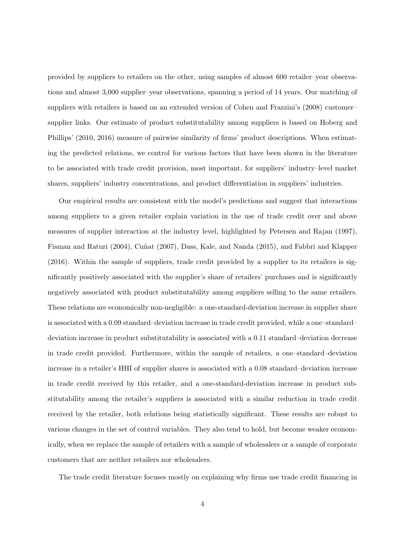provided by suppliers to retailers on the other, using samples of almost 600 retailer–year observations and almost 3,000 supplier–year observations, spanning a period of 14 years. Our matching of suppliers with retailers is based on an extended version of Cohen and Frazzini's (2008) customer– supplier links. Our estimate of product substitutability among suppliers is based on Hoberg and Phillips' (2010, 2016) measure of pairwise similarity of firms' product descriptions. When estimating the predicted relations, we control for various factors that have been shown in the literature to be associated with trade credit provision, most important, for suppliers' industry–level market shares, suppliers' industry concentrations, and product differentiation in suppliers' industries.

Our empirical results are consistent with the model's predictions and suggest that interactions among suppliers to a given retailer explain variation in the use of trade credit over and above measures of supplier interaction at the industry level, highlighted by Petersen and Rajan (1997), Fisman and Raturi (2004), Cuñat (2007), Dass, Kale, and Nanda (2015), and Fabbri and Klapper (2016). Within the sample of suppliers, trade credit provided by a supplier to its retailers is significantly positively associated with the supplier's share of retailers' purchases and is significantly negatively associated with product substitutability among suppliers selling to the same retailers. These relations are economically non-negligible: a one-standard-deviation increase in supplier share is associated with a 0.09 standard–deviation increase in trade credit provided, while a one–standard– deviation increase in product substitutability is associated with a 0.11 standard–deviation decrease in trade credit provided. Furthermore, within the sample of retailers, a one–standard–deviation increase in a retailer's HHI of supplier shares is associated with a 0.08 standard–deviation increase in trade credit received by this retailer, and a one-standard-deviation increase in product substitutability among the retailer's suppliers is associated with a similar reduction in trade credit received by the retailer, both relations being statistically significant. These results are robust to various changes in the set of control variables. They also tend to hold, but become weaker economically, when we replace the sample of retailers with a sample of wholesalers or a sample of corporate customers that are neither retailers nor wholesalers.

The trade credit literature focuses mostly on explaining why firms use trade credit financing in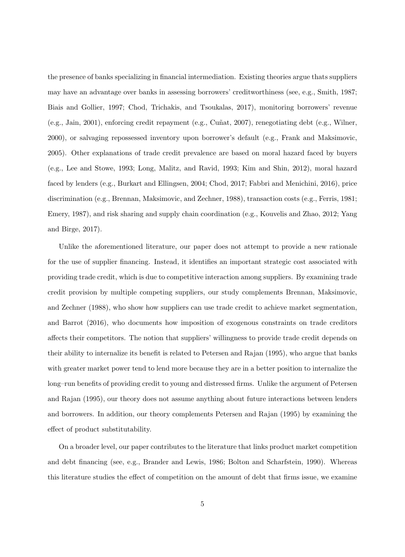the presence of banks specializing in financial intermediation. Existing theories argue thats suppliers may have an advantage over banks in assessing borrowers' creditworthiness (see, e.g., Smith, 1987; Biais and Gollier, 1997; Chod, Trichakis, and Tsoukalas, 2017), monitoring borrowers' revenue  $(e.g., Jain, 2001)$ , enforcing credit repayment  $(e.g., Cuñat, 2007)$ , renegotiating debt  $(e.g., Wilner, ...)$ 2000), or salvaging repossessed inventory upon borrower's default (e.g., Frank and Maksimovic, 2005). Other explanations of trade credit prevalence are based on moral hazard faced by buyers (e.g., Lee and Stowe, 1993; Long, Malitz, and Ravid, 1993; Kim and Shin, 2012), moral hazard faced by lenders (e.g., Burkart and Ellingsen, 2004; Chod, 2017; Fabbri and Menichini, 2016), price discrimination (e.g., Brennan, Maksimovic, and Zechner, 1988), transaction costs (e.g., Ferris, 1981; Emery, 1987), and risk sharing and supply chain coordination (e.g., Kouvelis and Zhao, 2012; Yang and Birge, 2017).

Unlike the aforementioned literature, our paper does not attempt to provide a new rationale for the use of supplier financing. Instead, it identifies an important strategic cost associated with providing trade credit, which is due to competitive interaction among suppliers. By examining trade credit provision by multiple competing suppliers, our study complements Brennan, Maksimovic, and Zechner (1988), who show how suppliers can use trade credit to achieve market segmentation, and Barrot (2016), who documents how imposition of exogenous constraints on trade creditors affects their competitors. The notion that suppliers' willingness to provide trade credit depends on their ability to internalize its benefit is related to Petersen and Rajan (1995), who argue that banks with greater market power tend to lend more because they are in a better position to internalize the long–run benefits of providing credit to young and distressed firms. Unlike the argument of Petersen and Rajan (1995), our theory does not assume anything about future interactions between lenders and borrowers. In addition, our theory complements Petersen and Rajan (1995) by examining the effect of product substitutability.

On a broader level, our paper contributes to the literature that links product market competition and debt financing (see, e.g., Brander and Lewis, 1986; Bolton and Scharfstein, 1990). Whereas this literature studies the effect of competition on the amount of debt that firms issue, we examine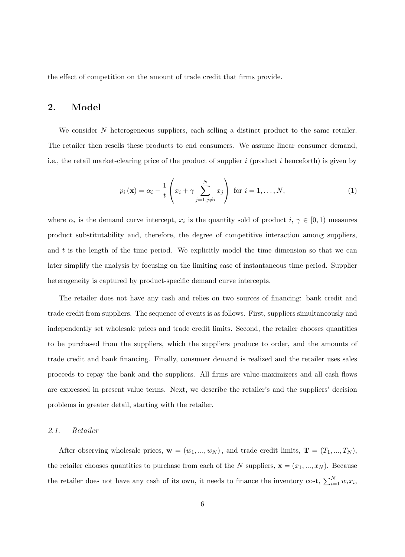the effect of competition on the amount of trade credit that firms provide.

# 2. Model

We consider N heterogeneous suppliers, each selling a distinct product to the same retailer. The retailer then resells these products to end consumers. We assume linear consumer demand, i.e., the retail market-clearing price of the product of supplier i (product i henceforth) is given by

<span id="page-7-0"></span>
$$
p_i(\mathbf{x}) = \alpha_i - \frac{1}{t} \left( x_i + \gamma \sum_{j=1, j \neq i}^N x_j \right) \text{ for } i = 1, \dots, N,
$$
 (1)

where  $\alpha_i$  is the demand curve intercept,  $x_i$  is the quantity sold of product  $i, \gamma \in [0, 1)$  measures product substitutability and, therefore, the degree of competitive interaction among suppliers, and  $t$  is the length of the time period. We explicitly model the time dimension so that we can later simplify the analysis by focusing on the limiting case of instantaneous time period. Supplier heterogeneity is captured by product-specific demand curve intercepts.

The retailer does not have any cash and relies on two sources of financing: bank credit and trade credit from suppliers. The sequence of events is as follows. First, suppliers simultaneously and independently set wholesale prices and trade credit limits. Second, the retailer chooses quantities to be purchased from the suppliers, which the suppliers produce to order, and the amounts of trade credit and bank financing. Finally, consumer demand is realized and the retailer uses sales proceeds to repay the bank and the suppliers. All firms are value-maximizers and all cash flows are expressed in present value terms. Next, we describe the retailer's and the suppliers' decision problems in greater detail, starting with the retailer.

#### 2.1. Retailer

After observing wholesale prices,  $\mathbf{w} = (w_1, ..., w_N)$ , and trade credit limits,  $\mathbf{T} = (T_1, ..., T_N)$ , the retailer chooses quantities to purchase from each of the N suppliers,  $\mathbf{x} = (x_1, ..., x_N)$ . Because the retailer does not have any cash of its own, it needs to finance the inventory cost,  $\sum_{i=1}^{N} w_i x_i$ ,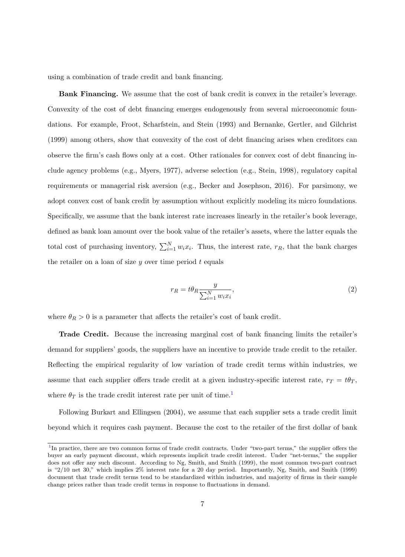using a combination of trade credit and bank financing.

Bank Financing. We assume that the cost of bank credit is convex in the retailer's leverage. Convexity of the cost of debt financing emerges endogenously from several microeconomic foundations. For example, Froot, Scharfstein, and Stein (1993) and Bernanke, Gertler, and Gilchrist (1999) among others, show that convexity of the cost of debt financing arises when creditors can observe the firm's cash flows only at a cost. Other rationales for convex cost of debt financing include agency problems (e.g., Myers, 1977), adverse selection (e.g., Stein, 1998), regulatory capital requirements or managerial risk aversion (e.g., Becker and Josephson, 2016). For parsimony, we adopt convex cost of bank credit by assumption without explicitly modeling its micro foundations. Specifically, we assume that the bank interest rate increases linearly in the retailer's book leverage, defined as bank loan amount over the book value of the retailer's assets, where the latter equals the total cost of purchasing inventory,  $\sum_{i=1}^{N} w_i x_i$ . Thus, the interest rate,  $r_R$ , that the bank charges the retailer on a loan of size  $y$  over time period  $t$  equals

<span id="page-8-1"></span>
$$
r_R = t\theta_R \frac{y}{\sum_{i=1}^N w_i x_i},\tag{2}
$$

where  $\theta_R > 0$  is a parameter that affects the retailer's cost of bank credit.

Trade Credit. Because the increasing marginal cost of bank financing limits the retailer's demand for suppliers' goods, the suppliers have an incentive to provide trade credit to the retailer. Reflecting the empirical regularity of low variation of trade credit terms within industries, we assume that each supplier offers trade credit at a given industry-specific interest rate,  $r_T = t\theta_T$ , where  $\theta_T$  is the trade credit interest rate per unit of time.<sup>[1](#page-8-0)</sup>

Following Burkart and Ellingsen (2004), we assume that each supplier sets a trade credit limit beyond which it requires cash payment. Because the cost to the retailer of the first dollar of bank

<span id="page-8-0"></span><sup>&</sup>lt;sup>1</sup>In practice, there are two common forms of trade credit contracts. Under "two-part terms," the supplier offers the buyer an early payment discount, which represents implicit trade credit interest. Under "net-terms," the supplier does not offer any such discount. According to Ng, Smith, and Smith (1999), the most common two-part contract is "2/10 net 30," which implies 2% interest rate for a 20 day period. Importantly, Ng, Smith, and Smith (1999) document that trade credit terms tend to be standardized within industries, and majority of firms in their sample change prices rather than trade credit terms in response to fluctuations in demand.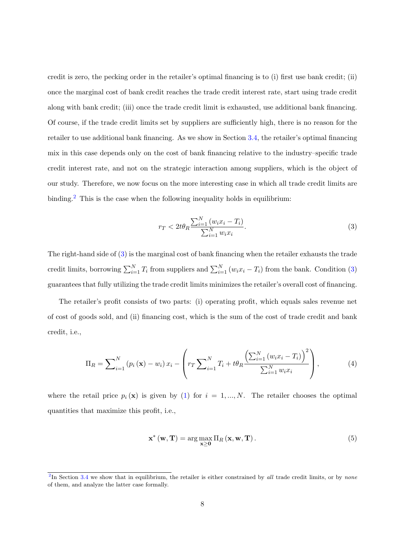credit is zero, the pecking order in the retailer's optimal financing is to (i) first use bank credit; (ii) once the marginal cost of bank credit reaches the trade credit interest rate, start using trade credit along with bank credit; (iii) once the trade credit limit is exhausted, use additional bank financing. Of course, if the trade credit limits set by suppliers are sufficiently high, there is no reason for the retailer to use additional bank financing. As we show in Section [3.4,](#page-18-0) the retailer's optimal financing mix in this case depends only on the cost of bank financing relative to the industry–specific trade credit interest rate, and not on the strategic interaction among suppliers, which is the object of our study. Therefore, we now focus on the more interesting case in which all trade credit limits are binding.<sup>[2](#page-9-0)</sup> This is the case when the following inequality holds in equilibrium:

<span id="page-9-1"></span>
$$
r_T < 2t\theta_R \frac{\sum_{i=1}^{N} (w_i x_i - T_i)}{\sum_{i=1}^{N} w_i x_i}.\tag{3}
$$

The right-hand side of [\(3\)](#page-9-1) is the marginal cost of bank financing when the retailer exhausts the trade credit limits, borrowing  $\sum_{i=1}^{N} T_i$  from suppliers and  $\sum_{i=1}^{N} (w_i x_i - T_i)$  from the bank. Condition [\(3\)](#page-9-1) guarantees that fully utilizing the trade credit limits minimizes the retailer's overall cost of financing.

The retailer's profit consists of two parts: (i) operating profit, which equals sales revenue net of cost of goods sold, and (ii) financing cost, which is the sum of the cost of trade credit and bank credit, i.e.,

<span id="page-9-3"></span>
$$
\Pi_R = \sum_{i=1}^N (p_i(\mathbf{x}) - w_i) x_i - \left( r_T \sum_{i=1}^N T_i + t\theta_R \frac{\left( \sum_{i=1}^N (w_i x_i - T_i) \right)^2}{\sum_{i=1}^N w_i x_i} \right), \tag{4}
$$

where the retail price  $p_i(\mathbf{x})$  is given by [\(1\)](#page-7-0) for  $i = 1, ..., N$ . The retailer chooses the optimal quantities that maximize this profit, i.e.,

<span id="page-9-2"></span>
$$
\mathbf{x}^* (\mathbf{w}, \mathbf{T}) = \arg \max_{\mathbf{x} \ge \mathbf{0}} \Pi_R (\mathbf{x}, \mathbf{w}, \mathbf{T}). \tag{5}
$$

<span id="page-9-0"></span> $^{2}$ In Section [3.4](#page-18-0) we show that in equilibrium, the retailer is either constrained by *all* trade credit limits, or by *none* of them, and analyze the latter case formally.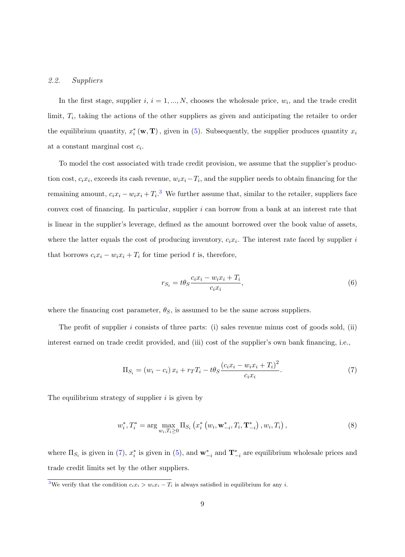#### 2.2. Suppliers

In the first stage, supplier  $i, i = 1, ..., N$ , chooses the wholesale price,  $w_i$ , and the trade credit  $\lim_{t \to \infty} T_i$ , taking the actions of the other suppliers as given and anticipating the retailer to order the equilibrium quantity,  $x_i^*(\mathbf{w}, \mathbf{T})$ , given in [\(5\)](#page-9-2). Subsequently, the supplier produces quantity  $x_i$ at a constant marginal cost  $c_i$ .

To model the cost associated with trade credit provision, we assume that the supplier's production cost,  $c_i x_i$ , exceeds its cash revenue,  $w_i x_i - T_i$ , and the supplier needs to obtain financing for the remaining amount,  $c_i x_i - w_i x_i + T_i$ <sup>[3](#page-10-0)</sup>. We further assume that, similar to the retailer, suppliers face convex cost of financing. In particular, supplier i can borrow from a bank at an interest rate that is linear in the supplier's leverage, defined as the amount borrowed over the book value of assets, where the latter equals the cost of producing inventory,  $c_i x_i$ . The interest rate faced by supplier i that borrows  $c_i x_i - w_i x_i + T_i$  for time period t is, therefore,

<span id="page-10-2"></span>
$$
r_{S_i} = t\theta_S \frac{c_i x_i - w_i x_i + T_i}{c_i x_i},\tag{6}
$$

where the financing cost parameter,  $\theta_S$ , is assumed to be the same across suppliers.

The profit of supplier i consists of three parts: (i) sales revenue minus cost of goods sold, (ii) interest earned on trade credit provided, and (iii) cost of the supplier's own bank financing, i.e.,

<span id="page-10-1"></span>
$$
\Pi_{S_i} = (w_i - c_i) x_i + r_T T_i - t\theta_S \frac{(c_i x_i - w_i x_i + T_i)^2}{c_i x_i}.
$$
\n(7)

The equilibrium strategy of supplier  $i$  is given by

$$
w_i^*, T_i^* = \arg \max_{w_i, T_i \ge 0} \Pi_{S_i} \left( x_i^* \left( w_i, \mathbf{w}_{-i}^*, T_i, \mathbf{T}_{-i}^* \right), w_i, T_i \right), \tag{8}
$$

where  $\Pi_{S_i}$  is given in [\(7\)](#page-10-1),  $x_i^*$  is given in [\(5\)](#page-9-2), and  $\mathbf{w}_{-i}^*$  and  $\mathbf{T}_{-i}^*$  are equilibrium wholesale prices and trade credit limits set by the other suppliers.

<span id="page-10-0"></span><sup>&</sup>lt;sup>3</sup>We verify that the condition  $c_i x_i > w_i x_i - T_i$  is always satisfied in equilibrium for any *i*.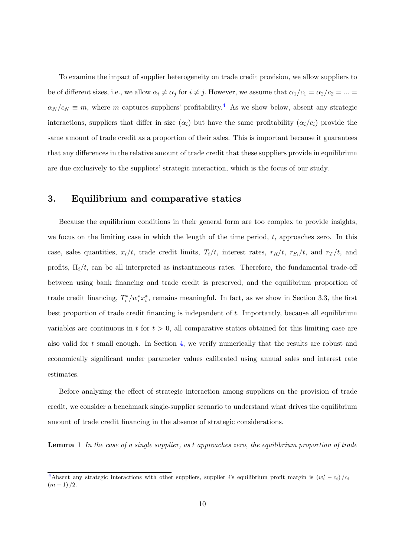To examine the impact of supplier heterogeneity on trade credit provision, we allow suppliers to be of different sizes, i.e., we allow  $\alpha_i \neq \alpha_j$  for  $i \neq j$ . However, we assume that  $\alpha_1/c_1 = \alpha_2/c_2 = ... =$  $\alpha_N/c_N \equiv m$ , where m captures suppliers' profitability.<sup>[4](#page-11-0)</sup> As we show below, absent any strategic interactions, suppliers that differ in size  $(\alpha_i)$  but have the same profitability  $(\alpha_i/c_i)$  provide the same amount of trade credit as a proportion of their sales. This is important because it guarantees that any differences in the relative amount of trade credit that these suppliers provide in equilibrium are due exclusively to the suppliers' strategic interaction, which is the focus of our study.

# <span id="page-11-1"></span>3. Equilibrium and comparative statics

Because the equilibrium conditions in their general form are too complex to provide insights, we focus on the limiting case in which the length of the time period,  $t$ , approaches zero. In this case, sales quantities,  $x_i/t$ , trade credit limits,  $T_i/t$ , interest rates,  $r_R/t$ ,  $r_{S_i}/t$ , and  $r_T/t$ , and profits,  $\Pi_i/t$ , can be all interpreted as instantaneous rates. Therefore, the fundamental trade-off between using bank financing and trade credit is preserved, and the equilibrium proportion of trade credit financing,  $T_i^*/w_i^*x_i^*$ , remains meaningful. In fact, as we show in Section 3.3, the first best proportion of trade credit financing is independent of t. Importantly, because all equilibrium variables are continuous in  $t$  for  $t > 0$ , all comparative statics obtained for this limiting case are also valid for  $t$  small enough. In Section [4,](#page-20-0) we verify numerically that the results are robust and economically significant under parameter values calibrated using annual sales and interest rate estimates.

Before analyzing the effect of strategic interaction among suppliers on the provision of trade credit, we consider a benchmark single-supplier scenario to understand what drives the equilibrium amount of trade credit financing in the absence of strategic considerations.

**Lemma 1** In the case of a single supplier, as t approaches zero, the equilibrium proportion of trade

<span id="page-11-0"></span><sup>&</sup>lt;sup>4</sup>Absent any strategic interactions with other suppliers, supplier i's equilibrium profit margin is  $(w_i^* - c_i)/c_i =$  $(m-1)/2$ .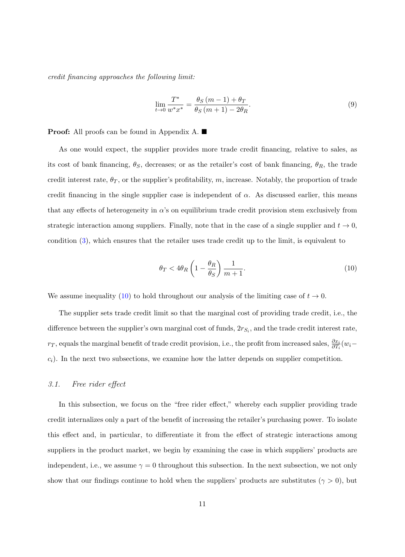credit financing approaches the following limit:

$$
\lim_{t \to 0} \frac{T^*}{w^* x^*} = \frac{\theta_S (m-1) + \theta_T}{\theta_S (m+1) - 2\theta_R}.
$$
\n(9)

**Proof:** All proofs can be found in Appendix A.  $\blacksquare$ 

As one would expect, the supplier provides more trade credit financing, relative to sales, as its cost of bank financing,  $\theta_S$ , decreases; or as the retailer's cost of bank financing,  $\theta_R$ , the trade credit interest rate,  $\theta_T$ , or the supplier's profitability, m, increase. Notably, the proportion of trade credit financing in the single supplier case is independent of  $\alpha$ . As discussed earlier, this means that any effects of heterogeneity in  $\alpha$ 's on equilibrium trade credit provision stem exclusively from strategic interaction among suppliers. Finally, note that in the case of a single supplier and  $t \to 0$ , condition [\(3\)](#page-9-1), which ensures that the retailer uses trade credit up to the limit, is equivalent to

<span id="page-12-0"></span>
$$
\theta_T < 4\theta_R \left(1 - \frac{\theta_R}{\theta_S}\right) \frac{1}{m+1}.\tag{10}
$$

We assume inequality [\(10\)](#page-12-0) to hold throughout our analysis of the limiting case of  $t \to 0$ .

The supplier sets trade credit limit so that the marginal cost of providing trade credit, i.e., the difference between the supplier's own marginal cost of funds,  $2r_{S_i}$ , and the trade credit interest rate,  $r_T$ , equals the marginal benefit of trade credit provision, i.e., the profit from increased sales,  $\frac{\partial x_i}{\partial T_i}(w_i-\)$  $c_i$ ). In the next two subsections, we examine how the latter depends on supplier competition.

## 3.1. Free rider effect

In this subsection, we focus on the "free rider effect," whereby each supplier providing trade credit internalizes only a part of the benefit of increasing the retailer's purchasing power. To isolate this effect and, in particular, to differentiate it from the effect of strategic interactions among suppliers in the product market, we begin by examining the case in which suppliers' products are independent, i.e., we assume  $\gamma = 0$  throughout this subsection. In the next subsection, we not only show that our findings continue to hold when the suppliers' products are substitutes ( $\gamma > 0$ ), but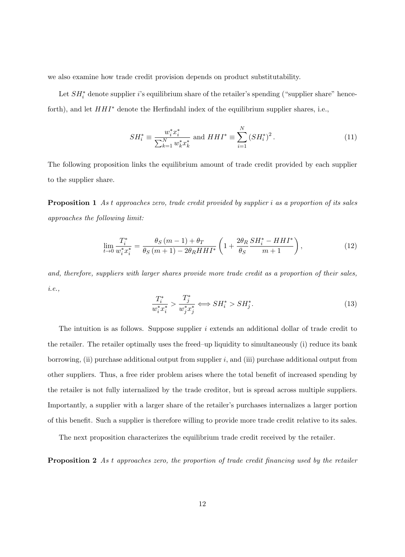we also examine how trade credit provision depends on product substitutability.

Let  $SH^*_i$  denote supplier i's equilibrium share of the retailer's spending ("supplier share" henceforth), and let  $HHI^*$  denote the Herfindahl index of the equilibrium supplier shares, i.e.,

$$
SH_i^* \equiv \frac{w_i^* x_i^*}{\sum_{k=1}^N w_k^* x_k^*} \text{ and } HHI^* \equiv \sum_{i=1}^N (SH_i^*)^2. \tag{11}
$$

The following proposition links the equilibrium amount of trade credit provided by each supplier to the supplier share.

Proposition 1 As t approaches zero, trade credit provided by supplier i as a proportion of its sales approaches the following limit:

$$
\lim_{t \to 0} \frac{T_i^*}{w_i^* x_i^*} = \frac{\theta_S (m-1) + \theta_T}{\theta_S (m+1) - 2\theta_R H H I^*} \left( 1 + \frac{2\theta_R S H_i^* - H H I^*}{\theta_S} \right),\tag{12}
$$

and, therefore, suppliers with larger shares provide more trade credit as a proportion of their sales, i.e.,

$$
\frac{T_i^*}{w_i^* x_i^*} > \frac{T_j^*}{w_j^* x_j^*} \Longleftrightarrow SH_i^* > SH_j^*.
$$
\n
$$
(13)
$$

The intuition is as follows. Suppose supplier  $i$  extends an additional dollar of trade credit to the retailer. The retailer optimally uses the freed–up liquidity to simultaneously (i) reduce its bank borrowing, (ii) purchase additional output from supplier  $i$ , and (iii) purchase additional output from other suppliers. Thus, a free rider problem arises where the total benefit of increased spending by the retailer is not fully internalized by the trade creditor, but is spread across multiple suppliers. Importantly, a supplier with a larger share of the retailer's purchases internalizes a larger portion of this benefit. Such a supplier is therefore willing to provide more trade credit relative to its sales.

The next proposition characterizes the equilibrium trade credit received by the retailer.

**Proposition 2** As t approaches zero, the proportion of trade credit financing used by the retailer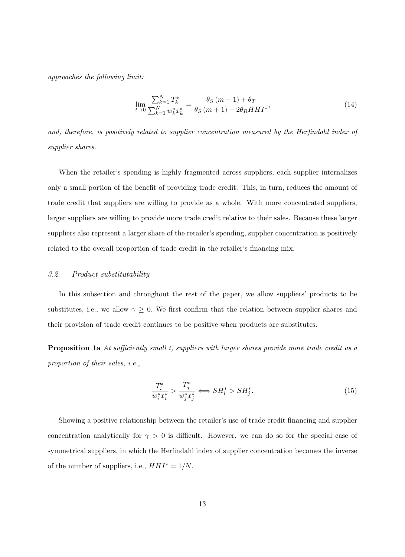approaches the following limit:

$$
\lim_{t \to 0} \frac{\sum_{k=1}^{N} T_k^*}{\sum_{k=1}^{N} w_k^* x_k^*} = \frac{\theta_S(m-1) + \theta_T}{\theta_S(m+1) - 2\theta_R H H I^*},\tag{14}
$$

and, therefore, is positively related to supplier concentration measured by the Herfindahl index of supplier shares.

When the retailer's spending is highly fragmented across suppliers, each supplier internalizes only a small portion of the benefit of providing trade credit. This, in turn, reduces the amount of trade credit that suppliers are willing to provide as a whole. With more concentrated suppliers, larger suppliers are willing to provide more trade credit relative to their sales. Because these larger suppliers also represent a larger share of the retailer's spending, supplier concentration is positively related to the overall proportion of trade credit in the retailer's financing mix.

### 3.2. Product substitutability

In this subsection and throughout the rest of the paper, we allow suppliers' products to be substitutes, i.e., we allow  $\gamma \geq 0$ . We first confirm that the relation between supplier shares and their provision of trade credit continues to be positive when products are substitutes.

Proposition 1a At sufficiently small t, suppliers with larger shares provide more trade credit as a proportion of their sales, i.e.,

$$
\frac{T_i^*}{w_i^* x_i^*} > \frac{T_j^*}{w_j^* x_j^*} \Longleftrightarrow SH_i^* > SH_j^*.
$$
\n
$$
(15)
$$

Showing a positive relationship between the retailer's use of trade credit financing and supplier concentration analytically for  $\gamma > 0$  is difficult. However, we can do so for the special case of symmetrical suppliers, in which the Herfindahl index of supplier concentration becomes the inverse of the number of suppliers, i.e.,  $HHI^* = 1/N$ .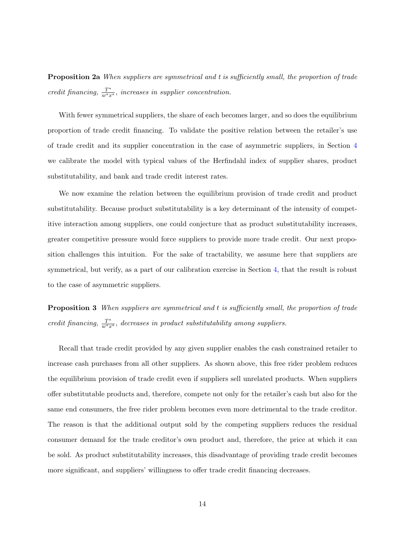Proposition 2a When suppliers are symmetrical and t is sufficiently small, the proportion of trade credit financing,  $\frac{T^*}{w^*x^*}$ , increases in supplier concentration.

With fewer symmetrical suppliers, the share of each becomes larger, and so does the equilibrium proportion of trade credit financing. To validate the positive relation between the retailer's use of trade credit and its supplier concentration in the case of asymmetric suppliers, in Section [4](#page-20-0) we calibrate the model with typical values of the Herfindahl index of supplier shares, product substitutability, and bank and trade credit interest rates.

We now examine the relation between the equilibrium provision of trade credit and product substitutability. Because product substitutability is a key determinant of the intensity of competitive interaction among suppliers, one could conjecture that as product substitutability increases, greater competitive pressure would force suppliers to provide more trade credit. Our next proposition challenges this intuition. For the sake of tractability, we assume here that suppliers are symmetrical, but verify, as a part of our calibration exercise in Section [4,](#page-20-0) that the result is robust to the case of asymmetric suppliers.

Proposition 3 When suppliers are symmetrical and t is sufficiently small, the proportion of trade credit financing,  $\frac{T^*}{w^*x^*}$ , decreases in product substitutability among suppliers.

Recall that trade credit provided by any given supplier enables the cash constrained retailer to increase cash purchases from all other suppliers. As shown above, this free rider problem reduces the equilibrium provision of trade credit even if suppliers sell unrelated products. When suppliers offer substitutable products and, therefore, compete not only for the retailer's cash but also for the same end consumers, the free rider problem becomes even more detrimental to the trade creditor. The reason is that the additional output sold by the competing suppliers reduces the residual consumer demand for the trade creditor's own product and, therefore, the price at which it can be sold. As product substitutability increases, this disadvantage of providing trade credit becomes more significant, and suppliers' willingness to offer trade credit financing decreases.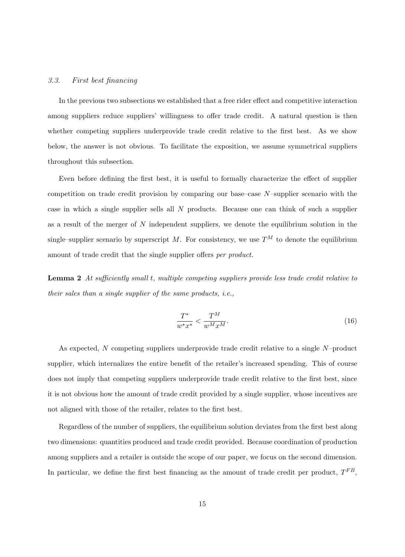#### 3.3. First best financing

In the previous two subsections we established that a free rider effect and competitive interaction among suppliers reduce suppliers' willingness to offer trade credit. A natural question is then whether competing suppliers underprovide trade credit relative to the first best. As we show below, the answer is not obvious. To facilitate the exposition, we assume symmetrical suppliers throughout this subsection.

Even before defining the first best, it is useful to formally characterize the effect of supplier competition on trade credit provision by comparing our base–case N–supplier scenario with the case in which a single supplier sells all N products. Because one can think of such a supplier as a result of the merger of N independent suppliers, we denote the equilibrium solution in the single–supplier scenario by superscript M. For consistency, we use  $T^M$  to denote the equilibrium amount of trade credit that the single supplier offers per product.

**Lemma 2** At sufficiently small t, multiple competing suppliers provide less trade credit relative to their sales than a single supplier of the same products, i.e.,

$$
\frac{T^*}{w^*x^*} < \frac{T^M}{w^M x^M}.\tag{16}
$$

As expected, N competing suppliers underprovide trade credit relative to a single N–product supplier, which internalizes the entire benefit of the retailer's increased spending. This of course does not imply that competing suppliers underprovide trade credit relative to the first best, since it is not obvious how the amount of trade credit provided by a single supplier, whose incentives are not aligned with those of the retailer, relates to the first best.

Regardless of the number of suppliers, the equilibrium solution deviates from the first best along two dimensions: quantities produced and trade credit provided. Because coordination of production among suppliers and a retailer is outside the scope of our paper, we focus on the second dimension. In particular, we define the first best financing as the amount of trade credit per product,  $T^{FB}$ ,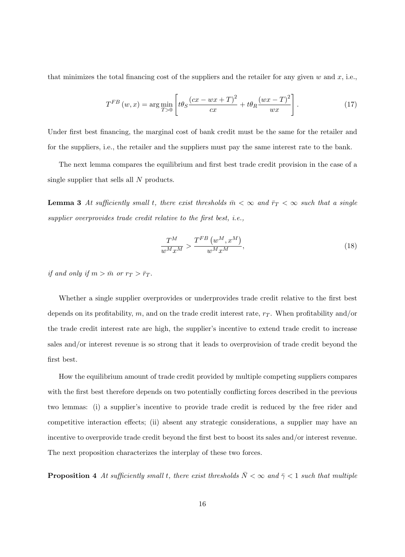that minimizes the total financing cost of the suppliers and the retailer for any given w and x, i.e.,

$$
T^{FB}\left(w,x\right) = \arg\min_{T>0} \left[ t\theta_S \frac{\left(cx - wx + T\right)^2}{cx} + t\theta_R \frac{\left(wx - T\right)^2}{wx} \right].\tag{17}
$$

Under first best financing, the marginal cost of bank credit must be the same for the retailer and for the suppliers, i.e., the retailer and the suppliers must pay the same interest rate to the bank.

The next lemma compares the equilibrium and first best trade credit provision in the case of a single supplier that sells all N products.

**Lemma 3** At sufficiently small t, there exist thresholds  $\bar{m} < \infty$  and  $\bar{r}_T < \infty$  such that a single supplier overprovides trade credit relative to the first best, i.e.,

$$
\frac{T^M}{w^M x^M} > \frac{T^{FB} (w^M, x^M)}{w^M x^M},\tag{18}
$$

if and only if  $m > \bar{m}$  or  $r_T > \bar{r}_T$ .

Whether a single supplier overprovides or underprovides trade credit relative to the first best depends on its profitability, m, and on the trade credit interest rate,  $r<sub>T</sub>$ . When profitability and/or the trade credit interest rate are high, the supplier's incentive to extend trade credit to increase sales and/or interest revenue is so strong that it leads to overprovision of trade credit beyond the first best.

How the equilibrium amount of trade credit provided by multiple competing suppliers compares with the first best therefore depends on two potentially conflicting forces described in the previous two lemmas: (i) a supplier's incentive to provide trade credit is reduced by the free rider and competitive interaction effects; (ii) absent any strategic considerations, a supplier may have an incentive to overprovide trade credit beyond the first best to boost its sales and/or interest revenue. The next proposition characterizes the interplay of these two forces.

**Proposition 4** At sufficiently small t, there exist thresholds  $\bar{N} < \infty$  and  $\bar{\gamma} < 1$  such that multiple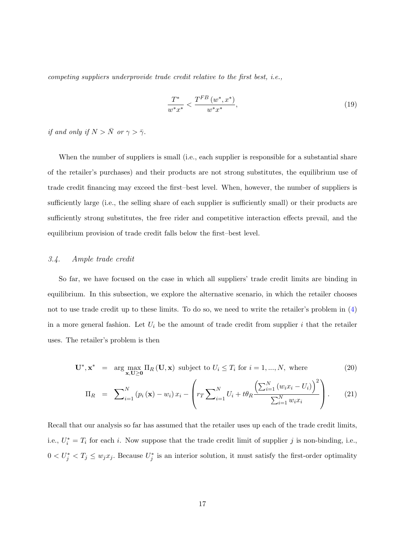competing suppliers underprovide trade credit relative to the first best, i.e.,

$$
\frac{T^*}{w^*x^*} < \frac{T^{FB}(w^*, x^*)}{w^*x^*},\tag{19}
$$

if and only if  $N > \overline{N}$  or  $\gamma > \overline{\gamma}$ .

When the number of suppliers is small (i.e., each supplier is responsible for a substantial share of the retailer's purchases) and their products are not strong substitutes, the equilibrium use of trade credit financing may exceed the first–best level. When, however, the number of suppliers is sufficiently large (i.e., the selling share of each supplier is sufficiently small) or their products are sufficiently strong substitutes, the free rider and competitive interaction effects prevail, and the equilibrium provision of trade credit falls below the first–best level.

## <span id="page-18-0"></span>3.4. Ample trade credit

So far, we have focused on the case in which all suppliers' trade credit limits are binding in equilibrium. In this subsection, we explore the alternative scenario, in which the retailer chooses not to use trade credit up to these limits. To do so, we need to write the retailer's problem in [\(4\)](#page-9-3) in a more general fashion. Let  $U_i$  be the amount of trade credit from supplier i that the retailer uses. The retailer's problem is then

$$
\mathbf{U}^*, \mathbf{x}^* = \arg \max_{\mathbf{x}, \mathbf{U} \ge \mathbf{0}} \Pi_R(\mathbf{U}, \mathbf{x}) \text{ subject to } U_i \le T_i \text{ for } i = 1, ..., N, \text{ where } (20)
$$

$$
\Pi_R = \sum_{i=1}^N (p_i(\mathbf{x}) - w_i) x_i - \left( r_T \sum_{i=1}^N U_i + t \theta_R \frac{\left( \sum_{i=1}^N (w_i x_i - U_i) \right)^2}{\sum_{i=1}^N w_i x_i} \right). \tag{21}
$$

Recall that our analysis so far has assumed that the retailer uses up each of the trade credit limits, i.e.,  $U_i^* = T_i$  for each i. Now suppose that the trade credit limit of supplier j is non-binding, i.e.,  $0 < U_j^* < T_j \leq w_j x_j$ . Because  $U_j^*$  is an interior solution, it must satisfy the first-order optimality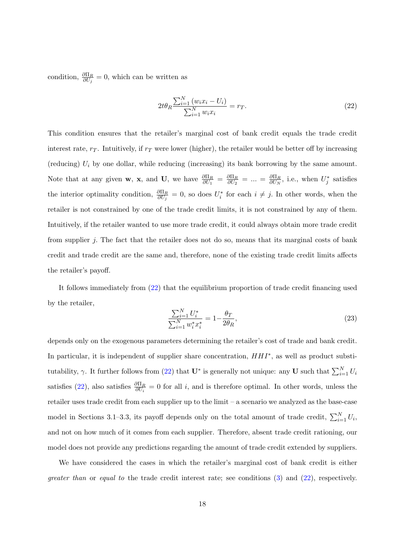condition,  $\frac{\partial \Pi_R}{\partial U_j} = 0$ , which can be written as

<span id="page-19-0"></span>
$$
2t\theta_R \frac{\sum_{i=1}^{N} (w_i x_i - U_i)}{\sum_{i=1}^{N} w_i x_i} = r_T.
$$
\n(22)

This condition ensures that the retailer's marginal cost of bank credit equals the trade credit interest rate,  $r<sub>T</sub>$ . Intuitively, if  $r<sub>T</sub>$  were lower (higher), the retailer would be better off by increasing (reducing)  $U_i$  by one dollar, while reducing (increasing) its bank borrowing by the same amount. Note that at any given **w**, **x**, and **U**, we have  $\frac{\partial \Pi_R}{\partial U_1} = \frac{\partial \Pi_R}{\partial U_2}$  $\frac{\partial \Pi_R}{\partial U_2}$  = ... =  $\frac{\partial \Pi_R}{\partial U_N}$  $\frac{\partial \Pi_R}{\partial U_N}$ , i.e., when  $U_j^*$  satisfies the interior optimality condition,  $\frac{\partial \Pi_R}{\partial U_j} = 0$ , so does  $U_i^*$  for each  $i \neq j$ . In other words, when the retailer is not constrained by one of the trade credit limits, it is not constrained by any of them. Intuitively, if the retailer wanted to use more trade credit, it could always obtain more trade credit from supplier j. The fact that the retailer does not do so, means that its marginal costs of bank credit and trade credit are the same and, therefore, none of the existing trade credit limits affects the retailer's payoff.

It follows immediately from [\(22\)](#page-19-0) that the equilibrium proportion of trade credit financing used by the retailer,

$$
\frac{\sum_{i=1}^{N} U_i^*}{\sum_{i=1}^{N} w_i^* x_i^*} = 1 - \frac{\theta_T}{2\theta_R},
$$
\n(23)

depends only on the exogenous parameters determining the retailer's cost of trade and bank credit. In particular, it is independent of supplier share concentration,  $HHI^*$ , as well as product substitutability,  $\gamma$ . It further follows from [\(22\)](#page-19-0) that  $\mathbf{U}^*$  is generally not unique: any U such that  $\sum_{i=1}^{N} U_i$ satisfies [\(22\)](#page-19-0), also satisfies  $\frac{\partial \Pi_R}{\partial U_i} = 0$  for all i, and is therefore optimal. In other words, unless the retailer uses trade credit from each supplier up to the limit – a scenario we analyzed as the base-case model in Sections 3.1–3.3, its payoff depends only on the total amount of trade credit,  $\sum_{i=1}^{N} U_i$ , and not on how much of it comes from each supplier. Therefore, absent trade credit rationing, our model does not provide any predictions regarding the amount of trade credit extended by suppliers.

We have considered the cases in which the retailer's marginal cost of bank credit is either *greater than* or *equal to the trade credit interest rate; see conditions [\(3\)](#page-9-1) and [\(22\)](#page-19-0), respectively.*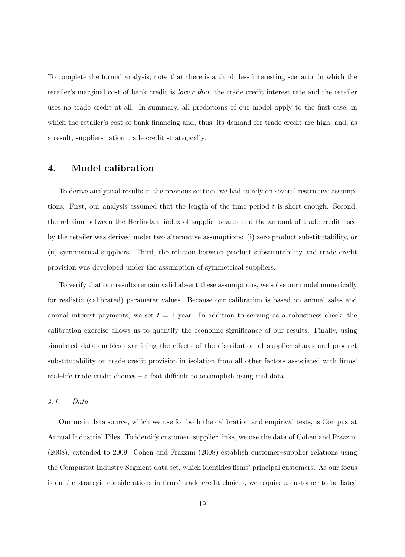To complete the formal analysis, note that there is a third, less interesting scenario, in which the retailer's marginal cost of bank credit is lower than the trade credit interest rate and the retailer uses no trade credit at all. In summary, all predictions of our model apply to the first case, in which the retailer's cost of bank financing and, thus, its demand for trade credit are high, and, as a result, suppliers ration trade credit strategically.

# <span id="page-20-0"></span>4. Model calibration

To derive analytical results in the previous section, we had to rely on several restrictive assumptions. First, our analysis assumed that the length of the time period t is short enough. Second, the relation between the Herfindahl index of supplier shares and the amount of trade credit used by the retailer was derived under two alternative assumptions: (i) zero product substitutability, or (ii) symmetrical suppliers. Third, the relation between product substitutability and trade credit provision was developed under the assumption of symmetrical suppliers.

To verify that our results remain valid absent these assumptions, we solve our model numerically for realistic (calibrated) parameter values. Because our calibration is based on annual sales and annual interest payments, we set  $t = 1$  year. In addition to serving as a robustness check, the calibration exercise allows us to quantify the economic significance of our results. Finally, using simulated data enables examining the effects of the distribution of supplier shares and product substitutability on trade credit provision in isolation from all other factors associated with firms' real–life trade credit choices – a feat difficult to accomplish using real data.

### 4.1. Data

Our main data source, which we use for both the calibration and empirical tests, is Compustat Annual Industrial Files. To identify customer–supplier links, we use the data of Cohen and Frazzini (2008), extended to 2009. Cohen and Frazzini (2008) establish customer–supplier relations using the Compustat Industry Segment data set, which identifies firms' principal customers. As our focus is on the strategic considerations in firms' trade credit choices, we require a customer to be listed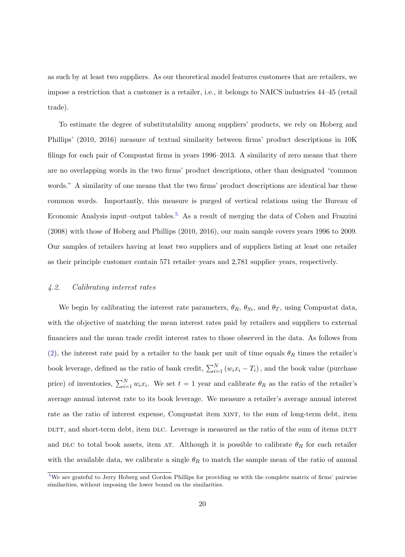as such by at least two suppliers. As our theoretical model features customers that are retailers, we impose a restriction that a customer is a retailer, i.e., it belongs to NAICS industries 44–45 (retail trade).

To estimate the degree of substitutability among suppliers' products, we rely on Hoberg and Phillips' (2010, 2016) measure of textual similarity between firms' product descriptions in 10K filings for each pair of Compustat firms in years 1996–2013. A similarity of zero means that there are no overlapping words in the two firms' product descriptions, other than designated "common words." A similarity of one means that the two firms' product descriptions are identical bar these common words. Importantly, this measure is purged of vertical relations using the Bureau of Economic Analysis input–output tables.<sup>[5](#page-21-0)</sup> As a result of merging the data of Cohen and Frazzini (2008) with those of Hoberg and Phillips (2010, 2016), our main sample covers years 1996 to 2009. Our samples of retailers having at least two suppliers and of suppliers listing at least one retailer as their principle customer contain 571 retailer–years and 2,781 supplier–years, respectively.

#### 4.2. Calibrating interest rates

We begin by calibrating the interest rate parameters,  $\theta_R$ ,  $\theta_{Si}$ , and  $\theta_T$ , using Compustat data, with the objective of matching the mean interest rates paid by retailers and suppliers to external financiers and the mean trade credit interest rates to those observed in the data. As follows from [\(2\)](#page-8-1), the interest rate paid by a retailer to the bank per unit of time equals  $\theta_R$  times the retailer's book leverage, defined as the ratio of bank credit,  $\sum_{i=1}^{N} (w_i x_i - T_i)$ , and the book value (purchase price) of inventories,  $\sum_{i=1}^{N} w_i x_i$ . We set  $t = 1$  year and calibrate  $\theta_R$  as the ratio of the retailer's average annual interest rate to its book leverage. We measure a retailer's average annual interest rate as the ratio of interest expense, Compustat item XINT, to the sum of long-term debt, item DLTT, and short-term debt, item DLC. Leverage is measured as the ratio of the sum of items DLTT and DLC to total book assets, item AT. Although it is possible to calibrate  $\theta_R$  for each retailer with the available data, we calibrate a single  $\theta_R$  to match the sample mean of the ratio of annual

<span id="page-21-0"></span><sup>&</sup>lt;sup>5</sup>We are grateful to Jerry Hoberg and Gordon Phillips for providing us with the complete matrix of firms' pairwise similarities, without imposing the lower bound on the similarities.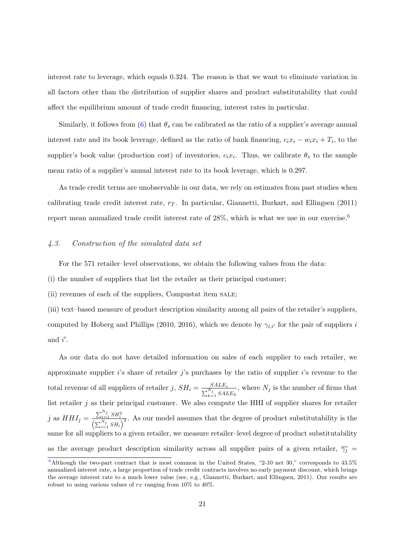interest rate to leverage, which equals 0.324. The reason is that we want to eliminate variation in all factors other than the distribution of supplier shares and product substitutability that could affect the equilibrium amount of trade credit financing, interest rates in particular.

Similarly, it follows from [\(6\)](#page-10-2) that  $\theta_s$  can be calibrated as the ratio of a supplier's average annual interest rate and its book leverage, defined as the ratio of bank financing,  $c_i x_i - w_i x_i + T_i$ , to the supplier's book value (production cost) of inventories,  $c_i x_i$ . Thus, we calibrate  $\theta_s$  to the sample mean ratio of a supplier's annual interest rate to its book leverage, which is 0.297.

As trade credit terms are unobservable in our data, we rely on estimates from past studies when calibrating trade credit interest rate,  $r_T$ . In particular, Giannetti, Burkart, and Ellingsen (2011) report mean annualized trade credit interest rate of  $28\%$ , which is what we use in our exercise.<sup>[6](#page-22-0)</sup>

### 4.3. Construction of the simulated data set

For the 571 retailer–level observations, we obtain the following values from the data:

(i) the number of suppliers that list the retailer as their principal customer;

(ii) revenues of each of the suppliers, Compustat item sale;

(iii) text–based measure of product description similarity among all pairs of the retailer's suppliers, computed by Hoberg and Phillips (2010, 2016), which we denote by  $\gamma_{i,i'}$  for the pair of suppliers i and  $i'$ .

As our data do not have detailed information on sales of each supplier to each retailer, we approximate supplier  $i$ 's share of retailer  $j$ 's purchases by the ratio of supplier  $i$ 's revenue to the total revenue of all suppliers of retailer j,  $SH_i = \frac{SALE_i}{S_i}$  $\sum_{k=1}^{N_j} SALE_k$ , where  $N_j$  is the number of firms that list retailer  $j$  as their principal customer. We also compute the HHI of supplier shares for retailer j as  $HHI_j = \frac{\sum_{i=1}^{N_j} SH_i^2}{\left(\sum_{i=1}^{N_j} SH_i\right)^2}$ . As our model assumes that the degree of product substitutability is the same for all suppliers to a given retailer, we measure retailer–level degree of product substitutability as the average product description similarity across all supplier pairs of a given retailer,  $\overline{\gamma_i}$  =

<span id="page-22-0"></span><sup>&</sup>lt;sup>6</sup>Although the two-part contract that is most common in the United States, "2-10 net 30," corresponds to  $43.5\%$ annualized interest rate, a large proportion of trade credit contracts involves no early payment discount, which brings the average interest rate to a much lower value (see, e.g., Giannetti, Burkart, and Ellingsen, 2011). Our results are robust to using various values of  $r<sub>T</sub>$  ranging from 10% to 40%.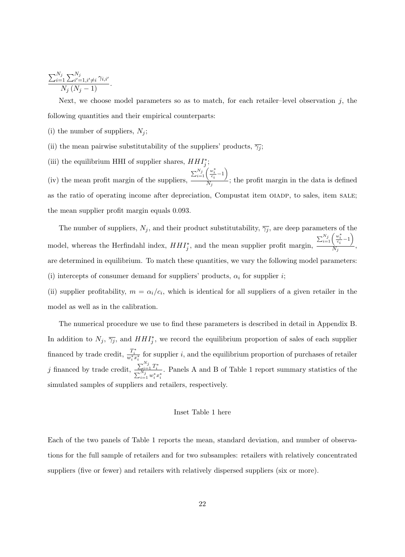$$
\frac{\sum_{i=1}^{N_j} \sum_{i'=1, i'\neq i}^{N_j} \gamma_{i,i'}}{N_j (N_j - 1)}.
$$

Next, we choose model parameters so as to match, for each retailer-level observation  $j$ , the following quantities and their empirical counterparts:

- (i) the number of suppliers,  $N_j$ ;
- (ii) the mean pairwise substitutability of the suppliers' products,  $\overline{\gamma_j}$ ;
- (iii) the equilibrium HHI of supplier shares,  $HHI_j^*$ ;

(iv) the mean profit margin of the suppliers,  $\sum_{i=1}^{N_j} \left(\frac{w_i^*}{c_i} - 1\right)$  $\frac{\binom{n}{i}}{N_j}$ ; the profit margin in the data is defined as the ratio of operating income after depreciation, Compustat item OIADP, to sales, item SALE; the mean supplier profit margin equals 0.093.

The number of suppliers,  $N_j$ , and their product substitutability,  $\overline{\gamma_j}$ , are deep parameters of the model, whereas the Herfindahl index,  $HHI_j^*$ , and the mean supplier profit margin,  $\sum_{i=1}^{N_j} \left( \frac{w_i^*}{c_i} - 1 \right)$  $\frac{N_i}{N_j},$ are determined in equilibrium. To match these quantities, we vary the following model parameters: (i) intercepts of consumer demand for suppliers' products,  $\alpha_i$  for supplier *i*;

(ii) supplier profitability,  $m = \alpha_i/c_i$ , which is identical for all suppliers of a given retailer in the model as well as in the calibration.

The numerical procedure we use to find these parameters is described in detail in Appendix B. In addition to  $N_j$ ,  $\overline{\gamma_j}$ , and  $HHI_j^*$ , we record the equilibrium proportion of sales of each supplier financed by trade credit,  $\frac{T_i^*}{w_i^* x_i^*}$  for supplier *i*, and the equilibrium proportion of purchases of retailer *j* financed by trade credit,  $\frac{\sum_{i=1}^{N_j} T_i^*}{\sum_{i=1}^{N_j} w_i^* x_i^*}$ . Panels A and B of Table 1 report summary statistics of the simulated samples of suppliers and retailers, respectively.

### Inset Table 1 here

Each of the two panels of Table 1 reports the mean, standard deviation, and number of observations for the full sample of retailers and for two subsamples: retailers with relatively concentrated suppliers (five or fewer) and retailers with relatively dispersed suppliers (six or more).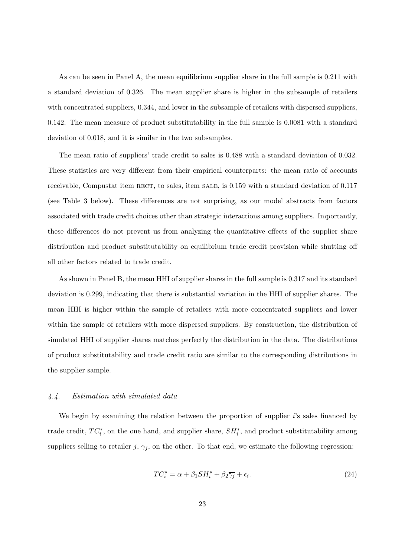As can be seen in Panel A, the mean equilibrium supplier share in the full sample is 0.211 with a standard deviation of 0.326. The mean supplier share is higher in the subsample of retailers with concentrated suppliers, 0.344, and lower in the subsample of retailers with dispersed suppliers, 0.142. The mean measure of product substitutability in the full sample is 0.0081 with a standard deviation of 0.018, and it is similar in the two subsamples.

The mean ratio of suppliers' trade credit to sales is 0.488 with a standard deviation of 0.032. These statistics are very different from their empirical counterparts: the mean ratio of accounts receivable, Compustat item RECT, to sales, item SALE, is 0.159 with a standard deviation of 0.117 (see Table 3 below). These differences are not surprising, as our model abstracts from factors associated with trade credit choices other than strategic interactions among suppliers. Importantly, these differences do not prevent us from analyzing the quantitative effects of the supplier share distribution and product substitutability on equilibrium trade credit provision while shutting off all other factors related to trade credit.

As shown in Panel B, the mean HHI of supplier shares in the full sample is 0.317 and its standard deviation is 0.299, indicating that there is substantial variation in the HHI of supplier shares. The mean HHI is higher within the sample of retailers with more concentrated suppliers and lower within the sample of retailers with more dispersed suppliers. By construction, the distribution of simulated HHI of supplier shares matches perfectly the distribution in the data. The distributions of product substitutability and trade credit ratio are similar to the corresponding distributions in the supplier sample.

### 4.4. Estimation with simulated data

We begin by examining the relation between the proportion of supplier  $i$ 's sales financed by trade credit,  $TC_i^*$ , on the one hand, and supplier share,  $SH_i^*$ , and product substitutability among suppliers selling to retailer j,  $\overline{\gamma_j}$ , on the other. To that end, we estimate the following regression:

<span id="page-24-0"></span>
$$
TC_i^* = \alpha + \beta_1 SH_i^* + \beta_2 \overline{\gamma_j} + \epsilon_i.
$$
\n(24)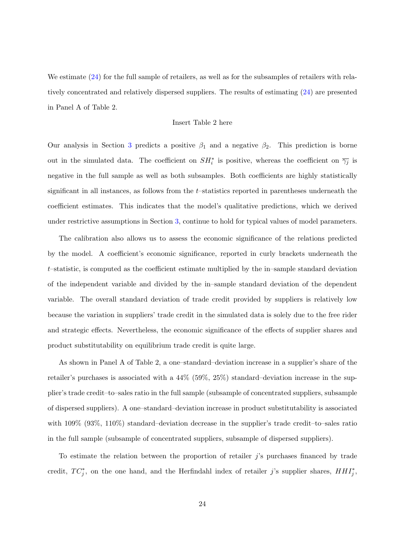We estimate [\(24\)](#page-24-0) for the full sample of retailers, as well as for the subsamples of retailers with relatively concentrated and relatively dispersed suppliers. The results of estimating [\(24\)](#page-24-0) are presented in Panel A of Table 2.

### Insert Table 2 here

Our analysis in Section [3](#page-11-1) predicts a positive  $\beta_1$  and a negative  $\beta_2$ . This prediction is borne out in the simulated data. The coefficient on  $SH_i^*$  is positive, whereas the coefficient on  $\overline{\gamma_j}$  is negative in the full sample as well as both subsamples. Both coefficients are highly statistically significant in all instances, as follows from the  $t$ -statistics reported in parentheses underneath the coefficient estimates. This indicates that the model's qualitative predictions, which we derived under restrictive assumptions in Section [3,](#page-11-1) continue to hold for typical values of model parameters.

The calibration also allows us to assess the economic significance of the relations predicted by the model. A coefficient's economic significance, reported in curly brackets underneath the t–statistic, is computed as the coefficient estimate multiplied by the in–sample standard deviation of the independent variable and divided by the in–sample standard deviation of the dependent variable. The overall standard deviation of trade credit provided by suppliers is relatively low because the variation in suppliers' trade credit in the simulated data is solely due to the free rider and strategic effects. Nevertheless, the economic significance of the effects of supplier shares and product substitutability on equilibrium trade credit is quite large.

As shown in Panel A of Table 2, a one–standard–deviation increase in a supplier's share of the retailer's purchases is associated with a 44% (59%, 25%) standard–deviation increase in the supplier's trade credit–to–sales ratio in the full sample (subsample of concentrated suppliers, subsample of dispersed suppliers). A one–standard–deviation increase in product substitutability is associated with 109% (93%, 110%) standard–deviation decrease in the supplier's trade credit–to–sales ratio in the full sample (subsample of concentrated suppliers, subsample of dispersed suppliers).

To estimate the relation between the proportion of retailer j's purchases financed by trade credit,  $TC_j^*$ , on the one hand, and the Herfindahl index of retailer j's supplier shares,  $HHI_j^*$ ,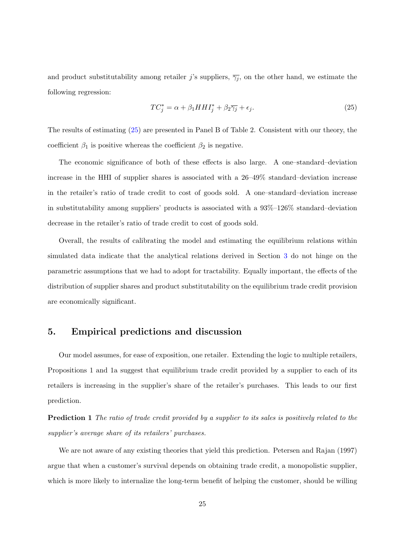and product substitutability among retailer j's suppliers,  $\overline{\gamma_j}$ , on the other hand, we estimate the following regression:

<span id="page-26-0"></span>
$$
TC_j^* = \alpha + \beta_1 H H I_j^* + \beta_2 \overline{\gamma_j} + \epsilon_j.
$$
\n
$$
(25)
$$

The results of estimating [\(25\)](#page-26-0) are presented in Panel B of Table 2. Consistent with our theory, the coefficient  $\beta_1$  is positive whereas the coefficient  $\beta_2$  is negative.

The economic significance of both of these effects is also large. A one–standard–deviation increase in the HHI of supplier shares is associated with a 26–49% standard–deviation increase in the retailer's ratio of trade credit to cost of goods sold. A one–standard–deviation increase in substitutability among suppliers' products is associated with a 93%–126% standard–deviation decrease in the retailer's ratio of trade credit to cost of goods sold.

Overall, the results of calibrating the model and estimating the equilibrium relations within simulated data indicate that the analytical relations derived in Section [3](#page-11-1) do not hinge on the parametric assumptions that we had to adopt for tractability. Equally important, the effects of the distribution of supplier shares and product substitutability on the equilibrium trade credit provision are economically significant.

# 5. Empirical predictions and discussion

Our model assumes, for ease of exposition, one retailer. Extending the logic to multiple retailers, Propositions 1 and 1a suggest that equilibrium trade credit provided by a supplier to each of its retailers is increasing in the supplier's share of the retailer's purchases. This leads to our first prediction.

Prediction 1 The ratio of trade credit provided by a supplier to its sales is positively related to the supplier's average share of its retailers' purchases.

We are not aware of any existing theories that yield this prediction. Petersen and Rajan (1997) argue that when a customer's survival depends on obtaining trade credit, a monopolistic supplier, which is more likely to internalize the long-term benefit of helping the customer, should be willing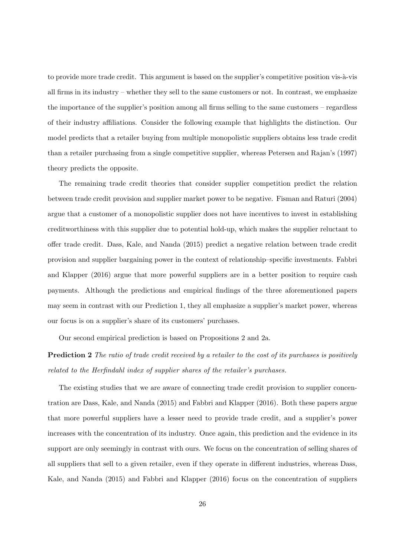to provide more trade credit. This argument is based on the supplier's competitive position vis-à-vis all firms in its industry – whether they sell to the same customers or not. In contrast, we emphasize the importance of the supplier's position among all firms selling to the same customers – regardless of their industry affiliations. Consider the following example that highlights the distinction. Our model predicts that a retailer buying from multiple monopolistic suppliers obtains less trade credit than a retailer purchasing from a single competitive supplier, whereas Petersen and Rajan's (1997) theory predicts the opposite.

The remaining trade credit theories that consider supplier competition predict the relation between trade credit provision and supplier market power to be negative. Fisman and Raturi (2004) argue that a customer of a monopolistic supplier does not have incentives to invest in establishing creditworthiness with this supplier due to potential hold-up, which makes the supplier reluctant to offer trade credit. Dass, Kale, and Nanda (2015) predict a negative relation between trade credit provision and supplier bargaining power in the context of relationship–specific investments. Fabbri and Klapper (2016) argue that more powerful suppliers are in a better position to require cash payments. Although the predictions and empirical findings of the three aforementioned papers may seem in contrast with our Prediction 1, they all emphasize a supplier's market power, whereas our focus is on a supplier's share of its customers' purchases.

Our second empirical prediction is based on Propositions 2 and 2a.

# **Prediction 2** The ratio of trade credit received by a retailer to the cost of its purchases is positively related to the Herfindahl index of supplier shares of the retailer's purchases.

The existing studies that we are aware of connecting trade credit provision to supplier concentration are Dass, Kale, and Nanda (2015) and Fabbri and Klapper (2016). Both these papers argue that more powerful suppliers have a lesser need to provide trade credit, and a supplier's power increases with the concentration of its industry. Once again, this prediction and the evidence in its support are only seemingly in contrast with ours. We focus on the concentration of selling shares of all suppliers that sell to a given retailer, even if they operate in different industries, whereas Dass, Kale, and Nanda (2015) and Fabbri and Klapper (2016) focus on the concentration of suppliers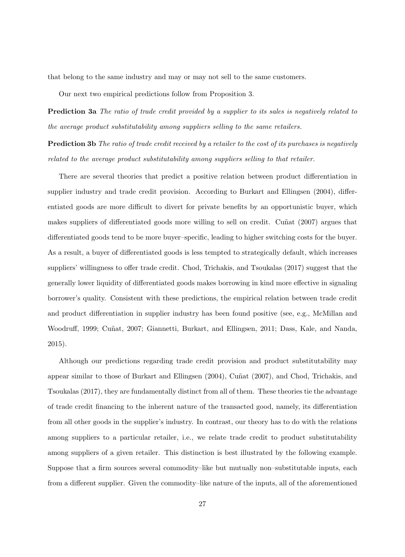that belong to the same industry and may or may not sell to the same customers.

Our next two empirical predictions follow from Proposition 3.

Prediction 3a The ratio of trade credit provided by a supplier to its sales is negatively related to the average product substitutability among suppliers selling to the same retailers.

Prediction 3b The ratio of trade credit received by a retailer to the cost of its purchases is negatively related to the average product substitutability among suppliers selling to that retailer.

There are several theories that predict a positive relation between product differentiation in supplier industry and trade credit provision. According to Burkart and Ellingsen (2004), differentiated goods are more difficult to divert for private benefits by an opportunistic buyer, which makes suppliers of differentiated goods more willing to sell on credit. Cunat (2007) argues that differentiated goods tend to be more buyer–specific, leading to higher switching costs for the buyer. As a result, a buyer of differentiated goods is less tempted to strategically default, which increases suppliers' willingness to offer trade credit. Chod, Trichakis, and Tsoukalas (2017) suggest that the generally lower liquidity of differentiated goods makes borrowing in kind more effective in signaling borrower's quality. Consistent with these predictions, the empirical relation between trade credit and product differentiation in supplier industry has been found positive (see, e.g., McMillan and Woodruff, 1999; Cuñat, 2007; Giannetti, Burkart, and Ellingsen, 2011; Dass, Kale, and Nanda, 2015).

Although our predictions regarding trade credit provision and product substitutability may appear similar to those of Burkart and Ellingsen (2004), Cuñat (2007), and Chod, Trichakis, and Tsoukalas (2017), they are fundamentally distinct from all of them. These theories tie the advantage of trade credit financing to the inherent nature of the transacted good, namely, its differentiation from all other goods in the supplier's industry. In contrast, our theory has to do with the relations among suppliers to a particular retailer, i.e., we relate trade credit to product substitutability among suppliers of a given retailer. This distinction is best illustrated by the following example. Suppose that a firm sources several commodity–like but mutually non–substitutable inputs, each from a different supplier. Given the commodity–like nature of the inputs, all of the aforementioned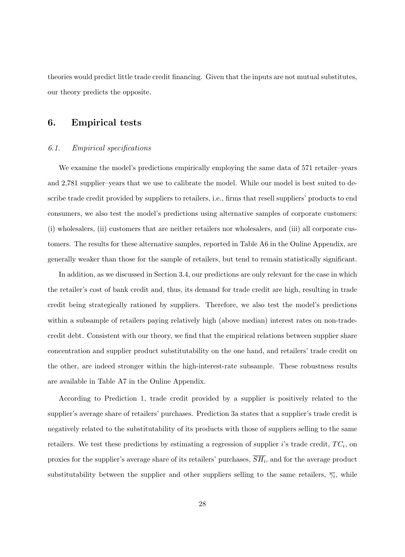theories would predict little trade credit financing. Given that the inputs are not mutual substitutes, our theory predicts the opposite.

# 6. Empirical tests

### 6.1. Empirical specifications

We examine the model's predictions empirically employing the same data of 571 retailer–years and 2,781 supplier–years that we use to calibrate the model. While our model is best suited to describe trade credit provided by suppliers to retailers, i.e., firms that resell suppliers' products to end consumers, we also test the model's predictions using alternative samples of corporate customers: (i) wholesalers, (ii) customers that are neither retailers nor wholesalers, and (iii) all corporate customers. The results for these alternative samples, reported in Table A6 in the Online Appendix, are generally weaker than those for the sample of retailers, but tend to remain statistically significant.

In addition, as we discussed in Section 3.4, our predictions are only relevant for the case in which the retailer's cost of bank credit and, thus, its demand for trade credit are high, resulting in trade credit being strategically rationed by suppliers. Therefore, we also test the model's predictions within a subsample of retailers paying relatively high (above median) interest rates on non-tradecredit debt. Consistent with our theory, we find that the empirical relations between supplier share concentration and supplier product substitutability on the one hand, and retailers' trade credit on the other, are indeed stronger within the high-interest-rate subsample. These robustness results are available in Table A7 in the Online Appendix.

According to Prediction 1, trade credit provided by a supplier is positively related to the supplier's average share of retailers' purchases. Prediction 3a states that a supplier's trade credit is negatively related to the substitutability of its products with those of suppliers selling to the same retailers. We test these predictions by estimating a regression of supplier *i*'s trade credit,  $TC_i$ , on proxies for the supplier's average share of its retailers' purchases,  $SH_i$ , and for the average product substitutability between the supplier and other suppliers selling to the same retailers,  $\overline{\gamma_i}$ , while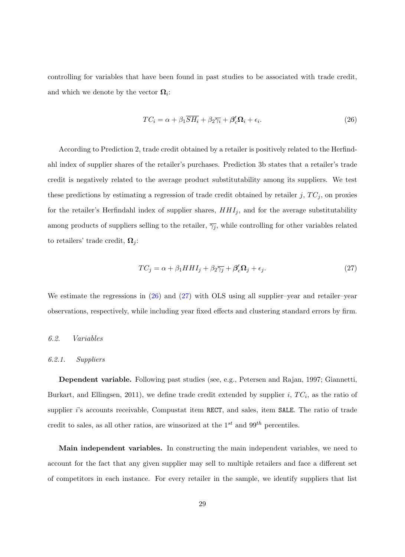controlling for variables that have been found in past studies to be associated with trade credit, and which we denote by the vector  $\Omega_i$ :

<span id="page-30-0"></span>
$$
TC_i = \alpha + \beta_1 \overline{SH_i} + \beta_2 \overline{\gamma_i} + \beta_c' \Omega_i + \epsilon_i.
$$
\n(26)

According to Prediction 2, trade credit obtained by a retailer is positively related to the Herfindahl index of supplier shares of the retailer's purchases. Prediction 3b states that a retailer's trade credit is negatively related to the average product substitutability among its suppliers. We test these predictions by estimating a regression of trade credit obtained by retailer  $j$ ,  $TC_j$ , on proxies for the retailer's Herfindahl index of supplier shares,  $HHI<sub>j</sub>$ , and for the average substitutability among products of suppliers selling to the retailer,  $\overline{\gamma_j}$ , while controlling for other variables related to retailers' trade credit,  $\Omega_i$ :

<span id="page-30-1"></span>
$$
TC_j = \alpha + \beta_1 H H I_j + \beta_2 \overline{\gamma_j} + \beta_c' \Omega_j + \epsilon_j.
$$
\n(27)

We estimate the regressions in  $(26)$  and  $(27)$  with OLS using all supplier–year and retailer–year observations, respectively, while including year fixed effects and clustering standard errors by firm.

### 6.2. Variables

#### 6.2.1. Suppliers

Dependent variable. Following past studies (see, e.g., Petersen and Rajan, 1997; Giannetti, Burkart, and Ellingsen, 2011), we define trade credit extended by supplier  $i$ ,  $TC_i$ , as the ratio of supplier i's accounts receivable, Compustat item RECT, and sales, item SALE. The ratio of trade credit to sales, as all other ratios, are winsorized at the  $1^{st}$  and  $99^{th}$  percentiles.

Main independent variables. In constructing the main independent variables, we need to account for the fact that any given supplier may sell to multiple retailers and face a different set of competitors in each instance. For every retailer in the sample, we identify suppliers that list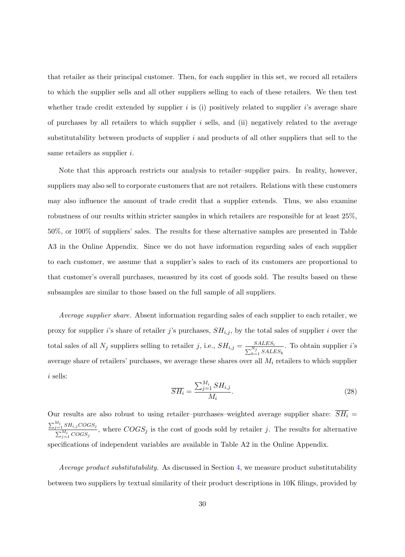that retailer as their principal customer. Then, for each supplier in this set, we record all retailers to which the supplier sells and all other suppliers selling to each of these retailers. We then test whether trade credit extended by supplier  $i$  is (i) positively related to supplier  $i$ 's average share of purchases by all retailers to which supplier  $i$  sells, and (ii) negatively related to the average substitutability between products of supplier  $i$  and products of all other suppliers that sell to the same retailers as supplier *i*.

Note that this approach restricts our analysis to retailer–supplier pairs. In reality, however, suppliers may also sell to corporate customers that are not retailers. Relations with these customers may also influence the amount of trade credit that a supplier extends. Thus, we also examine robustness of our results within stricter samples in which retailers are responsible for at least 25%, 50%, or 100% of suppliers' sales. The results for these alternative samples are presented in Table A3 in the Online Appendix. Since we do not have information regarding sales of each supplier to each customer, we assume that a supplier's sales to each of its customers are proportional to that customer's overall purchases, measured by its cost of goods sold. The results based on these subsamples are similar to those based on the full sample of all suppliers.

Average supplier share. Absent information regarding sales of each supplier to each retailer, we proxy for supplier i's share of retailer j's purchases,  $SH_{i,j}$ , by the total sales of supplier i over the total sales of all  $N_j$  suppliers selling to retailer j, i.e.,  $SH_{i,j} = \frac{SALES_i}{S_{i,j}S_{i,j}}$  $\sum_{k=1}^{N_j} SALES_k$ . To obtain supplier  $i$ 's average share of retailers' purchases, we average these shares over all  $M_i$  retailers to which supplier i sells:

$$
\overline{SH_i} = \frac{\sum_{j=1}^{M_i} SH_{i,j}}{M_i}.
$$
\n(28)

Our results are also robust to using retailer–purchases–weighted average supplier share:  $\overline{SH_i}$  =  $\sum_{j=1}^{M_i}SH_{i,j}COGS_j$  $\sum_{j=1}^{N} \frac{N_{i,j} \cup \sigma S_{i,j}}{\sum_{j=1}^{M_i} C O G S_j}$ , where  $C O G S_j$  is the cost of goods sold by retailer j. The results for alternative specifications of independent variables are available in Table A2 in the Online Appendix.

Average product substitutability. As discussed in Section [4,](#page-20-0) we measure product substitutability between two suppliers by textual similarity of their product descriptions in 10K filings, provided by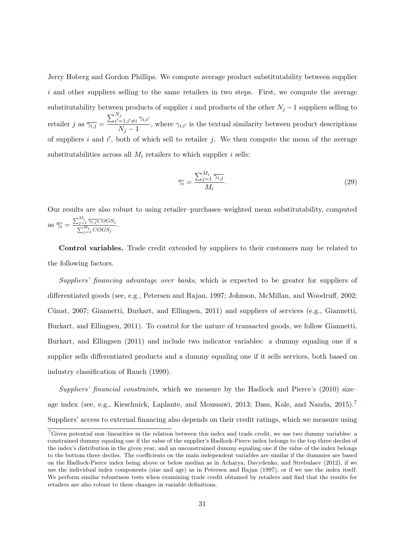Jerry Hoberg and Gordon Phillips. We compute average product substitutability between supplier i and other suppliers selling to the same retailers in two steps. First, we compute the average substitutability between products of supplier i and products of the other  $N_j - 1$  suppliers selling to retailer j as  $\overline{\gamma_{i,j}} =$  $\sum_{i'=1,i'\neq i}^{N_j} \gamma_{i,i'}$  $\frac{-1}{i} \frac{\partial^2 u}{\partial x^2}$ , where  $\gamma_{i,i'}$  is the textual similarity between product descriptions of suppliers i and i', both of which sell to retailer j. We then compute the mean of the average substitutabilities across all  $M_i$  retailers to which supplier i sells:

$$
\overline{\gamma_i} = \frac{\sum_{j=1}^{M_i} \overline{\gamma_{i,j}}}{M_i}.
$$
\n(29)

Our results are also robust to using retailer–purchases–weighted mean substitutability, computed as  $\overline{\gamma_i} = \frac{\sum_{j=1}^{M_i} \overline{\gamma_{i,j}} C O G S_j}{\sum_{j=1}^{M_i} C O G S_j}$  $\sum_{j=1}^{M_i} COGS_j$ .

Control variables. Trade credit extended by suppliers to their customers may be related to the following factors.

Suppliers' financing advantage over banks, which is expected to be greater for suppliers of differentiated goods (see, e.g., Petersen and Rajan, 1997; Johnson, McMillan, and Woodruff, 2002; C˜unat, 2007; Giannetti, Burkart, and Ellingsen, 2011) and suppliers of services (e.g., Giannetti, Burkart, and Ellingsen, 2011). To control for the nature of transacted goods, we follow Giannetti, Burkart, and Ellingsen (2011) and include two indicator variables: a dummy equaling one if a supplier sells differentiated products and a dummy equaling one if it sells services, both based on industry classification of Rauch (1999).

Suppliers' financial constraints, which we measure by the Hadlock and Pierce's (2010) size– age index (see, e.g., Kieschnick, Laplante, and Moussawi, 2013; Dass, Kale, and Nanda, 2015).[7](#page-32-0) Suppliers' access to external financing also depends on their credit ratings, which we measure using

<span id="page-32-0"></span><sup>7</sup>Given potential non–linearities in the relation between this index and trade credit, we use two dummy variables: a constrained dummy equaling one if the value of the supplier's Hadlock-Pierce index belongs to the top three deciles of the index's distribution in the given year, and an unconstrained dummy equaling one if the value of the index belongs to the bottom three deciles. The coefficients on the main independent variables are similar if the dummies are based on the Hadlock-Pierce index being above or below median as in Acharya, Davydenko, and Strebulaev (2012), if we use the individual index components (size and age) as in Petersen and Rajan (1997), or if we use the index itself. We perform similar robustness tests when examining trade credit obtained by retailers and find that the results for retailers are also robust to these changes in variable definitions.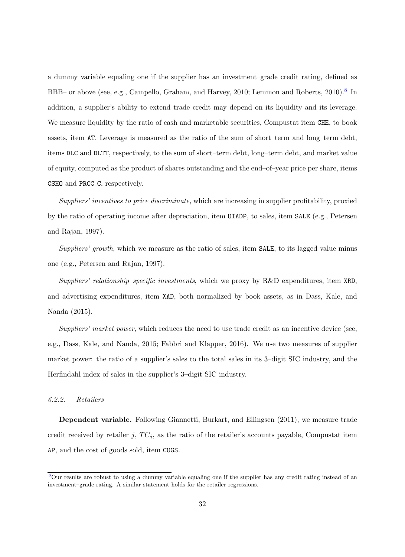a dummy variable equaling one if the supplier has an investment–grade credit rating, defined as BBB– or above (see, e.g., Campello, Graham, and Harvey, 2010; Lemmon and Roberts, 2010).<sup>[8](#page-33-0)</sup> In addition, a supplier's ability to extend trade credit may depend on its liquidity and its leverage. We measure liquidity by the ratio of cash and marketable securities, Compustat item CHE, to book assets, item AT. Leverage is measured as the ratio of the sum of short–term and long–term debt, items DLC and DLTT, respectively, to the sum of short–term debt, long–term debt, and market value of equity, computed as the product of shares outstanding and the end–of–year price per share, items CSHO and PRCC<sub>-C</sub>, respectively.

Suppliers' incentives to price discriminate, which are increasing in supplier profitability, proxied by the ratio of operating income after depreciation, item OIADP, to sales, item SALE (e.g., Petersen and Rajan, 1997).

Suppliers' growth, which we measure as the ratio of sales, item SALE, to its lagged value minus one (e.g., Petersen and Rajan, 1997).

Suppliers' relationship–specific investments, which we proxy by R&D expenditures, item XRD, and advertising expenditures, item XAD, both normalized by book assets, as in Dass, Kale, and Nanda (2015).

Suppliers' market power, which reduces the need to use trade credit as an incentive device (see, e.g., Dass, Kale, and Nanda, 2015; Fabbri and Klapper, 2016). We use two measures of supplier market power: the ratio of a supplier's sales to the total sales in its 3–digit SIC industry, and the Herfindahl index of sales in the supplier's 3–digit SIC industry.

#### 6.2.2. Retailers

Dependent variable. Following Giannetti, Burkart, and Ellingsen (2011), we measure trade credit received by retailer j,  $TC_j$ , as the ratio of the retailer's accounts payable, Compustat item AP, and the cost of goods sold, item COGS.

<span id="page-33-0"></span><sup>8</sup>Our results are robust to using a dummy variable equaling one if the supplier has any credit rating instead of an investment–grade rating. A similar statement holds for the retailer regressions.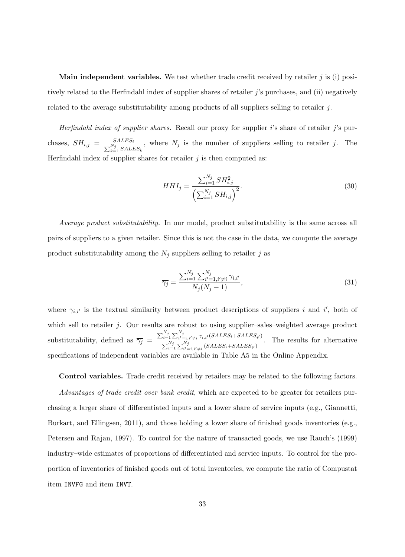**Main independent variables.** We test whether trade credit received by retailer  $j$  is (i) positively related to the Herfindahl index of supplier shares of retailer  $j$ 's purchases, and (ii) negatively related to the average substitutability among products of all suppliers selling to retailer  $i$ .

Herfindahl index of supplier shares. Recall our proxy for supplier  $i$ 's share of retailer  $j$ 's purchases,  $SH_{i,j} = \frac{SALES_i}{\sum_{i=1}^{N_i} S_i}$  $\sum_{k=1}^{N_j} SALES_k$ , where  $N_j$  is the number of suppliers selling to retailer j. The Herfindahl index of supplier shares for retailer  $j$  is then computed as:

$$
HHI_j = \frac{\sum_{i=1}^{N_j} SH_{i,j}^2}{\left(\sum_{i=1}^{N_j} SH_{i,j}\right)^2}.
$$
\n(30)

Average product substitutability. In our model, product substitutability is the same across all pairs of suppliers to a given retailer. Since this is not the case in the data, we compute the average product substitutability among the  $N_j$  suppliers selling to retailer j as

$$
\overline{\gamma_j} = \frac{\sum_{i=1}^{N_j} \sum_{i'=1, i'\neq i}^{N_j} \gamma_{i,i'}}{N_j (N_j - 1)},
$$
\n(31)

where  $\gamma_{i,i'}$  is the textual similarity between product descriptions of suppliers i and i', both of which sell to retailer  $j$ . Our results are robust to using supplier–sales–weighted average product substitutability, defined as  $\overline{\gamma_j}$  =  $\sum_{i=1}^{N_j}\sum_{i'=i,i'\neq i}^{N_j}\gamma_{i,i'}(SALES_i+SALES_{i'})$  $\sum_{i=1}^{N_j} \sum_{i'=i,i'\neq i}^{N_j} (SALES_i + SALES_{i'})$ . The results for alternative specifications of independent variables are available in Table A5 in the Online Appendix.

Control variables. Trade credit received by retailers may be related to the following factors. Advantages of trade credit over bank credit, which are expected to be greater for retailers purchasing a larger share of differentiated inputs and a lower share of service inputs (e.g., Giannetti, Burkart, and Ellingsen, 2011), and those holding a lower share of finished goods inventories (e.g., Petersen and Rajan, 1997). To control for the nature of transacted goods, we use Rauch's (1999) industry–wide estimates of proportions of differentiated and service inputs. To control for the proportion of inventories of finished goods out of total inventories, we compute the ratio of Compustat item INVFG and item INVT.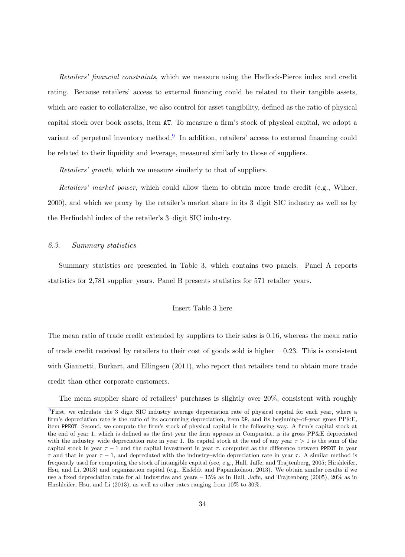Retailers' financial constraints, which we measure using the Hadlock-Pierce index and credit rating. Because retailers' access to external financing could be related to their tangible assets, which are easier to collateralize, we also control for asset tangibility, defined as the ratio of physical capital stock over book assets, item AT. To measure a firm's stock of physical capital, we adopt a variant of perpetual inventory method.<sup>[9](#page-35-0)</sup> In addition, retailers' access to external financing could be related to their liquidity and leverage, measured similarly to those of suppliers.

Retailers' growth, which we measure similarly to that of suppliers.

Retailers' market power, which could allow them to obtain more trade credit (e.g., Wilner, 2000), and which we proxy by the retailer's market share in its 3–digit SIC industry as well as by the Herfindahl index of the retailer's 3–digit SIC industry.

### 6.3. Summary statistics

Summary statistics are presented in Table 3, which contains two panels. Panel A reports statistics for 2,781 supplier–years. Panel B presents statistics for 571 retailer–years.

#### Insert Table 3 here

The mean ratio of trade credit extended by suppliers to their sales is 0.16, whereas the mean ratio of trade credit received by retailers to their cost of goods sold is higher  $-0.23$ . This is consistent with Giannetti, Burkart, and Ellingsen (2011), who report that retailers tend to obtain more trade credit than other corporate customers.

The mean supplier share of retailers' purchases is slightly over 20%, consistent with roughly

<span id="page-35-0"></span><sup>9</sup>First, we calculate the 3–digit SIC industry–average depreciation rate of physical capital for each year, where a firm's depreciation rate is the ratio of its accounting depreciation, item DP, and its beginning–of–year gross PP&E, item PPEGT. Second, we compute the firm's stock of physical capital in the following way. A firm's capital stock at the end of year 1, which is defined as the first year the firm appears in Compustat, is its gross PP&E depreciated with the industry–wide depreciation rate in year 1. Its capital stock at the end of any year  $\tau > 1$  is the sum of the capital stock in year  $\tau - 1$  and the capital investment in year  $\tau$ , computed as the difference between PPEGT in year  $\tau$  and that in year  $\tau$  - 1, and depreciated with the industry–wide depreciation rate in year  $\tau$ . A similar method is frequently used for computing the stock of intangible capital (see, e.g., Hall, Jaffe, and Trajtenberg, 2005; Hirshleifer, Hsu, and Li, 2013) and organization capital (e.g., Eisfeldt and Papanikolaou, 2013). We obtain similar results if we use a fixed depreciation rate for all industries and years  $-15\%$  as in Hall, Jaffe, and Trajtenberg (2005), 20% as in Hirshleifer, Hsu, and Li (2013), as well as other rates ranging from 10% to 30%.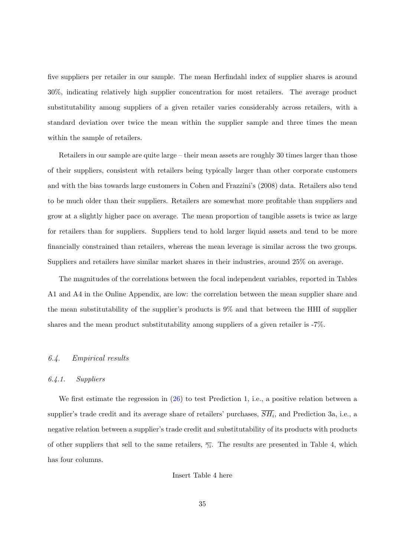five suppliers per retailer in our sample. The mean Herfindahl index of supplier shares is around 30%, indicating relatively high supplier concentration for most retailers. The average product substitutability among suppliers of a given retailer varies considerably across retailers, with a standard deviation over twice the mean within the supplier sample and three times the mean within the sample of retailers.

Retailers in our sample are quite large – their mean assets are roughly 30 times larger than those of their suppliers, consistent with retailers being typically larger than other corporate customers and with the bias towards large customers in Cohen and Frazzini's (2008) data. Retailers also tend to be much older than their suppliers. Retailers are somewhat more profitable than suppliers and grow at a slightly higher pace on average. The mean proportion of tangible assets is twice as large for retailers than for suppliers. Suppliers tend to hold larger liquid assets and tend to be more financially constrained than retailers, whereas the mean leverage is similar across the two groups. Suppliers and retailers have similar market shares in their industries, around 25% on average.

The magnitudes of the correlations between the focal independent variables, reported in Tables A1 and A4 in the Online Appendix, are low: the correlation between the mean supplier share and the mean substitutability of the supplier's products is 9% and that between the HHI of supplier shares and the mean product substitutability among suppliers of a given retailer is -7%.

#### 6.4. Empirical results

#### 6.4.1. Suppliers

We first estimate the regression in  $(26)$  to test Prediction 1, i.e., a positive relation between a supplier's trade credit and its average share of retailers' purchases,  $SH_i$ , and Prediction 3a, i.e., a negative relation between a supplier's trade credit and substitutability of its products with products of other suppliers that sell to the same retailers,  $\overline{\gamma_i}$ . The results are presented in Table 4, which has four columns.

Insert Table 4 here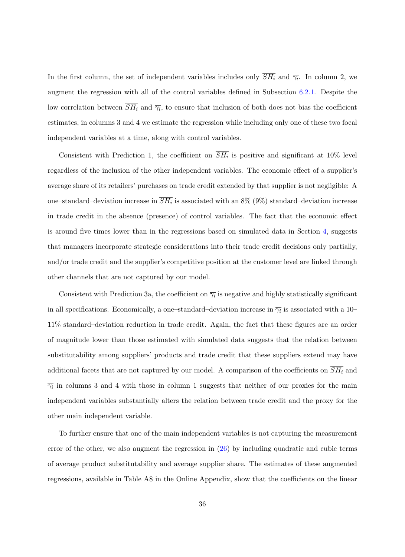In the first column, the set of independent variables includes only  $SH_i$  and  $\overline{\gamma_i}$ . In column 2, we augment the regression with all of the control variables defined in Subsection [6.2.1.](#page-30-1) Despite the low correlation between  $SH_i$  and  $\overline{\gamma_i}$ , to ensure that inclusion of both does not bias the coefficient estimates, in columns 3 and 4 we estimate the regression while including only one of these two focal independent variables at a time, along with control variables.

Consistent with Prediction 1, the coefficient on  $SH_i$  is positive and significant at 10% level regardless of the inclusion of the other independent variables. The economic effect of a supplier's average share of its retailers' purchases on trade credit extended by that supplier is not negligible: A one–standard–deviation increase in  $SH_i$  is associated with an 8% (9%) standard–deviation increase in trade credit in the absence (presence) of control variables. The fact that the economic effect is around five times lower than in the regressions based on simulated data in Section [4,](#page-20-0) suggests that managers incorporate strategic considerations into their trade credit decisions only partially, and/or trade credit and the supplier's competitive position at the customer level are linked through other channels that are not captured by our model.

Consistent with Prediction 3a, the coefficient on  $\overline{\gamma_i}$  is negative and highly statistically significant in all specifications. Economically, a one-standard–deviation increase in  $\overline{\gamma_i}$  is associated with a 10– 11% standard–deviation reduction in trade credit. Again, the fact that these figures are an order of magnitude lower than those estimated with simulated data suggests that the relation between substitutability among suppliers' products and trade credit that these suppliers extend may have additional facets that are not captured by our model. A comparison of the coefficients on  $\overline{SH_i}$  and  $\overline{\gamma_i}$  in columns 3 and 4 with those in column 1 suggests that neither of our proxies for the main independent variables substantially alters the relation between trade credit and the proxy for the other main independent variable.

To further ensure that one of the main independent variables is not capturing the measurement error of the other, we also augment the regression in [\(26\)](#page-30-0) by including quadratic and cubic terms of average product substitutability and average supplier share. The estimates of these augmented regressions, available in Table A8 in the Online Appendix, show that the coefficients on the linear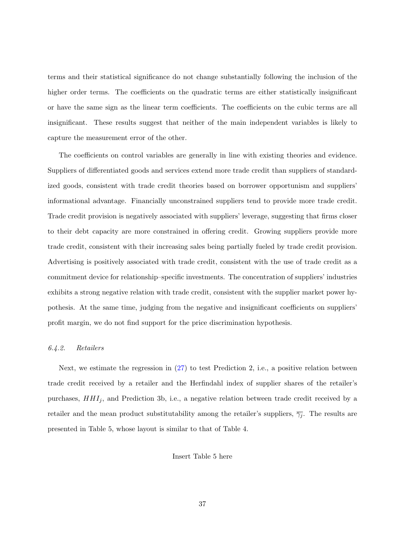terms and their statistical significance do not change substantially following the inclusion of the higher order terms. The coefficients on the quadratic terms are either statistically insignificant or have the same sign as the linear term coefficients. The coefficients on the cubic terms are all insignificant. These results suggest that neither of the main independent variables is likely to capture the measurement error of the other.

The coefficients on control variables are generally in line with existing theories and evidence. Suppliers of differentiated goods and services extend more trade credit than suppliers of standardized goods, consistent with trade credit theories based on borrower opportunism and suppliers' informational advantage. Financially unconstrained suppliers tend to provide more trade credit. Trade credit provision is negatively associated with suppliers' leverage, suggesting that firms closer to their debt capacity are more constrained in offering credit. Growing suppliers provide more trade credit, consistent with their increasing sales being partially fueled by trade credit provision. Advertising is positively associated with trade credit, consistent with the use of trade credit as a commitment device for relationship–specific investments. The concentration of suppliers' industries exhibits a strong negative relation with trade credit, consistent with the supplier market power hypothesis. At the same time, judging from the negative and insignificant coefficients on suppliers' profit margin, we do not find support for the price discrimination hypothesis.

#### 6.4.2. Retailers

Next, we estimate the regression in [\(27\)](#page-30-2) to test Prediction 2, i.e., a positive relation between trade credit received by a retailer and the Herfindahl index of supplier shares of the retailer's purchases,  $HHI<sub>j</sub>$ , and Prediction 3b, i.e., a negative relation between trade credit received by a retailer and the mean product substitutability among the retailer's suppliers,  $\overline{\gamma_j}$ . The results are presented in Table 5, whose layout is similar to that of Table 4.

Insert Table 5 here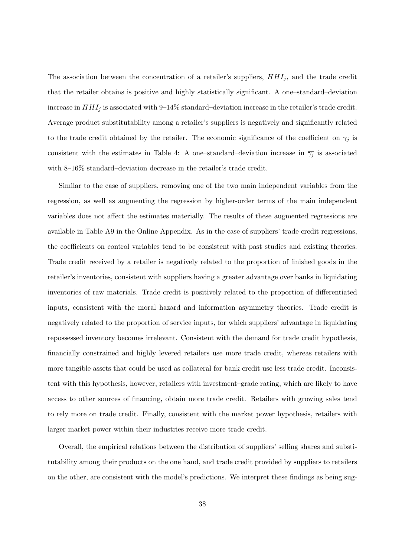The association between the concentration of a retailer's suppliers,  $HHI_j$ , and the trade credit that the retailer obtains is positive and highly statistically significant. A one–standard–deviation increase in  $HHI_j$  is associated with 9–14% standard–deviation increase in the retailer's trade credit. Average product substitutability among a retailer's suppliers is negatively and significantly related to the trade credit obtained by the retailer. The economic significance of the coefficient on  $\overline{\gamma_j}$  is consistent with the estimates in Table 4: A one–standard–deviation increase in  $\overline{\gamma_j}$  is associated with 8–16% standard–deviation decrease in the retailer's trade credit.

Similar to the case of suppliers, removing one of the two main independent variables from the regression, as well as augmenting the regression by higher-order terms of the main independent variables does not affect the estimates materially. The results of these augmented regressions are available in Table A9 in the Online Appendix. As in the case of suppliers' trade credit regressions, the coefficients on control variables tend to be consistent with past studies and existing theories. Trade credit received by a retailer is negatively related to the proportion of finished goods in the retailer's inventories, consistent with suppliers having a greater advantage over banks in liquidating inventories of raw materials. Trade credit is positively related to the proportion of differentiated inputs, consistent with the moral hazard and information asymmetry theories. Trade credit is negatively related to the proportion of service inputs, for which suppliers' advantage in liquidating repossessed inventory becomes irrelevant. Consistent with the demand for trade credit hypothesis, financially constrained and highly levered retailers use more trade credit, whereas retailers with more tangible assets that could be used as collateral for bank credit use less trade credit. Inconsistent with this hypothesis, however, retailers with investment–grade rating, which are likely to have access to other sources of financing, obtain more trade credit. Retailers with growing sales tend to rely more on trade credit. Finally, consistent with the market power hypothesis, retailers with larger market power within their industries receive more trade credit.

Overall, the empirical relations between the distribution of suppliers' selling shares and substitutability among their products on the one hand, and trade credit provided by suppliers to retailers on the other, are consistent with the model's predictions. We interpret these findings as being sug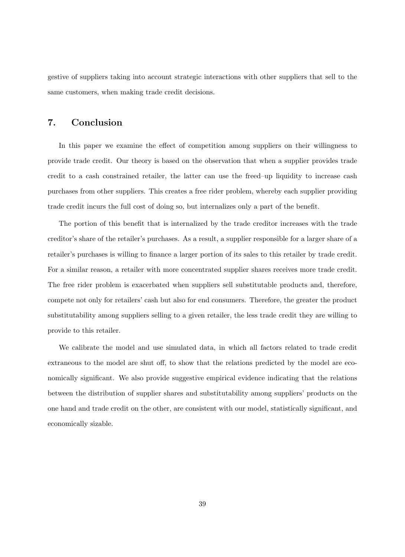gestive of suppliers taking into account strategic interactions with other suppliers that sell to the same customers, when making trade credit decisions.

# 7. Conclusion

In this paper we examine the effect of competition among suppliers on their willingness to provide trade credit. Our theory is based on the observation that when a supplier provides trade credit to a cash constrained retailer, the latter can use the freed–up liquidity to increase cash purchases from other suppliers. This creates a free rider problem, whereby each supplier providing trade credit incurs the full cost of doing so, but internalizes only a part of the benefit.

The portion of this benefit that is internalized by the trade creditor increases with the trade creditor's share of the retailer's purchases. As a result, a supplier responsible for a larger share of a retailer's purchases is willing to finance a larger portion of its sales to this retailer by trade credit. For a similar reason, a retailer with more concentrated supplier shares receives more trade credit. The free rider problem is exacerbated when suppliers sell substitutable products and, therefore, compete not only for retailers' cash but also for end consumers. Therefore, the greater the product substitutability among suppliers selling to a given retailer, the less trade credit they are willing to provide to this retailer.

We calibrate the model and use simulated data, in which all factors related to trade credit extraneous to the model are shut off, to show that the relations predicted by the model are economically significant. We also provide suggestive empirical evidence indicating that the relations between the distribution of supplier shares and substitutability among suppliers' products on the one hand and trade credit on the other, are consistent with our model, statistically significant, and economically sizable.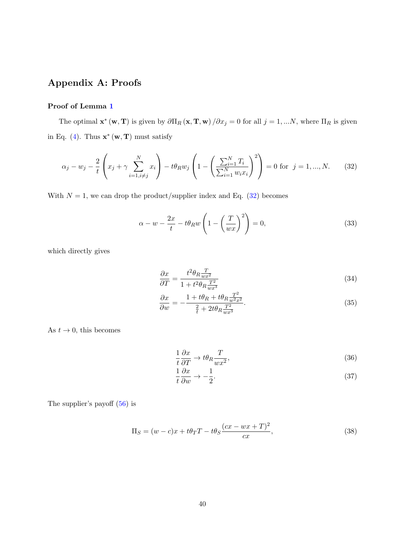# Appendix A: Proofs

## Proof of Lemma [1](#page-11-0)

The optimal  $\mathbf{x}^*(\mathbf{w}, \mathbf{T})$  is given by  $\partial \Pi_R(\mathbf{x}, \mathbf{T}, \mathbf{w}) / \partial x_j = 0$  for all  $j = 1, ...N$ , where  $\Pi_R$  is given in Eq. [\(4\)](#page-9-0). Thus  $\mathbf{x}^*(\mathbf{w}, \mathbf{T})$  must satisfy

$$
\alpha_j - w_j - \frac{2}{t} \left( x_j + \gamma \sum_{i=1, i \neq j}^N x_i \right) - t \theta_R w_j \left( 1 - \left( \frac{\sum_{i=1}^N T_i}{\sum_{i=1}^N w_i x_i} \right)^2 \right) = 0 \text{ for } j = 1, ..., N. \tag{32}
$$

With  $N = 1$ , we can drop the product/supplier index and Eq. [\(32\)](#page-41-0) becomes

<span id="page-41-1"></span><span id="page-41-0"></span>
$$
\alpha - w - \frac{2x}{t} - t\theta_R w \left( 1 - \left(\frac{T}{wx}\right)^2 \right) = 0,\tag{33}
$$

which directly gives

$$
\frac{\partial x}{\partial T} = \frac{t^2 \theta_R \frac{T}{wx^2}}{1 + t^2 \theta_R \frac{T^2}{wx^3}}
$$
(34)

$$
\frac{\partial x}{\partial w} = -\frac{1 + t\theta_R + t\theta_R \frac{T^2}{w^2 x^2}}{\frac{2}{t} + 2t\theta_R \frac{T^2}{wx^3}}.
$$
\n(35)

As  $t \to 0$ , this becomes

<span id="page-41-2"></span>
$$
\frac{1}{t}\frac{\partial x}{\partial T} \to t\theta_R \frac{T}{wx^2},\tag{36}
$$

$$
\frac{1}{t}\frac{\partial x}{\partial w} \to -\frac{1}{2}.\tag{37}
$$

The supplier's payoff [\(56\)](#page-44-0) is

$$
\Pi_S = (w - c)x + t\theta_T T - t\theta_S \frac{(cx - wx + T)^2}{cx},\tag{38}
$$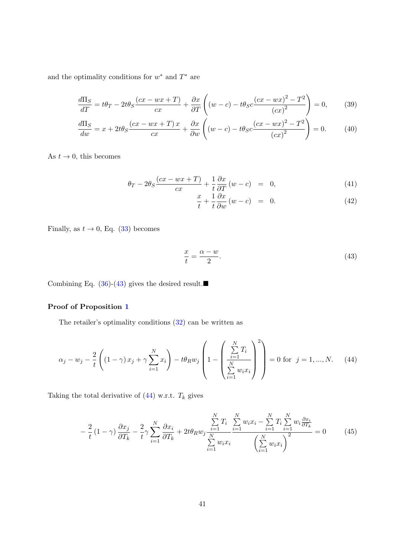and the optimality conditions for  $w^*$  and  $T^*$  are

$$
\frac{d\Pi_S}{dT} = t\theta_T - 2t\theta_S \frac{(cx - wx + T)}{cx} + \frac{\partial x}{\partial T} \left( (w - c) - t\theta_{SC} \frac{(cx - wx)^2 - T^2}{(cx)^2} \right) = 0,\tag{39}
$$

$$
\frac{d\Pi_S}{dw} = x + 2t\theta_S \frac{(cx - wx + T)x}{cx} + \frac{\partial x}{\partial w} \left( (w - c) - t\theta_S c \frac{(cx - wx)^2 - T^2}{(cx)^2} \right) = 0.
$$
 (40)

As  $t \to 0$ , this becomes

$$
\theta_T - 2\theta_S \frac{(cx - wx + T)}{cx} + \frac{1}{t} \frac{\partial x}{\partial T} (w - c) = 0, \tag{41}
$$

$$
\frac{x}{t} + \frac{1}{t}\frac{\partial x}{\partial w}(w - c) = 0.
$$
\n(42)

Finally, as  $t \to 0$ , Eq. [\(33\)](#page-41-1) becomes

<span id="page-42-0"></span>
$$
\frac{x}{t} = \frac{\alpha - w}{2}.\tag{43}
$$

Combining Eq.  $(36)-(43)$  $(36)-(43)$  $(36)-(43)$  gives the desired result.

### Proof of Proposition [1](#page-13-0)

The retailer's optimality conditions [\(32\)](#page-41-0) can be written as

<span id="page-42-1"></span>
$$
\alpha_j - w_j - \frac{2}{t} \left( (1 - \gamma) x_j + \gamma \sum_{i=1}^N x_i \right) - t \theta_R w_j \left( 1 - \left( \sum_{\substack{i=1 \ i \neq j}}^N T_i \right)^2 \right) = 0 \text{ for } j = 1, ..., N. \tag{44}
$$

Taking the total derivative of  $(44)$  w.r.t.  $T_k$  gives

<span id="page-42-2"></span>
$$
-\frac{2}{t}\left(1-\gamma\right)\frac{\partial x_j}{\partial T_k} - \frac{2}{t}\gamma\sum_{i=1}^N\frac{\partial x_i}{\partial T_k} + 2t\theta_R w_j \frac{\sum\limits_{i=1}^N T_i}{\sum\limits_{i=1}^N w_i x_i} \frac{\sum\limits_{i=1}^N w_i x_i - \sum\limits_{i=1}^N T_i \sum\limits_{i=1}^N w_i \frac{\partial x_i}{\partial T_k}}{\left(\sum\limits_{i=1}^N w_i x_i\right)^2} = 0\tag{45}
$$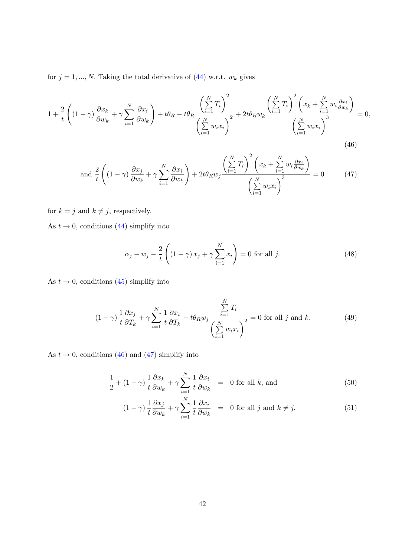for  $j = 1, ..., N$ . Taking the total derivative of [\(44\)](#page-42-1) w.r.t.  $w_k$  gives

$$
1 + \frac{2}{t} \left( (1 - \gamma) \frac{\partial x_k}{\partial w_k} + \gamma \sum_{i=1}^N \frac{\partial x_i}{\partial w_k} \right) + t\theta_R - t\theta_R \frac{\left(\sum_{i=1}^N T_i\right)^2}{\left(\sum_{i=1}^N w_i x_i\right)^2} + 2t\theta_R w_k \frac{\left(\sum_{i=1}^N T_i\right)^2 \left(x_k + \sum_{i=1}^N w_i \frac{\partial x_i}{\partial w_k}\right)}{\left(\sum_{i=1}^N w_i x_i\right)^3} = 0,
$$
\n(46)

and 
$$
\frac{2}{t}\left((1-\gamma)\frac{\partial x_j}{\partial w_k} + \gamma \sum_{i=1}^N \frac{\partial x_i}{\partial w_k}\right) + 2t\theta_R w_j \frac{\left(\sum_{i=1}^N T_i\right)^2 \left(x_k + \sum_{i=1}^N w_i \frac{\partial x_i}{\partial w_k}\right)}{\left(\sum_{i=1}^N w_i x_i\right)^3} = 0
$$
(47)

for  $k = j$  and  $k \neq j,$  respectively.

As  $t \to 0$ , conditions [\(44\)](#page-42-1) simplify into

<span id="page-43-4"></span><span id="page-43-1"></span><span id="page-43-0"></span>
$$
\alpha_j - w_j - \frac{2}{t} \left( (1 - \gamma) x_j + \gamma \sum_{i=1}^N x_i \right) = 0 \text{ for all } j.
$$
\n(48)

As  $t \to 0$ , conditions [\(45\)](#page-42-2) simplify into

<span id="page-43-2"></span>
$$
(1 - \gamma) \frac{1}{t} \frac{\partial x_j}{\partial T_k} + \gamma \sum_{i=1}^N \frac{1}{t} \frac{\partial x_i}{\partial T_k} - t \theta_R w_j \frac{\sum_{i=1}^N T_i}{\left(\sum_{i=1}^N w_i x_i\right)^2} = 0 \text{ for all } j \text{ and } k. \tag{49}
$$

As  $t \to 0$ , conditions [\(46\)](#page-43-0) and [\(47\)](#page-43-1) simplify into

<span id="page-43-3"></span>
$$
\frac{1}{2} + (1 - \gamma) \frac{1}{t} \frac{\partial x_k}{\partial w_k} + \gamma \sum_{i=1}^{N} \frac{1}{t} \frac{\partial x_i}{\partial w_k} = 0 \text{ for all } k, \text{ and}
$$
 (50)

$$
(1 - \gamma) \frac{1}{t} \frac{\partial x_j}{\partial w_k} + \gamma \sum_{i=1}^N \frac{1}{t} \frac{\partial x_i}{\partial w_k} = 0 \text{ for all } j \text{ and } k \neq j.
$$
 (51)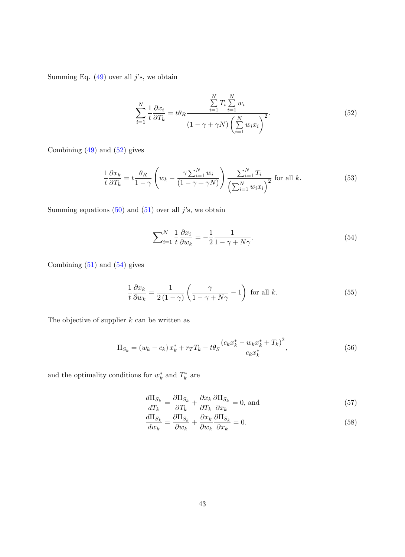Summing Eq.  $(49)$  over all  $j$ 's, we obtain

<span id="page-44-1"></span>
$$
\sum_{i=1}^{N} \frac{1}{t} \frac{\partial x_i}{\partial T_k} = t \theta_R \frac{\sum_{i=1}^{N} T_i \sum_{i=1}^{N} w_i}{(1 - \gamma + \gamma N) \left(\sum_{i=1}^{N} w_i x_i\right)^2}.
$$
\n(52)

Combining  $(49)$  and  $(52)$  gives

<span id="page-44-5"></span>
$$
\frac{1}{t}\frac{\partial x_k}{\partial T_k} = t\frac{\theta_R}{1-\gamma} \left(w_k - \frac{\gamma \sum_{i=1}^N w_i}{(1-\gamma + \gamma N)}\right) \frac{\sum_{i=1}^N T_i}{\left(\sum_{i=1}^N w_i x_i\right)^2} \text{ for all } k. \tag{53}
$$

Summing equations  $(50)$  and  $(51)$  over all  $j$ 's, we obtain

<span id="page-44-2"></span>
$$
\sum_{i=1}^{N} \frac{1}{t} \frac{\partial x_i}{\partial w_k} = -\frac{1}{2} \frac{1}{1 - \gamma + N\gamma}.
$$
\n(54)

Combining  $(51)$  and  $(54)$  gives

<span id="page-44-6"></span>
$$
\frac{1}{t}\frac{\partial x_k}{\partial w_k} = \frac{1}{2(1-\gamma)}\left(\frac{\gamma}{1-\gamma+N\gamma}-1\right) \text{ for all } k. \tag{55}
$$

The objective of supplier  $k$  can be written as

<span id="page-44-0"></span>
$$
\Pi_{S_k} = (w_k - c_k) x_k^* + r_T T_k - t \theta_S \frac{(c_k x_k^* - w_k x_k^* + T_k)^2}{c_k x_k^*},
$$
\n(56)

and the optimality conditions for  $w_k^*$  and  $T_k^*$  are

$$
\frac{d\Pi_{S_k}}{dT_k} = \frac{\partial \Pi_{S_k}}{\partial T_k} + \frac{\partial x_k}{\partial T_k} \frac{\partial \Pi_{S_k}}{\partial x_k} = 0, \text{ and}
$$
\n(57)

<span id="page-44-4"></span><span id="page-44-3"></span>
$$
\frac{d\Pi_{S_k}}{dw_k} = \frac{\partial \Pi_{S_k}}{\partial w_k} + \frac{\partial x_k}{\partial w_k} \frac{\partial \Pi_{S_k}}{\partial x_k} = 0.
$$
\n(58)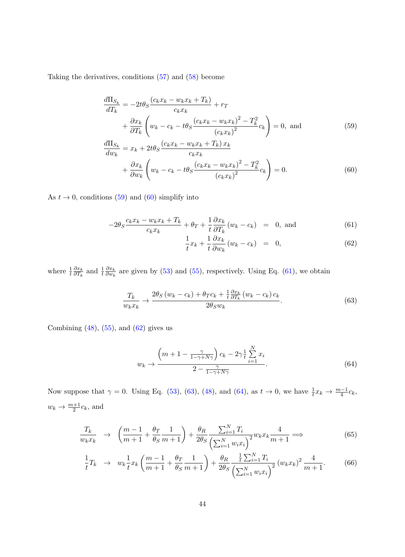Taking the derivatives, conditions [\(57\)](#page-44-3) and [\(58\)](#page-44-4) become

$$
\frac{d\Pi_{S_k}}{dT_k} = -2t\theta_S \frac{(c_k x_k - w_k x_k + T_k)}{c_k x_k} + r_T
$$
\n
$$
+ \frac{\partial x_k}{\partial T_k} \left( w_k - c_k - t\theta_S \frac{(c_k x_k - w_k x_k)^2 - T_k^2}{(c_k x_k)^2} c_k \right) = 0, \text{ and}
$$
\n(59)

$$
\frac{d\Pi_{S_k}}{dw_k} = x_k + 2t\theta_S \frac{\left(c_k x_k - w_k x_k + T_k\right) x_k}{c_k x_k} + \frac{\partial x_k}{\partial w_k} \left(w_k - c_k - t\theta_S \frac{\left(c_k x_k - w_k x_k\right)^2 - T_k^2}{\left(c_k x_k\right)^2} c_k\right) = 0.
$$
\n
$$
(60)
$$

As  $t \to 0$ , conditions [\(59\)](#page-45-0) and [\(60\)](#page-45-1) simplify into

<span id="page-45-2"></span>
$$
-2\theta_S \frac{c_k x_k - w_k x_k + T_k}{c_k x_k} + \theta_T + \frac{1}{t} \frac{\partial x_k}{\partial T_k} (w_k - c_k) = 0, \text{ and } (61)
$$

<span id="page-45-1"></span><span id="page-45-0"></span>
$$
\frac{1}{t}x_k + \frac{1}{t}\frac{\partial x_k}{\partial w_k}(w_k - c_k) = 0, \tag{62}
$$

where  $\frac{1}{t} \frac{\partial x_k}{\partial T_k}$  $\frac{\partial x_k}{\partial T_k}$  and  $\frac{1}{t} \frac{\partial x_k}{\partial w_k}$  $\frac{\partial x_k}{\partial w_k}$  are given by [\(53\)](#page-44-5) and [\(55\)](#page-44-6), respectively. Using Eq. [\(61\)](#page-45-2), we obtain

<span id="page-45-3"></span>
$$
\frac{T_k}{w_k x_k} \to \frac{2\theta_S \left(w_k - c_k\right) + \theta_T c_k + \frac{1}{t} \frac{\partial x_k}{\partial T_k} \left(w_k - c_k\right) c_k}{2\theta_S w_k}.\tag{63}
$$

Combining  $(48)$ ,  $(55)$ , and  $(62)$  gives us

<span id="page-45-4"></span>
$$
w_k \to \frac{\left(m+1 - \frac{\gamma}{1-\gamma+N\gamma}\right)c_k - 2\gamma \frac{1}{t}\sum\limits_{i=1}^N x_i}{2 - \frac{\gamma}{1-\gamma+N\gamma}}.
$$
\n
$$
(64)
$$

Now suppose that  $\gamma = 0$ . Using Eq. [\(53\)](#page-44-5), [\(63\)](#page-45-3), [\(48\)](#page-43-4), and [\(64\)](#page-45-4), as  $t \to 0$ , we have  $\frac{1}{t}x_k \to \frac{m-1}{4}c_k$ ,  $w_k \to \frac{m+1}{2}c_k$ , and

<span id="page-45-5"></span>
$$
\frac{T_k}{w_k x_k} \rightarrow \left(\frac{m-1}{m+1} + \frac{\theta_T}{\theta_S} \frac{1}{m+1}\right) + \frac{\theta_R}{2\theta_S} \frac{\sum_{i=1}^N T_i}{\left(\sum_{i=1}^N w_i x_i\right)^2} w_k x_k \frac{4}{m+1} \Longrightarrow \tag{65}
$$

$$
\frac{1}{t}T_k \to w_k \frac{1}{t}x_k \left(\frac{m-1}{m+1} + \frac{\theta_T}{\theta_S} \frac{1}{m+1}\right) + \frac{\theta_R}{2\theta_S} \frac{\frac{1}{t} \sum_{i=1}^N T_i}{\left(\sum_{i=1}^N w_i x_i\right)^2} (w_k x_k)^2 \frac{4}{m+1}.
$$
 (66)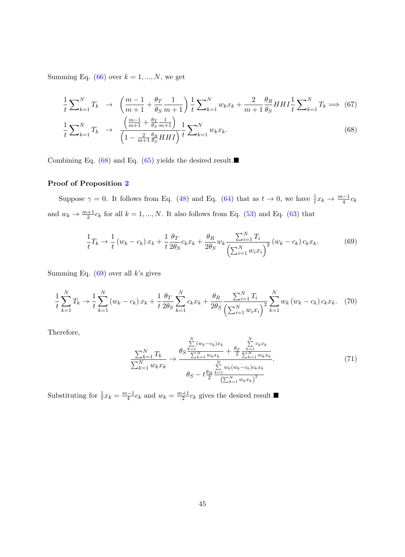Summing Eq.  $(66)$  over  $k = 1, ..., N$ , we get

<span id="page-46-0"></span>
$$
\frac{1}{t}\sum_{k=1}^{N}T_{k} \rightarrow \left(\frac{m-1}{m+1} + \frac{\theta_{T}}{\theta_{S}}\frac{1}{m+1}\right)\frac{1}{t}\sum_{k=1}^{N}w_{k}x_{k} + \frac{2}{m+1}\frac{\theta_{R}}{\theta_{S}}HHI\frac{1}{t}\sum_{k=1}^{N}T_{k} \implies (67)
$$
\n
$$
\frac{1}{t}\sum_{k=1}^{N}T_{k} \rightarrow \frac{\left(\frac{m-1}{m+1} + \frac{\theta_{T}}{\theta_{S}}\frac{1}{m+1}\right)}{\left(1 - \frac{2}{m+1}\frac{\theta_{R}}{\theta_{S}}HHI\right)}\frac{1}{t}\sum_{k=1}^{N}w_{k}x_{k}.
$$
\n(68)

Combining Eq. [\(68\)](#page-46-0) and Eq. [\(65\)](#page-45-5) yields the desired result.

### Proof of Proposition [2](#page-13-1)

Suppose  $\gamma = 0$ . It follows from Eq. [\(48\)](#page-43-4) and Eq. [\(64\)](#page-45-4) that as  $t \to 0$ , we have  $\frac{1}{t}x_k \to \frac{m-1}{4}c_k$ and  $w_k \to \frac{m+1}{2}c_k$  for all  $k = 1, ..., N$ . It also follows from Eq. [\(53\)](#page-44-5) and Eq. [\(63\)](#page-45-3) that

<span id="page-46-1"></span>
$$
\frac{1}{t}T_k \to \frac{1}{t}(w_k - c_k)x_k + \frac{1}{t}\frac{\theta_T}{2\theta_S}c_kx_k + \frac{\theta_R}{2\theta_S}w_k \frac{\sum_{i=1}^N T_i}{\left(\sum_{i=1}^N w_i x_i\right)^2}(w_k - c_k)c_kx_k.
$$
\n(69)

Summing Eq.  $(69)$  over all k's gives

$$
\frac{1}{t}\sum_{k=1}^{N}T_{k} \to \frac{1}{t}\sum_{k=1}^{N}\left(w_{k}-c_{k}\right)x_{k} + \frac{1}{t}\frac{\theta_{T}}{2\theta_{S}}\sum_{k=1}^{N}c_{k}x_{k} + \frac{\theta_{R}}{2\theta_{S}}\frac{\sum_{i=1}^{N}T_{i}}{\left(\sum_{i=1}^{N}w_{i}x_{i}\right)^{2}}\sum_{k=1}^{N}w_{k}\left(w_{k}-c_{k}\right)c_{k}x_{k}.\tag{70}
$$

Therefore,

$$
\frac{\sum_{k=1}^{N} T_k}{\sum_{k=1}^{N} w_k x_k} \to \frac{\theta_S \frac{\sum_{k=1}^{N} (w_k - c_k) x_k}{\sum_{k=1}^{N} w_k x_k} + \frac{\theta_T}{2} \frac{\sum_{k=1}^{N} c_k x_k}{\sum_{k=1}^{N} w_k x_k}}{\sum_{k=1}^{N} w_k (w_k - c_k) c_k x_k}
$$
\n
$$
\theta_S - t \frac{\theta_R}{2} \frac{\sum_{k=1}^{N} w_k (w_k - c_k) c_k x_k}{\left(\sum_{k=1}^{N} w_k x_k\right)^2} \tag{71}
$$

Substituting for  $\frac{1}{t}x_k = \frac{m-1}{4}$  $\frac{k-1}{4}c_k$  and  $w_k = \frac{m+1}{2}$  $\frac{1}{2}c_k$  gives the desired result.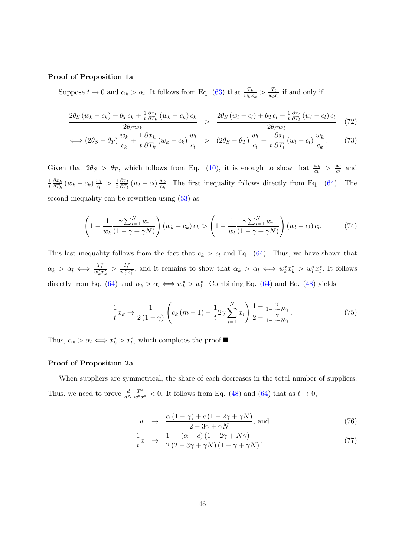#### Proof of Proposition 1a

Suppose  $t \to 0$  and  $\alpha_k > \alpha_l$ . It follows from Eq. [\(63\)](#page-45-3) that  $\frac{T_k}{w_k x_k} > \frac{T_l}{w_l}$  $\frac{I_l}{w_l x_l}$  if and only if

$$
\frac{2\theta_S \left(w_k - c_k\right) + \theta_T c_k + \frac{1}{t} \frac{\partial x_k}{\partial T_k} \left(w_k - c_k\right) c_k}{2\theta_S w_k} > \frac{2\theta_S \left(w_l - c_l\right) + \theta_T c_l + \frac{1}{t} \frac{\partial x_l}{\partial T_l} \left(w_l - c_l\right) c_l}{2\theta_S w_l} \tag{72}
$$

$$
\iff (2\theta_S - \theta_T) \frac{w_k}{c_k} + \frac{1}{t} \frac{\partial x_k}{\partial T_k} (w_k - c_k) \frac{w_l}{c_l} > (2\theta_S - \theta_T) \frac{w_l}{c_l} + \frac{1}{t} \frac{\partial x_l}{\partial T_l} (w_l - c_l) \frac{w_k}{c_k}.
$$
 (73)

Given that  $2\theta_S > \theta_T$ , which follows from Eq. [\(10\)](#page-12-0), it is enough to show that  $\frac{w_k}{c_k} > \frac{w_l}{c_l}$  $\frac{w_l}{c_l}$  and 1  $\frac{1}{t}\frac{\partial x_k}{\partial T_k}$  $\frac{\partial x_{k}}{\partial T_{k}}\left (w_{k} - c_{k}\right )\frac{w_{l}}{c_{l}}$  $\frac{w_l}{c_l}$  >  $\frac{1}{t}$  $\frac{1}{t}\frac{\partial x_l}{\partial T_l}$  $\frac{\partial x_l}{\partial T_l}\left(w_l-c_l\right)\frac{w_k}{c_k}$  $\frac{w_k}{c_k}$ . The first inequality follows directly from Eq. [\(64\)](#page-45-4). The second inequality can be rewritten using [\(53\)](#page-44-5) as

$$
\left(1 - \frac{1}{w_k} \frac{\gamma \sum_{i=1}^N w_i}{(1 - \gamma + \gamma N)}\right) (w_k - c_k) c_k > \left(1 - \frac{1}{w_l} \frac{\gamma \sum_{i=1}^N w_i}{(1 - \gamma + \gamma N)}\right) (w_l - c_l) c_l.
$$
\n
$$
(74)
$$

This last inequality follows from the fact that  $c_k > c_l$  and Eq. [\(64\)](#page-45-4). Thus, we have shown that  $\alpha_k > \alpha_l \iff \frac{T_k^*}{w_k^* x_k^*} > \frac{T_l^*}{w_l^* x_l^*}$ , and it remains to show that  $\alpha_k > \alpha_l \iff w_k^* x_k^* > w_l^* x_l^*$ . It follows directly from Eq. [\(64\)](#page-45-4) that  $\alpha_k > \alpha_l \iff w_k^* > w_l^*$ . Combining Eq. (64) and Eq. [\(48\)](#page-43-4) yields

$$
\frac{1}{t}x_k \to \frac{1}{2(1-\gamma)} \left( c_k (m-1) - \frac{1}{t} 2\gamma \sum_{i=1}^N x_i \right) \frac{1 - \frac{\gamma}{1-\gamma + N\gamma}}{2 - \frac{\gamma}{1-\gamma + N\gamma}}.
$$
\n(75)

Thus,  $\alpha_k > \alpha_l \Longleftrightarrow x_k^* > x_l^*$ , which completes the proof.

### Proof of Proposition 2a

When suppliers are symmetrical, the share of each decreases in the total number of suppliers. Thus, we need to prove  $\frac{d}{dN}$  $\frac{T^*}{w^*x^*}$  < 0. It follows from Eq. [\(48\)](#page-43-4) and [\(64\)](#page-45-4) that as  $t \to 0$ ,

<span id="page-47-0"></span>
$$
w \rightarrow \frac{\alpha (1 - \gamma) + c (1 - 2\gamma + \gamma N)}{2 - 3\gamma + \gamma N}, \text{ and}
$$
\n(76)

$$
\frac{1}{t}x \rightarrow \frac{1}{2}\frac{(\alpha-c)(1-2\gamma+N\gamma)}{(2-3\gamma+\gamma N)(1-\gamma+\gamma N)}.
$$
\n(77)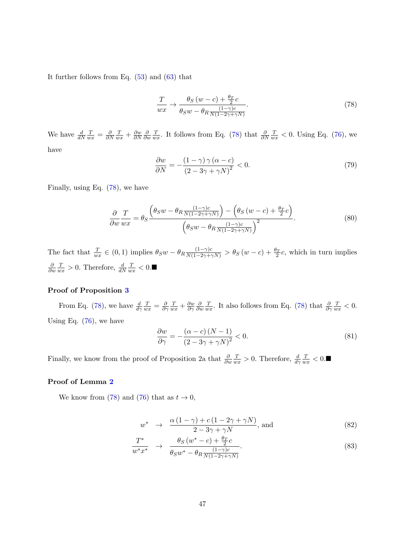It further follows from Eq. [\(53\)](#page-44-5) and [\(63\)](#page-45-3) that

<span id="page-48-0"></span>
$$
\frac{T}{wx} \to \frac{\theta_S (w - c) + \frac{\theta_T}{2} c}{\theta_S w - \theta_R \frac{(1 - \gamma)c}{N(1 - 2\gamma + \gamma N)}}.
$$
\n(78)

We have  $\frac{d}{dN}$  $\frac{T}{wx} = \frac{\partial}{\partial I}$ ∂N  $\frac{T}{wx}+\frac{\partial w}{\partial N}$ ∂N ∂ ∂w  $\mathcal{I}$  $\frac{T}{wx}$ . It follows from Eq. [\(78\)](#page-48-0) that  $\frac{\partial}{\partial N}$  $\frac{T}{wx}$  < 0. Using Eq. [\(76\)](#page-47-0), we have

$$
\frac{\partial w}{\partial N} = -\frac{(1-\gamma)\gamma(\alpha-c)}{(2-3\gamma+\gamma N)^2} < 0. \tag{79}
$$

Finally, using Eq. [\(78\)](#page-48-0), we have

$$
\frac{\partial}{\partial w}\frac{T}{wx} = \theta_S \frac{\left(\theta_S w - \theta_R \frac{(1-\gamma)c}{N(1-2\gamma+\gamma N)}\right) - \left(\theta_S (w-c) + \frac{\theta_T}{2}c\right)}{\left(\theta_S w - \theta_R \frac{(1-\gamma)c}{N(1-2\gamma+\gamma N)}\right)^2}.
$$
\n(80)

The fact that  $\frac{T}{wx} \in (0,1)$  implies  $\theta_S w - \theta_R \frac{(1-\gamma)c}{N(1-2\gamma+\gamma N)} > \theta_S (w-c) + \frac{\theta_T}{2}c$ , which in turn implies ∂ ∂w  $\frac{T}{wx} > 0$ . Therefore,  $\frac{d}{dN}$  $\frac{T}{wx}$  < 0.

#### Proof of Proposition [3](#page-15-0)

From Eq. [\(78\)](#page-48-0), we have  $\frac{d}{d\gamma}$  $\frac{T}{wx} = \frac{\partial}{\partial x}$  $\partial \gamma$  $\frac{T}{wx}+\frac{\partial w}{\partial \gamma}$  $\partial \gamma$ ∂ ∂w T  $\frac{T}{wx}$ . It also follows from Eq. [\(78\)](#page-48-0) that  $\frac{\partial}{\partial \gamma}$  $\frac{T}{wx} < 0.$ Using Eq.  $(76)$ , we have

$$
\frac{\partial w}{\partial \gamma} = -\frac{(\alpha - c)(N - 1)}{(2 - 3\gamma + \gamma N)^2} < 0. \tag{81}
$$

Finally, we know from the proof of Proposition 2a that  $\frac{\partial}{\partial w}$  $\frac{T}{wx} > 0$ . Therefore,  $\frac{d}{d\gamma}$  $\frac{T}{wx}$  < 0.

### Proof of Lemma [2](#page-16-0)

We know from [\(78\)](#page-48-0) and [\(76\)](#page-47-0) that as  $t \to 0$ ,

<span id="page-48-1"></span>
$$
w^* \rightarrow \frac{\alpha (1 - \gamma) + c (1 - 2\gamma + \gamma N)}{2 - 3\gamma + \gamma N}, \text{ and} \tag{82}
$$

$$
\frac{T^*}{w^*x^*} \rightarrow \frac{\theta_S(w^*-c) + \frac{\theta_T}{2}c}{\theta_S w^* - \theta_R \frac{(1-\gamma)c}{N(1-2\gamma+\gamma N)}}.
$$
\n(83)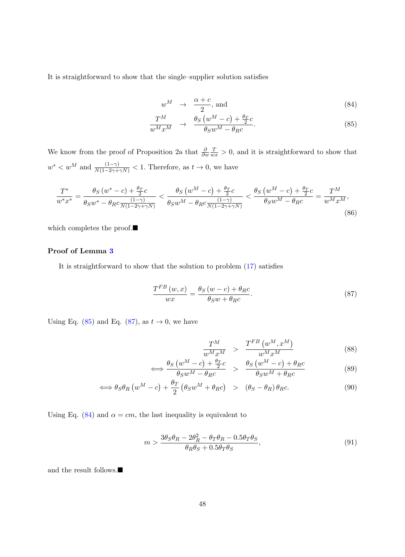It is straightforward to show that the single–supplier solution satisfies

<span id="page-49-0"></span>
$$
w^M \rightarrow \frac{\alpha + c}{2}, \text{ and} \tag{84}
$$

$$
\frac{T^{M}}{w^{M}x^{M}} \rightarrow \frac{\theta_{S}\left(w^{M}-c\right)+\frac{\theta_{T}}{2}c}{\theta_{S}w^{M}-\theta_{RC}}.
$$
\n(85)

We know from the proof of Proposition 2a that  $\frac{\partial}{\partial w}$  $\frac{T}{wx} > 0$ , and it is straightforward to show that  $w^* < w^M$  and  $\frac{(1-\gamma)}{N(1-2\gamma+\gamma N)} < 1$ . Therefore, as  $t \to 0$ , we have

$$
\frac{T^*}{w^*x^*} = \frac{\theta_S(w^*-c) + \frac{\theta_T}{2}c}{\theta_S w^* - \theta_R c \frac{(1-\gamma)}{N(1-2\gamma+\gamma N)}} < \frac{\theta_S(w^M-c) + \frac{\theta_T}{2}c}{\theta_S w^M - \theta_R c \frac{(1-\gamma)}{N(1-2\gamma+\gamma N)}} < \frac{\theta_S(w^M-c) + \frac{\theta_T}{2}c}{\theta_S w^M - \theta_R c} = \frac{T^M}{w^M x^M},\tag{86}
$$

which completes the proof.

### Proof of Lemma [3](#page-17-0)

It is straightforward to show that the solution to problem [\(17\)](#page-17-1) satisfies

<span id="page-49-1"></span>
$$
\frac{T^{FB}(w,x)}{wx} = \frac{\theta_S(w-c) + \theta_{RC}}{\theta_S w + \theta_{RC}}.\tag{87}
$$

Using Eq. [\(85\)](#page-49-0) and Eq. [\(87\)](#page-49-1), as  $t \to 0$ , we have

$$
\frac{T^M}{w^M x^M} > \frac{T^{FB} (w^M, x^M)}{w^M x^M}
$$
\n(88)

$$
\iff \frac{\theta_S \left( w^M - c \right) + \frac{\theta_T}{2} c}{\theta_S w^M - \theta_R c} > \frac{\theta_S \left( w^M - c \right) + \theta_R c}{\theta_S w^M + \theta_R c} \tag{89}
$$

$$
\iff \theta_S \theta_R \left( w^M - c \right) + \frac{\theta_T}{2} \left( \theta_S w^M + \theta_R c \right) \quad > \quad (\theta_S - \theta_R) \theta_R c. \tag{90}
$$

Using Eq. [\(84\)](#page-49-0) and  $\alpha = cm$ , the last inequality is equivalent to

$$
m > \frac{3\theta_S \theta_R - 2\theta_R^2 - \theta_T \theta_R - 0.5\theta_T \theta_S}{\theta_R \theta_S + 0.5\theta_T \theta_S},
$$
\n
$$
(91)
$$

and the result follows.<br> $\blacksquare$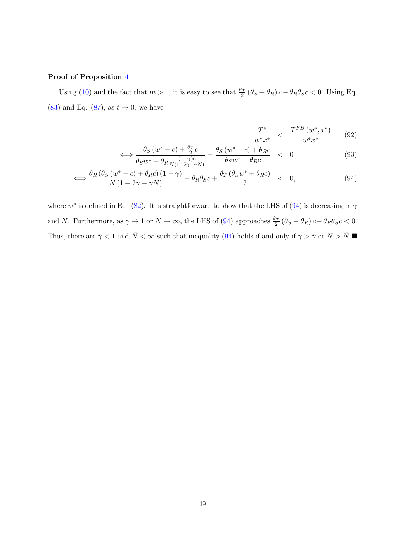### Proof of Proposition [4](#page-17-2)

Using [\(10\)](#page-12-0) and the fact that  $m > 1$ , it is easy to see that  $\frac{\theta_T}{2} (\theta_S + \theta_R) c - \theta_R \theta_S c < 0$ . Using Eq. [\(83\)](#page-48-1) and Eq. [\(87\)](#page-49-1), as  $t \rightarrow 0$ , we have

<span id="page-50-0"></span>
$$
\frac{T^*}{w^*x^*} < \frac{T^{FB}(w^*, x^*)}{w^*x^*} \qquad (92)
$$

$$
\iff \frac{\theta_S \left(w^* - c\right) + \frac{\theta_T}{2} c}{\theta_S w^* - \theta_R \frac{(1 - \gamma)c}{N(1 - 2\gamma + \gamma N)}} - \frac{\theta_S \left(w^* - c\right) + \theta_R c}{\theta_S w^* + \theta_R c} < 0 \tag{93}
$$

$$
\iff \frac{\theta_R \left( \theta_S \left( w^* - c \right) + \theta_R c \right) \left( 1 - \gamma \right)}{N \left( 1 - 2\gamma + \gamma N \right)} - \theta_R \theta_S c + \frac{\theta_T \left( \theta_S w^* + \theta_R c \right)}{2} < 0,\tag{94}
$$

where  $w^*$  is defined in Eq. [\(82\)](#page-48-1). It is straightforward to show that the LHS of [\(94\)](#page-50-0) is decreasing in  $\gamma$ and N. Furthermore, as  $\gamma \to 1$  or  $N \to \infty$ , the LHS of [\(94\)](#page-50-0) approaches  $\frac{\theta_T}{2} (\theta_S + \theta_R) c - \theta_R \theta_{SC} < 0$ . Thus, there are  $\bar{\gamma}$  < 1 and  $\bar{N}$  <  $\infty$  such that inequality [\(94\)](#page-50-0) holds if and only if  $\gamma > \bar{\gamma}$  or  $N > \bar{N}$ .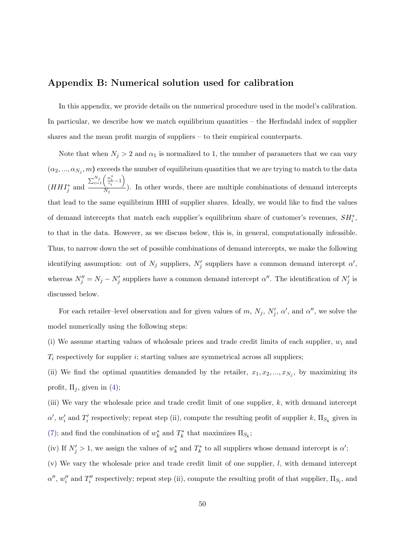# Appendix B: Numerical solution used for calibration

In this appendix, we provide details on the numerical procedure used in the model's calibration. In particular, we describe how we match equilibrium quantities – the Herfindahl index of supplier shares and the mean profit margin of suppliers – to their empirical counterparts.

Note that when  $N_j > 2$  and  $\alpha_1$  is normalized to 1, the number of parameters that we can vary  $(\alpha_2, ..., \alpha_{N_j}, m)$  exceeds the number of equilibrium quantities that we are trying to match to the data  $(HHI<sub>j</sub><sup>*</sup>$  and  $\sum_{i=1}^{N_j} \left( \frac{w_i^*}{c_i} - 1 \right)$  $\frac{\binom{n}{q}}{N_j}$ . In other words, there are multiple combinations of demand intercepts that lead to the same equilibrium HHI of supplier shares. Ideally, we would like to find the values of demand intercepts that match each supplier's equilibrium share of customer's revenues,  $SH_i^*$ , to that in the data. However, as we discuss below, this is, in general, computationally infeasible. Thus, to narrow down the set of possible combinations of demand intercepts, we make the following identifying assumption: out of  $N_j$  suppliers,  $N'_j$  suppliers have a common demand intercept  $\alpha'$ , whereas  $N''_j = N_j - N'_j$  suppliers have a common demand intercept  $\alpha''$ . The identification of  $N'_j$  is discussed below.

For each retailer–level observation and for given values of m,  $N_j$ ,  $N'_j$ ,  $\alpha'$ , and  $\alpha''$ , we solve the model numerically using the following steps:

(i) We assume starting values of wholesale prices and trade credit limits of each supplier,  $w_i$  and  $T_i$  respectively for supplier i; starting values are symmetrical across all suppliers;

(ii) We find the optimal quantities demanded by the retailer,  $x_1, x_2, ..., x_{N_j}$ , by maximizing its profit,  $\Pi_i$ , given in [\(4\)](#page-9-0);

(iii) We vary the wholesale price and trade credit limit of one supplier, k, with demand intercept  $\alpha'$ ,  $w'_i$  and  $T'_i$  respectively; repeat step (ii), compute the resulting profit of supplier k,  $\Pi_{S_k}$  given in [\(7\)](#page-10-0); and find the combination of  $w_k^*$  and  $T_k^*$  that maximizes  $\Pi_{S_k}$ ;

(iv) If  $N'_j > 1$ , we assign the values of  $w_k^*$  and  $T_k^*$  to all suppliers whose demand intercept is  $\alpha'$ ;

 $(v)$  We vary the wholesale price and trade credit limit of one supplier,  $l$ , with demand intercept  $\alpha''$ , w'' and  $T''_i$  respectively; repeat step (ii), compute the resulting profit of that supplier,  $\Pi_{S_l}$ , and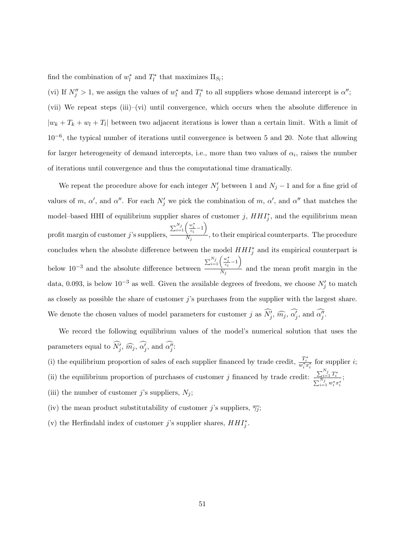find the combination of  $w_l^*$  and  $T_l^*$  that maximizes  $\Pi_{S_l}$ ;

(vi) If  $N''_j > 1$ , we assign the values of  $w_l^*$  and  $T_l^*$  to all suppliers whose demand intercept is  $\alpha''$ ; (vii) We repeat steps (iii)–(vi) until convergence, which occurs when the absolute difference in  $|w_k + T_k + w_l + T_l|$  between two adjacent iterations is lower than a certain limit. With a limit of 10−<sup>6</sup> , the typical number of iterations until convergence is between 5 and 20. Note that allowing for larger heterogeneity of demand intercepts, i.e., more than two values of  $\alpha_i$ , raises the number of iterations until convergence and thus the computational time dramatically.

We repeat the procedure above for each integer  $N'_j$  between 1 and  $N_j - 1$  and for a fine grid of values of m,  $\alpha'$ , and  $\alpha''$ . For each  $N'_j$  we pick the combination of m,  $\alpha'$ , and  $\alpha''$  that matches the model–based HHI of equilibrium supplier shares of customer j,  $HHI_j^*$ , and the equilibrium mean profit margin of customer  $j$ 's suppliers,  $\sum_{i=1}^{N_j} \bigg(\frac{w^*_i}{c_i} - 1\bigg)$  $\frac{\sqrt{a_i}}{N_j}$ , to their empirical counterparts. The procedure concludes when the absolute difference between the model  $HHI_j^*$  and its empirical counterpart is below  $10^{-3}$  and the absolute difference between  $\sum_{i=1}^{N_j} \bigg(\frac{w^*_i}{c_i} - 1\bigg)$  $\frac{N_i}{N_j}$  and the mean profit margin in the data, 0.093, is below  $10^{-3}$  as well. Given the available degrees of freedom, we choose  $N'_j$  to match as closely as possible the share of customer  $j$ 's purchases from the supplier with the largest share. We denote the chosen values of model parameters for customer j as  $N_j^i$ ,  $\widehat{m}_j$ ,  $\alpha_j^i$ , and  $\alpha_j^{i'}$ .

We record the following equilibrium values of the model's numerical solution that uses the parameters equal to  $N_j^j$ ,  $\widehat{m}_j$ ,  $\alpha'_j$ , and  $\alpha''_j$ :

(i) the equilibrium proportion of sales of each supplier financed by trade credit,  $\frac{T_i^*}{w_i^* x_i^*}$  for supplier *i*;

;

- (ii) the equilibrium proportion of purchases of customer j financed by trade credit:  $\frac{\sum_{i=1}^{N_j} T_i^*}{\sum_{i=1}^{N_j} w_i^* x_i^*}$
- (iii) the number of customer j's suppliers,  $N_j$ ;
- (iv) the mean product substitutability of customer j's suppliers,  $\overline{\gamma_j}$ ;
- (v) the Herfindahl index of customer j's supplier shares,  $HHI_j^*$ .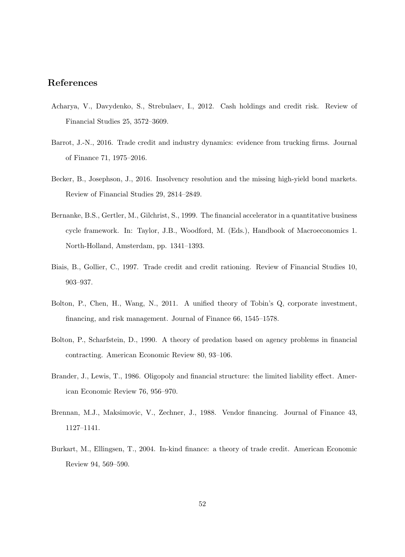# References

- Acharya, V., Davydenko, S., Strebulaev, I., 2012. Cash holdings and credit risk. Review of Financial Studies 25, 3572–3609.
- Barrot, J.-N., 2016. Trade credit and industry dynamics: evidence from trucking firms. Journal of Finance 71, 1975–2016.
- Becker, B., Josephson, J., 2016. Insolvency resolution and the missing high-yield bond markets. Review of Financial Studies 29, 2814–2849.
- Bernanke, B.S., Gertler, M., Gilchrist, S., 1999. The financial accelerator in a quantitative business cycle framework. In: Taylor, J.B., Woodford, M. (Eds.), Handbook of Macroeconomics 1. North-Holland, Amsterdam, pp. 1341–1393.
- Biais, B., Gollier, C., 1997. Trade credit and credit rationing. Review of Financial Studies 10, 903–937.
- Bolton, P., Chen, H., Wang, N., 2011. A unified theory of Tobin's Q, corporate investment, financing, and risk management. Journal of Finance 66, 1545–1578.
- Bolton, P., Scharfstein, D., 1990. A theory of predation based on agency problems in financial contracting. American Economic Review 80, 93–106.
- Brander, J., Lewis, T., 1986. Oligopoly and financial structure: the limited liability effect. American Economic Review 76, 956–970.
- Brennan, M.J., Maksimovic, V., Zechner, J., 1988. Vendor financing. Journal of Finance 43, 1127–1141.
- Burkart, M., Ellingsen, T., 2004. In-kind finance: a theory of trade credit. American Economic Review 94, 569–590.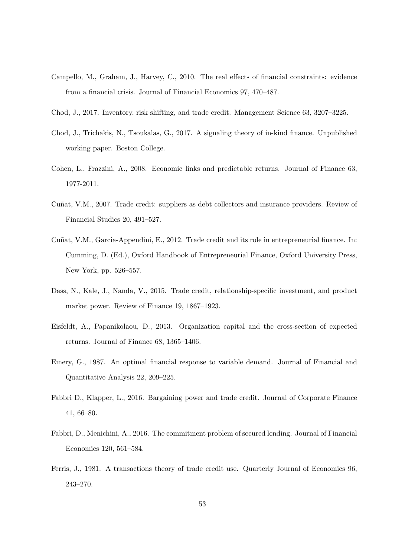- Campello, M., Graham, J., Harvey, C., 2010. The real effects of financial constraints: evidence from a financial crisis. Journal of Financial Economics 97, 470–487.
- Chod, J., 2017. Inventory, risk shifting, and trade credit. Management Science 63, 3207–3225.
- Chod, J., Trichakis, N., Tsoukalas, G., 2017. A signaling theory of in-kind finance. Unpublished working paper. Boston College.
- Cohen, L., Frazzini, A., 2008. Economic links and predictable returns. Journal of Finance 63, 1977-2011.
- Cuñat, V.M., 2007. Trade credit: suppliers as debt collectors and insurance providers. Review of Financial Studies 20, 491–527.
- Cu˜nat, V.M., Garcia-Appendini, E., 2012. Trade credit and its role in entrepreneurial finance. In: Cumming, D. (Ed.), Oxford Handbook of Entrepreneurial Finance, Oxford University Press, New York, pp. 526–557.
- Dass, N., Kale, J., Nanda, V., 2015. Trade credit, relationship-specific investment, and product market power. Review of Finance 19, 1867–1923.
- Eisfeldt, A., Papanikolaou, D., 2013. Organization capital and the cross-section of expected returns. Journal of Finance 68, 1365–1406.
- Emery, G., 1987. An optimal financial response to variable demand. Journal of Financial and Quantitative Analysis 22, 209–225.
- Fabbri D., Klapper, L., 2016. Bargaining power and trade credit. Journal of Corporate Finance 41, 66–80.
- Fabbri, D., Menichini, A., 2016. The commitment problem of secured lending. Journal of Financial Economics 120, 561–584.
- Ferris, J., 1981. A transactions theory of trade credit use. Quarterly Journal of Economics 96, 243–270.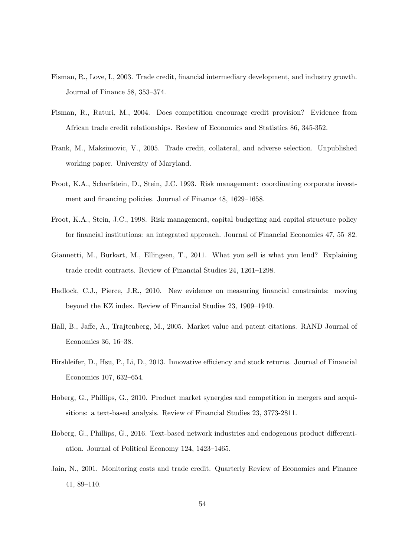- Fisman, R., Love, I., 2003. Trade credit, financial intermediary development, and industry growth. Journal of Finance 58, 353–374.
- Fisman, R., Raturi, M., 2004. Does competition encourage credit provision? Evidence from African trade credit relationships. Review of Economics and Statistics 86, 345-352.
- Frank, M., Maksimovic, V., 2005. Trade credit, collateral, and adverse selection. Unpublished working paper. University of Maryland.
- Froot, K.A., Scharfstein, D., Stein, J.C. 1993. Risk management: coordinating corporate investment and financing policies. Journal of Finance 48, 1629–1658.
- Froot, K.A., Stein, J.C., 1998. Risk management, capital budgeting and capital structure policy for financial institutions: an integrated approach. Journal of Financial Economics 47, 55–82.
- Giannetti, M., Burkart, M., Ellingsen, T., 2011. What you sell is what you lend? Explaining trade credit contracts. Review of Financial Studies 24, 1261–1298.
- Hadlock, C.J., Pierce, J.R., 2010. New evidence on measuring financial constraints: moving beyond the KZ index. Review of Financial Studies 23, 1909–1940.
- Hall, B., Jaffe, A., Trajtenberg, M., 2005. Market value and patent citations. RAND Journal of Economics 36, 16–38.
- Hirshleifer, D., Hsu, P., Li, D., 2013. Innovative efficiency and stock returns. Journal of Financial Economics 107, 632–654.
- Hoberg, G., Phillips, G., 2010. Product market synergies and competition in mergers and acquisitions: a text-based analysis. Review of Financial Studies 23, 3773-2811.
- Hoberg, G., Phillips, G., 2016. Text-based network industries and endogenous product differentiation. Journal of Political Economy 124, 1423–1465.
- Jain, N., 2001. Monitoring costs and trade credit. Quarterly Review of Economics and Finance 41, 89–110.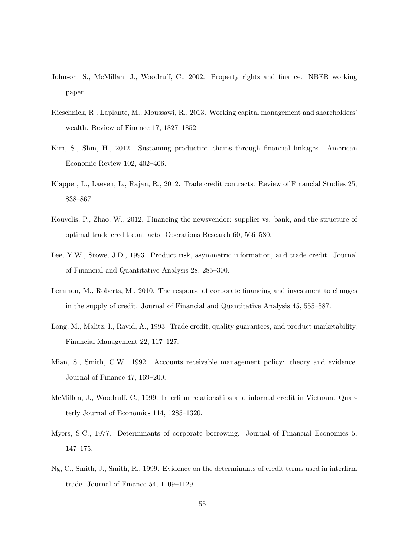- Johnson, S., McMillan, J., Woodruff, C., 2002. Property rights and finance. NBER working paper.
- Kieschnick, R., Laplante, M., Moussawi, R., 2013. Working capital management and shareholders' wealth. Review of Finance 17, 1827–1852.
- Kim, S., Shin, H., 2012. Sustaining production chains through financial linkages. American Economic Review 102, 402–406.
- Klapper, L., Laeven, L., Rajan, R., 2012. Trade credit contracts. Review of Financial Studies 25, 838–867.
- Kouvelis, P., Zhao, W., 2012. Financing the newsvendor: supplier vs. bank, and the structure of optimal trade credit contracts. Operations Research 60, 566–580.
- Lee, Y.W., Stowe, J.D., 1993. Product risk, asymmetric information, and trade credit. Journal of Financial and Quantitative Analysis 28, 285–300.
- Lemmon, M., Roberts, M., 2010. The response of corporate financing and investment to changes in the supply of credit. Journal of Financial and Quantitative Analysis 45, 555–587.
- Long, M., Malitz, I., Ravid, A., 1993. Trade credit, quality guarantees, and product marketability. Financial Management 22, 117–127.
- Mian, S., Smith, C.W., 1992. Accounts receivable management policy: theory and evidence. Journal of Finance 47, 169–200.
- McMillan, J., Woodruff, C., 1999. Interfirm relationships and informal credit in Vietnam. Quarterly Journal of Economics 114, 1285–1320.
- Myers, S.C., 1977. Determinants of corporate borrowing. Journal of Financial Economics 5, 147–175.
- Ng, C., Smith, J., Smith, R., 1999. Evidence on the determinants of credit terms used in interfirm trade. Journal of Finance 54, 1109–1129.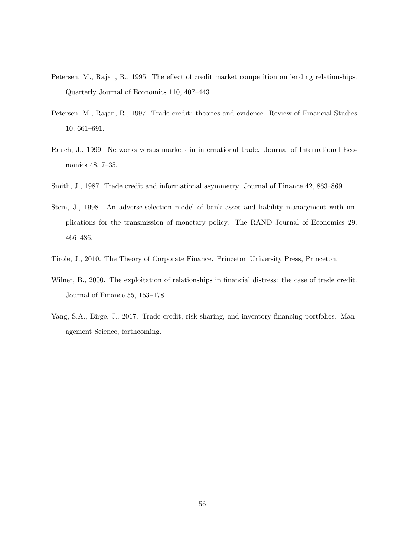- Petersen, M., Rajan, R., 1995. The effect of credit market competition on lending relationships. Quarterly Journal of Economics 110, 407–443.
- Petersen, M., Rajan, R., 1997. Trade credit: theories and evidence. Review of Financial Studies 10, 661–691.
- Rauch, J., 1999. Networks versus markets in international trade. Journal of International Economics 48, 7–35.
- Smith, J., 1987. Trade credit and informational asymmetry. Journal of Finance 42, 863–869.
- Stein, J., 1998. An adverse-selection model of bank asset and liability management with implications for the transmission of monetary policy. The RAND Journal of Economics 29, 466–486.
- Tirole, J., 2010. The Theory of Corporate Finance. Princeton University Press, Princeton.
- Wilner, B., 2000. The exploitation of relationships in financial distress: the case of trade credit. Journal of Finance 55, 153–178.
- Yang, S.A., Birge, J., 2017. Trade credit, risk sharing, and inventory financing portfolios. Management Science, forthcoming.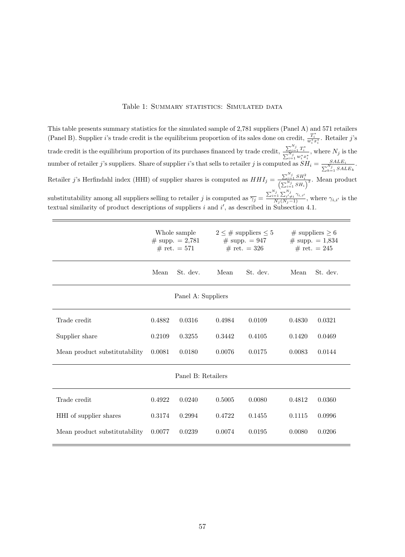### Table 1: SUMMARY STATISTICS: SIMULATED DATA

This table presents summary statistics for the simulated sample of 2,781 suppliers (Panel A) and 571 retailers (Panel B). Supplier *i*'s trade credit is the equilibrium proportion of its sales done on credit,  $\frac{T_i^*}{w_i^* x_i^*}$ . Retailer *j*'s trade credit is the equilibrium proportion of its purchases financed by trade credit,  $\frac{\sum_{i=1}^{N_j} T_i^*}{\sum_{i=1}^{N_j} w_i^* x_i^*}$ , where  $N_j$  is the number of retailer *j*'s suppliers. Share of supplier *i*'s that sells to retailer *j* is computed as  $SH_i = \frac{SALE_i}{\sum_{k=1}^{N_j} SALE_k}$ . Retailer *j*'s Herfindahl index (HHI) of supplier shares is computed as  $HHI_j = \frac{\sum_{i=1}^{N_j} SH_i^2}{\left(\sum_{i=1}^{N_j} SH_i\right)^2}$ . Mean product substitutability among all suppliers selling to retailer j is computed as  $\overline{\gamma_j}$  =  $\frac{\sum_{i=1}^{N_j} \sum_{i' \neq i}^{N_j} \gamma_{i,i'}}{N_j(N_j-1)}$ , where  $\gamma_{i,i'}$  is the textual similarity of product descriptions of suppliers  $i$  and  $i'$ , as described in Subsection 4.1.

|                               |        | Whole sample<br># supp. $= 2,781$<br># ret. $= 571$ |        | $2 \leq \text{\#}$ suppliers $\leq 5$<br># supp. $= 947$<br># ret. $= 326$ | # suppliers $\geq 6$<br># supp. $= 1,834$<br># ret. $= 245$ |          |  |  |  |  |  |
|-------------------------------|--------|-----------------------------------------------------|--------|----------------------------------------------------------------------------|-------------------------------------------------------------|----------|--|--|--|--|--|
|                               | Mean   | St. dev.                                            | Mean   | St. dev.                                                                   | Mean                                                        | St. dev. |  |  |  |  |  |
| Panel A: Suppliers            |        |                                                     |        |                                                                            |                                                             |          |  |  |  |  |  |
| Trade credit                  | 0.4882 | 0.0316                                              | 0.4984 | 0.0109                                                                     | 0.4830                                                      | 0.0321   |  |  |  |  |  |
| Supplier share                | 0.2109 | 0.3255                                              | 0.3442 | 0.4105                                                                     | 0.1420                                                      | 0.0469   |  |  |  |  |  |
| Mean product substitutability | 0.0081 | 0.0180                                              | 0.0076 | 0.0175                                                                     | 0.0083                                                      | 0.0144   |  |  |  |  |  |
|                               |        | Panel B: Retailers                                  |        |                                                                            |                                                             |          |  |  |  |  |  |
| Trade credit                  | 0.4922 | 0.0240                                              | 0.5005 | 0.0080                                                                     | 0.4812                                                      | 0.0360   |  |  |  |  |  |
| HHI of supplier shares        | 0.3174 | 0.2994                                              | 0.4722 | 0.1455                                                                     | 0.1115                                                      | 0.0996   |  |  |  |  |  |
| Mean product substitutability | 0.0077 | 0.0239                                              | 0.0074 | 0.0195                                                                     | 0.0080                                                      | 0.0206   |  |  |  |  |  |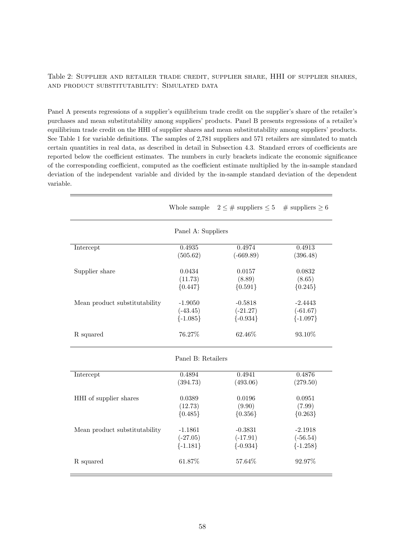### Table 2: Supplier and retailer trade credit, supplier share, HHI of supplier shares, and product substitutability: Simulated data

Panel A presents regressions of a supplier's equilibrium trade credit on the supplier's share of the retailer's purchases and mean substitutability among suppliers' products. Panel B presents regressions of a retailer's equilibrium trade credit on the HHI of supplier shares and mean substitutability among suppliers' products. See Table 1 for variable definitions. The samples of 2,781 suppliers and 571 retailers are simulated to match certain quantities in real data, as described in detail in Subsection 4.3. Standard errors of coefficients are reported below the coefficient estimates. The numbers in curly brackets indicate the economic significance of the corresponding coefficient, computed as the coefficient estimate multiplied by the in-sample standard deviation of the independent variable and divided by the in-sample standard deviation of the dependent variable.

|                               |                    | Whole sample $2 \leq \#$ suppliers $\leq 5$ $\#$ suppliers $\geq 6$ |            |
|-------------------------------|--------------------|---------------------------------------------------------------------|------------|
|                               | Panel A: Suppliers |                                                                     |            |
| Intercept                     | 0.4935             | 0.4974                                                              | 0.4913     |
|                               | (505.62)           | $(-669.89)$                                                         | (396.48)   |
| Supplier share                | 0.0434             | 0.0157                                                              | 0.0832     |
|                               | (11.73)            | (8.89)                                                              | (8.65)     |
|                               | ${0.447}$          | ${0.591}$                                                           | ${0.245}$  |
| Mean product substitutability | $-1.9050$          | $-0.5818$                                                           | $-2.4443$  |
|                               | $(-43.45)$         | $(-21.27)$                                                          | $(-61.67)$ |
|                               | ${-1.085}$         | ${-0.934}$                                                          | ${-1.097}$ |
| R squared                     | 76.27%             | 62.46%                                                              | 93.10%     |
|                               | Panel B: Retailers |                                                                     |            |
| Intercept                     | 0.4894             | 0.4941                                                              | 0.4876     |
|                               | (394.73)           | (493.06)                                                            | (279.50)   |
| HHI of supplier shares        | 0.0389             | 0.0196                                                              | 0.0951     |
|                               | (12.73)            | (9.90)                                                              | (7.99)     |
|                               | ${0.485}$          | ${0.356}$                                                           | ${0.263}$  |
| Mean product substitutability | $-1.1861$          | $-0.3831$                                                           | $-2.1918$  |
|                               | $(-27.05)$         | $(-17.91)$                                                          | $(-56.54)$ |
|                               | ${-1.181}$         | ${-0.934}$                                                          | ${-1.258}$ |
| R squared                     | 61.87%             | 57.64%                                                              | 92.97%     |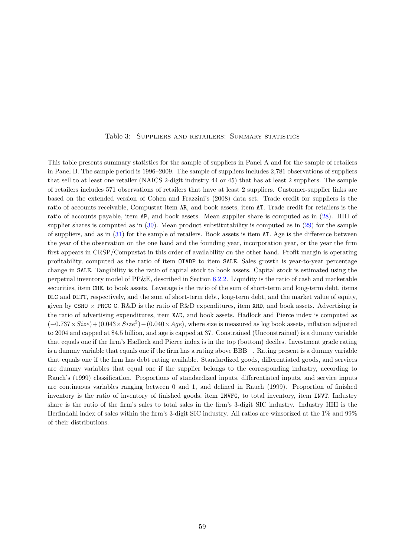#### Table 3: Suppliers and retailers: Summary statistics

This table presents summary statistics for the sample of suppliers in Panel A and for the sample of retailers in Panel B. The sample period is 1996–2009. The sample of suppliers includes 2,781 observations of suppliers that sell to at least one retailer (NAICS 2-digit industry 44 or 45) that has at least 2 suppliers. The sample of retailers includes 571 observations of retailers that have at least 2 suppliers. Customer-supplier links are based on the extended version of Cohen and Frazzini's (2008) data set. Trade credit for suppliers is the ratio of accounts receivable, Compustat item AR, and book assets, item AT. Trade credit for retailers is the ratio of accounts payable, item AP, and book assets. Mean supplier share is computed as in [\(28\)](#page-31-0). HHI of supplier shares is computed as in [\(30\)](#page-34-0). Mean product substitutability is computed as in [\(29\)](#page-32-0) for the sample of suppliers, and as in [\(31\)](#page-34-1) for the sample of retailers. Book assets is item AT. Age is the difference between the year of the observation on the one hand and the founding year, incorporation year, or the year the firm first appears in CRSP/Compustat in this order of availability on the other hand. Profit margin is operating profitability, computed as the ratio of item OIADP to item SALE. Sales growth is year-to-year percentage change in SALE. Tangibility is the ratio of capital stock to book assets. Capital stock is estimated using the perpetual inventory model of PP&E, described in Section [6.2.2.](#page-33-0) Liquidity is the ratio of cash and marketable securities, item CHE, to book assets. Leverage is the ratio of the sum of short-term and long-term debt, items DLC and DLTT, respectively, and the sum of short-term debt, long-term debt, and the market value of equity, given by CSHO  $\times$  PRCC\_C. R&D is the ratio of R&D expenditures, item XRD, and book assets. Advertising is the ratio of advertising expenditures, item XAD, and book assets. Hadlock and Pierce index is computed as  $(-0.737\times Size)+(0.043\times Size^2)-(0.040\times Age)$ , where size is measured as log book assets, inflation adjusted to 2004 and capped at \$4.5 billion, and age is capped at 37. Constrained (Unconstrained) is a dummy variable that equals one if the firm's Hadlock and Pierce index is in the top (bottom) deciles. Investment grade rating is a dummy variable that equals one if the firm has a rating above BBB−. Rating present is a dummy variable that equals one if the firm has debt rating available. Standardized goods, differentiated goods, and services are dummy variables that equal one if the supplier belongs to the corresponding industry, according to Rauch's (1999) classification. Proportions of standardized inputs, differentiated inputs, and service inputs are continuous variables ranging between 0 and 1, and defined in Rauch (1999). Proportion of finished inventory is the ratio of inventory of finished goods, item INVFG, to total inventory, item INVT. Industry share is the ratio of the firm's sales to total sales in the firm's 3-digit SIC industry. Industry HHI is the Herfindahl index of sales within the firm's 3-digit SIC industry. All ratios are winsorized at the 1% and 99% of their distributions.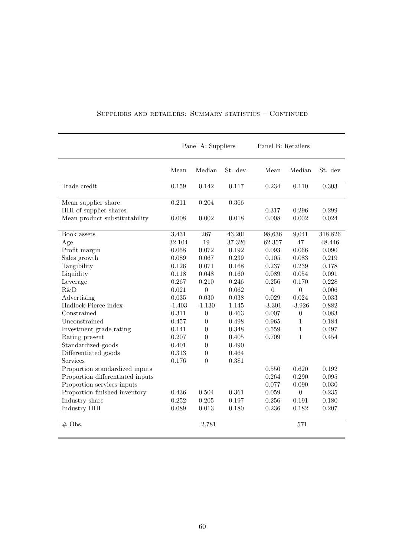|                                  |          | Panel A: Suppliers |          | Panel B: Retailers |                  |         |
|----------------------------------|----------|--------------------|----------|--------------------|------------------|---------|
|                                  | Mean     | Median             | St. dev. | Mean               | Median           | St. dev |
| Trade credit                     | 0.159    | 0.142              | 0.117    | 0.234              | 0.110            | 0.303   |
| Mean supplier share              | 0.211    | 0.204              | 0.366    |                    |                  |         |
| HHI of supplier shares           |          |                    |          | 0.317              | 0.296            | 0.299   |
| Mean product substitutability    | 0.008    | 0.002              | 0.018    | 0.008              | 0.002            | 0.024   |
| <b>Book</b> assets               | 3,431    | 267                | 43,201   | 98,636             | 9,041            | 318,826 |
| Age                              | 32.104   | 19                 | 37.326   | 62.357             | 47               | 48.446  |
| Profit margin                    | 0.058    | 0.072              | 0.192    | 0.093              | 0.066            | 0.090   |
| Sales growth                     | 0.089    | 0.067              | 0.239    | 0.105              | 0.083            | 0.219   |
| Tangibility                      | 0.126    | 0.071              | 0.168    | 0.237              | 0.239            | 0.178   |
| Liquidity                        | 0.118    | 0.048              | 0.160    | 0.089              | 0.054            | 0.091   |
| Leverage                         | 0.267    | 0.210              | 0.246    | 0.256              | 0.170            | 0.228   |
| R&D                              | 0.021    | $\overline{0}$     | 0.062    | $\overline{0}$     | $\overline{0}$   | 0.006   |
| Advertising                      | 0.035    | 0.030              | 0.038    | 0.029              | 0.024            | 0.033   |
| Hadlock-Pierce index             | $-1.403$ | $-1.130$           | 1.145    | $-3.301$           | $-3.926$         | 0.882   |
| Constrained                      | 0.311    | $\boldsymbol{0}$   | 0.463    | 0.007              | $\boldsymbol{0}$ | 0.083   |
| Unconstrained                    | 0.457    | $\overline{0}$     | 0.498    | 0.965              | $\mathbf{1}$     | 0.184   |
| Investment grade rating          | 0.141    | $\theta$           | 0.348    | 0.559              | $\mathbf{1}$     | 0.497   |
| Rating present                   | 0.207    | $\overline{0}$     | 0.405    | 0.709              | $\mathbf{1}$     | 0.454   |
| Standardized goods               | 0.401    | $\theta$           | 0.490    |                    |                  |         |
| Differentiated goods             | 0.313    | $\overline{0}$     | 0.464    |                    |                  |         |
| Services                         | 0.176    | $\overline{0}$     | 0.381    |                    |                  |         |
| Proportion standardized inputs   |          |                    |          | 0.550              | 0.620            | 0.192   |
| Proportion differentiated inputs |          |                    |          | 0.264              | 0.290            | 0.095   |
| Proportion services inputs       |          |                    |          | 0.077              | 0.090            | 0.030   |
| Proportion finished inventory    | 0.436    | 0.504              | 0.361    | 0.059              | $\boldsymbol{0}$ | 0.235   |
| Industry share                   | 0.252    | 0.205              | 0.197    | 0.256              | 0.191            | 0.180   |
| Industry HHI                     | 0.089    | 0.013              | 0.180    | 0.236              | 0.182            | 0.207   |
| $# \, \text{Obs}.$               |          | 2,781              |          |                    | $\overline{571}$ |         |

# SUPPLIERS AND RETAILERS: SUMMARY STATISTICS – CONTINUED

 $\equiv$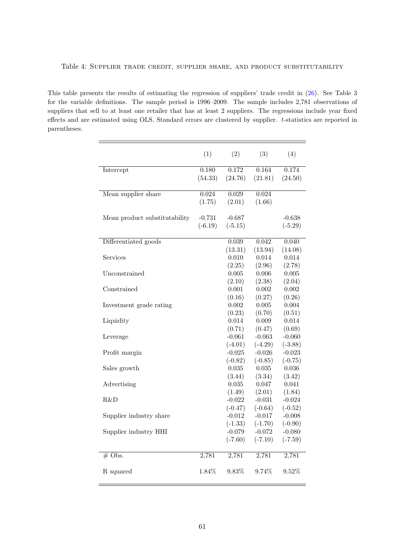#### Table 4: Supplier trade credit, supplier share, and product substitutability

This table presents the results of estimating the regression of suppliers' trade credit in [\(26\)](#page-30-0). See Table 3 for the variable definitions. The sample period is 1996–2009. The sample includes 2,781 observations of suppliers that sell to at least one retailer that has at least 2 suppliers. The regressions include year fixed effects and are estimated using OLS. Standard errors are clustered by supplier. t-statistics are reported in parentheses.

|                               | (1)       | (2)       | (3)       | (4)       |
|-------------------------------|-----------|-----------|-----------|-----------|
| Intercept                     | 0.180     | 0.172     | 0.164     | 0.174     |
|                               | (54.33)   | (24.76)   | (21.81)   | (24.50)   |
|                               |           |           |           |           |
| Mean supplier share           | 0.024     | 0.029     | 0.024     |           |
|                               | (1.75)    | (2.01)    | (1.66)    |           |
|                               |           |           |           |           |
| Mean product substitutability | $-0.731$  | $-0.687$  |           | $-0.638$  |
|                               | $(-6.19)$ | $(-5.15)$ |           | $(-5.29)$ |
|                               |           |           |           |           |
| Differentiated goods          |           | 0.039     | 0.042     | 0.040     |
|                               |           | (13.31)   | (13.94)   | (14.08)   |
| Services                      |           | 0.010     | 0.014     | 0.014     |
|                               |           | (2.25)    | (2.96)    | (2.78)    |
| Unconstrained                 |           | 0.005     | 0.006     | 0.005     |
|                               |           | (2.10)    | (2.38)    | (2.04)    |
| Constrained                   |           | 0.001     | 0.002     | 0.002     |
|                               |           | (0.16)    | (0.27)    | (0.26)    |
| Investment grade rating       |           | $0.002\,$ | $0.005\,$ | 0.004     |
|                               |           | (0.23)    | (0.70)    | (0.51)    |
| Liquidity                     |           | 0.014     | 0.009     | 0.014     |
|                               |           | (0.71)    | (0.47)    | (0.69)    |
| Leverage                      |           | $-0.061$  | $-0.063$  | $-0.060$  |
|                               |           | $(-4.01)$ | $(-4.29)$ | $(-3.88)$ |
| Profit margin                 |           | $-0.025$  | $-0.026$  | $-0.023$  |
|                               |           | $(-0.82)$ | $(-0.85)$ | $(-0.75)$ |
| Sales growth                  |           | 0.035     | 0.035     | 0.036     |
|                               |           | (3.44)    | (3.34)    | (3.42)    |
| Advertising                   |           | 0.035     | 0.047     | 0.041     |
|                               |           | (1.49)    | (2.01)    | (1.84)    |
| R&D                           |           | $-0.022$  | $-0.031$  | $-0.024$  |
|                               |           | $(-0.47)$ | $(-0.64)$ | $(-0.52)$ |
| Supplier industry share       |           | $-0.012$  | $-0.017$  | $-0.008$  |
|                               |           | $(-1.33)$ | $(-1.70)$ | $(-0.90)$ |
| Supplier industry HHI         |           | $-0.079$  | $-0.072$  | $-0.080$  |
|                               |           | $(-7.60)$ | $(-7.10)$ | $(-7.59)$ |
| $\overline{\text{\# Obs.}}$   | 2,781     | 2,781     | 2,781     | 2,781     |
| R squared                     | $1.84\%$  | $9.83\%$  | $9.74\%$  | $9.52\%$  |
|                               |           |           |           |           |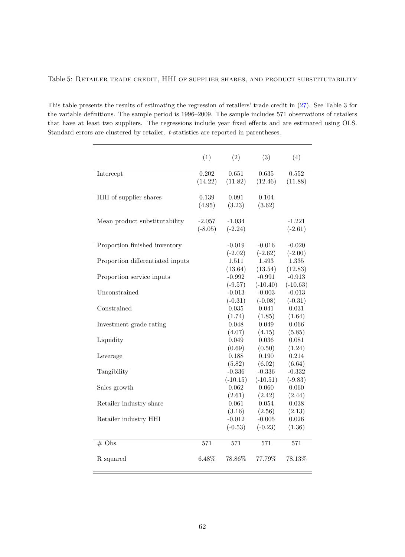### Table 5: Retailer trade credit, HHI of supplier shares, and product substitutability

This table presents the results of estimating the regression of retailers' trade credit in [\(27\)](#page-30-2). See Table 3 for the variable definitions. The sample period is 1996–2009. The sample includes 571 observations of retailers that have at least two suppliers. The regressions include year fixed effects and are estimated using OLS. Standard errors are clustered by retailer. t-statistics are reported in parentheses.

|                                  | (1)       | (2)        | (3)        | (4)        |
|----------------------------------|-----------|------------|------------|------------|
| Intercept                        | 0.202     | 0.651      | 0.635      | 0.552      |
|                                  | (14.22)   | (11.82)    | (12.46)    | (11.88)    |
|                                  |           |            |            |            |
| <b>HHI</b> of supplier shares    | 0.139     | 0.091      | 0.104      |            |
|                                  | (4.95)    | (3.23)     | (3.62)     |            |
|                                  |           |            |            |            |
| Mean product substitutability    | $-2.057$  | $-1.034$   |            | $-1.221$   |
|                                  | $(-8.05)$ | $(-2.24)$  |            | $(-2.61)$  |
|                                  |           |            |            |            |
| Proportion finished inventory    |           | $-0.019$   | $-0.016$   | $-0.020$   |
|                                  |           | $(-2.02)$  | $(-2.62)$  | $(-2.00)$  |
| Proportion differentiated inputs |           | 1.511      | 1.493      | 1.335      |
|                                  |           | (13.64)    | (13.54)    | (12.83)    |
| Proportion service inputs        |           | $-0.992$   | $-0.991$   | $-0.913$   |
|                                  |           | $(-9.57)$  | $(-10.40)$ | $(-10.63)$ |
| Unconstrained                    |           | $-0.013$   | $-0.003$   | $-0.013$   |
|                                  |           | $(-0.31)$  | $(-0.08)$  | $(-0.31)$  |
| Constrained                      |           | 0.035      | 0.041      | 0.031      |
|                                  |           | (1.74)     | (1.85)     | (1.64)     |
| Investment grade rating          |           | 0.048      | 0.049      | 0.066      |
|                                  |           | (4.07)     | (4.15)     | (5.85)     |
| Liquidity                        |           | 0.049      | 0.036      | 0.081      |
|                                  |           | (0.69)     | (0.50)     | (1.24)     |
| Leverage                         |           | 0.188      | 0.190      | 0.214      |
|                                  |           | (5.82)     | (6.02)     | (6.64)     |
| Tangibility                      |           | $-0.336$   | $-0.336$   | $-0.332$   |
|                                  |           | $(-10.15)$ | $(-10.51)$ | $(-9.83)$  |
| Sales growth                     |           | 0.062      | 0.060      | 0.060      |
|                                  |           | (2.61)     | (2.42)     | (2.44)     |
| Retailer industry share          |           | 0.061      | 0.054      | 0.038      |
|                                  |           | (3.16)     | (2.56)     | (2.13)     |
| Retailer industry HHI            |           | $-0.012$   | $-0.005$   | 0.026      |
|                                  |           | $(-0.53)$  | $(-0.23)$  | (1.36)     |
|                                  |           |            |            |            |
| $\overline{\text{\# Obs.}}$      | 571       | 571        | 571        | 571        |
| R squared                        | $6.48\%$  | 78.86%     | 77.79%     | 78.13%     |
|                                  |           |            |            |            |
|                                  |           |            |            |            |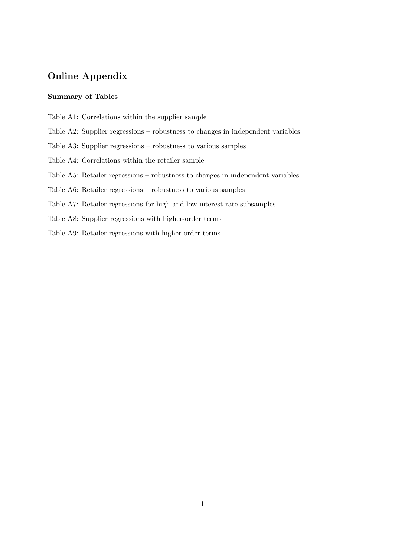# Online Appendix

### Summary of Tables

- Table A1: Correlations within the supplier sample
- Table A2: Supplier regressions robustness to changes in independent variables
- Table A3: Supplier regressions robustness to various samples
- Table A4: Correlations within the retailer sample
- Table A5: Retailer regressions robustness to changes in independent variables
- Table A6: Retailer regressions robustness to various samples
- Table A7: Retailer regressions for high and low interest rate subsamples
- Table A8: Supplier regressions with higher-order terms
- Table A9: Retailer regressions with higher-order terms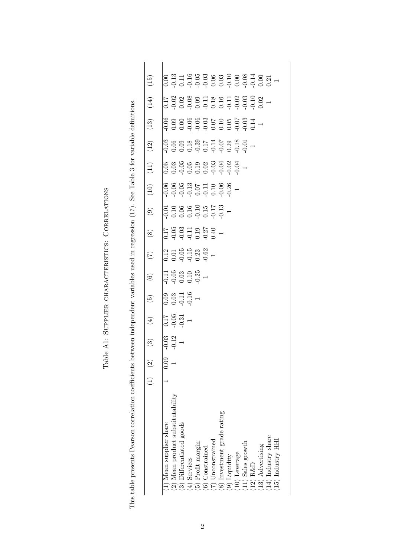Table A1: SUPPLIER CHARACTERISTICS: CORRELATIONS Table A1: Supplier characteristics: Correlations

| l                                                                                                            |   |
|--------------------------------------------------------------------------------------------------------------|---|
|                                                                                                              |   |
|                                                                                                              |   |
|                                                                                                              |   |
|                                                                                                              |   |
|                                                                                                              |   |
|                                                                                                              |   |
|                                                                                                              |   |
|                                                                                                              |   |
| ļ                                                                                                            |   |
|                                                                                                              |   |
|                                                                                                              |   |
|                                                                                                              |   |
| $\frac{1}{2}$                                                                                                |   |
|                                                                                                              |   |
| l                                                                                                            |   |
|                                                                                                              |   |
|                                                                                                              |   |
|                                                                                                              |   |
| $\overline{a}$                                                                                               |   |
|                                                                                                              |   |
|                                                                                                              |   |
|                                                                                                              |   |
|                                                                                                              |   |
|                                                                                                              |   |
| Ï                                                                                                            |   |
| I                                                                                                            |   |
|                                                                                                              |   |
|                                                                                                              |   |
| ;<br>;                                                                                                       |   |
|                                                                                                              |   |
| İ<br>l                                                                                                       |   |
|                                                                                                              |   |
|                                                                                                              |   |
|                                                                                                              |   |
|                                                                                                              |   |
|                                                                                                              |   |
|                                                                                                              |   |
|                                                                                                              |   |
|                                                                                                              |   |
|                                                                                                              |   |
|                                                                                                              |   |
|                                                                                                              |   |
|                                                                                                              |   |
| うりろ                                                                                                          |   |
| i                                                                                                            |   |
|                                                                                                              |   |
|                                                                                                              |   |
|                                                                                                              |   |
|                                                                                                              |   |
|                                                                                                              |   |
|                                                                                                              |   |
|                                                                                                              |   |
|                                                                                                              |   |
|                                                                                                              |   |
| J                                                                                                            |   |
|                                                                                                              |   |
|                                                                                                              |   |
| 5<br> <br> <br> <br>                                                                                         |   |
|                                                                                                              |   |
|                                                                                                              |   |
|                                                                                                              |   |
|                                                                                                              |   |
| せんそく てんこく しゅくてん こうしゃ くらく くらまき                                                                                |   |
|                                                                                                              |   |
|                                                                                                              |   |
| י<br>ו                                                                                                       |   |
|                                                                                                              |   |
|                                                                                                              |   |
| j                                                                                                            |   |
| :<br>:                                                                                                       |   |
|                                                                                                              |   |
| ĺ<br>י<br>ג<br>j                                                                                             |   |
|                                                                                                              |   |
|                                                                                                              |   |
|                                                                                                              |   |
| ֧֖֖ׅׅ֧ׅ֧֧ׅ֧֧֧֧֧֧֧֚֚֚֚֚֚֚֚֚֚֚֚֚֚֚֚֚֚֚֚֚֚֚֚֝֝֝֝֝֝֬֝֬֝֬֝֓֝֬֓֬֝֬֝֬֝֬֝֓֝֬֝֬֝֬֝֬֝֬֝֬֝֬֝֬֝֬֝֬֝֬֝֬֝֬֝֬֝֬֝֬<br>;<br>; |   |
|                                                                                                              |   |
|                                                                                                              |   |
| ֧֖֖֖֚֚֚֚֚֬֝֬                                                                                                 |   |
| l                                                                                                            |   |
| Contractor                                                                                                   |   |
|                                                                                                              |   |
| ;<br>;<br>;                                                                                                  |   |
| j<br>j                                                                                                       |   |
| l<br>j                                                                                                       |   |
| j                                                                                                            |   |
| $\overline{ }$                                                                                               |   |
| l<br>֚֓                                                                                                      |   |
| ļ                                                                                                            |   |
| ì                                                                                                            |   |
|                                                                                                              |   |
| j<br>j                                                                                                       |   |
| Ï<br>Ì<br>ł                                                                                                  |   |
|                                                                                                              | ı |
|                                                                                                              |   |
|                                                                                                              |   |
|                                                                                                              |   |
|                                                                                                              |   |
| )<br>2<br>2<br>2<br>2<br>2                                                                                   |   |
|                                                                                                              |   |
| ׇ֧֦֧֪֧֧֧֧֧֧֧֧֧ׅ֧֧֧֧֧֧ׅ֧֧֛֪ׅ֧֧֧֧֧֧֧֛֪ׅ֧֛֪ׅ֧֛֪ׅ֧֚֚֚֚֚֚֡֝֝֬֝֕֓֕֓֕֕֓֝֬֝֬֝֬֝֬֝֬֝֬֝֬֝֬֓֝֬֝֬֝֬֓֓֝֬֝֬<br>ׇ֚֓         |   |

| $\left(\overline{15}\right)$ |                         |                                     |                                                                                        |              |                   |                 |                  |                             |               |              |                   |            |                    |                       |                     |
|------------------------------|-------------------------|-------------------------------------|----------------------------------------------------------------------------------------|--------------|-------------------|-----------------|------------------|-----------------------------|---------------|--------------|-------------------|------------|--------------------|-----------------------|---------------------|
| (14)                         |                         |                                     |                                                                                        |              |                   |                 |                  |                             |               |              |                   |            |                    |                       |                     |
| (13)                         |                         |                                     | 1<br>1560 1660 1660 1660<br>1660 1660 1660 1660                                        |              |                   |                 |                  |                             |               |              |                   |            |                    |                       |                     |
| $\boxed{(12)}$               |                         |                                     | 00<br>0000380174503801<br>0000000000000                                                |              |                   |                 |                  |                             |               |              |                   |            |                    |                       |                     |
| (11)                         |                         |                                     |                                                                                        |              |                   |                 |                  |                             |               |              |                   |            |                    |                       |                     |
| (10)                         |                         |                                     |                                                                                        |              |                   |                 |                  |                             |               |              |                   |            |                    |                       |                     |
| $\circledcirc$               |                         |                                     | 0.01<br>0.10<br>0.10<br>0.15<br>0.17<br>0.13<br>0.13                                   |              |                   |                 |                  |                             |               |              |                   |            |                    |                       |                     |
| $\left( 8\right)$            |                         |                                     | $\frac{17}{0.17}$<br>$\frac{0.05}{0.03}$<br>$\frac{0.11}{0.19}$<br>$\frac{0.40}{0.40}$ |              |                   |                 |                  |                             |               |              |                   |            |                    |                       |                     |
| $\boxed{C}$                  |                         |                                     | $\begin{array}{c} 0.12 \\ 0.01 \\ 0.05 \\ 0.15 \\ 0.23 \\ 0.62 \\ 1 \end{array}$       |              |                   |                 |                  |                             |               |              |                   |            |                    |                       |                     |
| $\left( 6\right)$            |                         |                                     | $11.05$<br>0.03<br>0.03<br>0.25<br>1                                                   |              |                   |                 |                  |                             |               |              |                   |            |                    |                       |                     |
| $\left(\frac{5}{2}\right)$   |                         |                                     | $\begin{array}{c} 0.09 \\ 0.03 \\ -0.11 \\ 0.16 \end{array}$                           |              |                   |                 |                  |                             |               |              |                   |            |                    |                       |                     |
| $(4)$                        |                         |                                     | $\frac{17}{0.05}$<br>0.05<br>1.05                                                      |              |                   |                 |                  |                             |               |              |                   |            |                    |                       |                     |
| $\odot$                      |                         | $\frac{0.03}{0.12}$                 |                                                                                        |              |                   |                 |                  |                             |               |              |                   |            |                    |                       |                     |
| (1) (2)                      | 0.09                    |                                     |                                                                                        |              |                   |                 |                  |                             |               |              |                   |            |                    |                       |                     |
|                              |                         |                                     |                                                                                        |              |                   |                 |                  |                             |               |              |                   |            |                    |                       |                     |
|                              | (1) Mean supplier share | $(2)$ Mean product substitutability | (3) Differentiated goods                                                               | (4) Services | (5) Profit margin | (6) Constrained | 7) Unconstrained | (8) Investment grade rating | (9) Liquidity | 10) Leverage | (11) Sales growth | $(12)$ R&D | $(13)$ Advertising | $(14)$ Industry share | $(15)$ Industry HHI |

 $\mathbb{I}$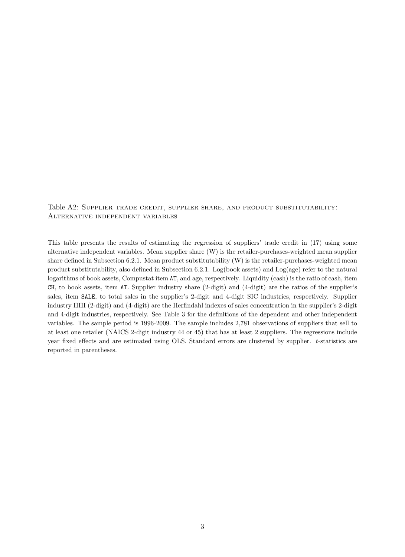### Table A2: Supplier trade credit, supplier share, and product substitutability: Alternative independent variables

This table presents the results of estimating the regression of suppliers' trade credit in (17) using some alternative independent variables. Mean supplier share (W) is the retailer-purchases-weighted mean supplier share defined in Subsection 6.2.1. Mean product substitutability (W) is the retailer-purchases-weighted mean product substitutability, also defined in Subsection 6.2.1. Log(book assets) and Log(age) refer to the natural logarithms of book assets, Compustat item AT, and age, respectively. Liquidity (cash) is the ratio of cash, item CH, to book assets, item AT. Supplier industry share (2-digit) and (4-digit) are the ratios of the supplier's sales, item SALE, to total sales in the supplier's 2-digit and 4-digit SIC industries, respectively. Supplier industry HHI (2-digit) and (4-digit) are the Herfindahl indexes of sales concentration in the supplier's 2-digit and 4-digit industries, respectively. See Table 3 for the definitions of the dependent and other independent variables. The sample period is 1996-2009. The sample includes 2,781 observations of suppliers that sell to at least one retailer (NAICS 2-digit industry 44 or 45) that has at least 2 suppliers. The regressions include year fixed effects and are estimated using OLS. Standard errors are clustered by supplier. t-statistics are reported in parentheses.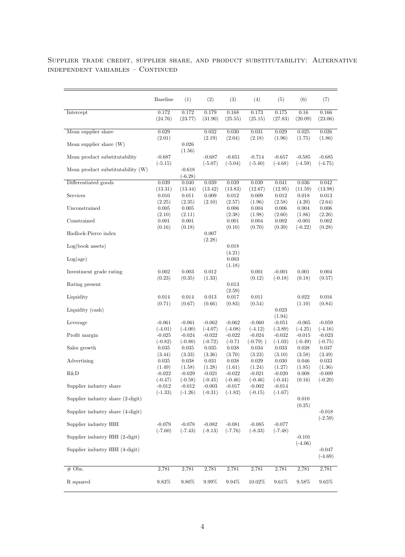# Supplier trade credit, supplier share, and product substitutability: Alternative independent variables – Continued

|                                   | <b>Baseline</b>       | (1)                   | (2)                   | (3)                   | (4)                   | (5)                   | (6)                   | (7)                   |
|-----------------------------------|-----------------------|-----------------------|-----------------------|-----------------------|-----------------------|-----------------------|-----------------------|-----------------------|
| Intercept                         | 0.172<br>(24.76)      | 0.172<br>(23.77)      | 0.179<br>(31.90)      | 0.168<br>(25.55)      | 0.173<br>(25.15)      | 0.175<br>(27.83)      | 0.16<br>(20.09)       | 0.166<br>(23.06)      |
| Mean supplier share               | 0.029                 |                       | 0.032                 | 0.030                 | 0.031                 | 0.029                 | 0.025                 | 0.026                 |
|                                   | (2.01)                |                       | (2.19)                | (2.04)                | (2.18)                | (1.96)                | (1.75)                | (1.86)                |
| Mean supplier share $(W)$         |                       | 0.026<br>(1.56)       |                       |                       |                       |                       |                       |                       |
| Mean product substitutability     | $-0.687$              |                       | $-0.687$              | $-0.651$              | $-0.714$              | $-0.657$              | $-0.585$              | $-0.685$              |
| Mean product substitutability (W) | $(-5.15)$             | $-0.618$<br>$(-6.28)$ | $(-5.07)$             | $(-5.04)$             | $(-5.40)$             | $(-4.68)$             | $(-4.59)$             | $(-4.75)$             |
| Differentiated goods              | 0.039                 | 0.040                 | 0.039                 | 0.039                 | 0.039                 | 0.041                 | 0.036                 | 0.042                 |
|                                   | (13.31)               | (13.44)               | (13.42)               | (13.83)               | (12.67)               | (12.95)               | (11.59)               | (13.98)               |
| Services                          | 0.010                 | 0.011                 | 0.009                 | 0.012                 | 0.009                 | 0.012                 | 0.018                 | 0.013                 |
| Unconstrained                     | (2.25)<br>0.005       | (2.35)<br>0.005       | (2.10)                | (2.57)<br>0.006       | (1.96)<br>0.004       | (2.58)<br>0.006       | (4.20)<br>0.004       | (2.64)<br>0.006       |
|                                   | (2.10)                | (2.11)                |                       | (2.38)                | (1.98)                | (2.60)                | (1.86)                | (2.26)                |
| Constrained                       | 0.001                 | 0.001                 |                       | 0.001                 | 0.004                 | 0.002                 | $-0.001$              | 0.002                 |
|                                   | (0.16)                | (0.18)                |                       | (0.10)                | (0.70)                | (0.39)                | $(-0.22)$             | (0.28)                |
| Hadlock-Pierce index              |                       |                       | 0.007                 |                       |                       |                       |                       |                       |
|                                   |                       |                       | (2.28)                |                       |                       |                       |                       |                       |
| Log(book assets)                  |                       |                       |                       | 0.018<br>(4.21)       |                       |                       |                       |                       |
| Log(age)                          |                       |                       |                       | $\,0.003\,$           |                       |                       |                       |                       |
|                                   |                       |                       |                       | (1.18)                |                       |                       |                       |                       |
| Investment grade rating           | 0.002                 | 0.003                 | 0.012                 |                       | 0.001                 | $-0.001$              | 0.001                 | 0.004                 |
|                                   | (0.23)                | (0.35)                | (1.33)                |                       | (0.12)                | $(-0.18)$             | (0.18)                | (0.57)                |
| Rating present                    |                       |                       |                       | 0.013<br>(2.59)       |                       |                       |                       |                       |
| Liquidity                         | 0.014                 | 0.014                 | 0.013                 | 0.017                 | 0.011                 |                       | 0.022                 | 0.016                 |
|                                   | (0.71)                | (0.67)                | (0.66)                | (0.83)                | (0.54)                |                       | (1.10)                | (0.84)                |
| Liquidity (cash)                  |                       |                       |                       |                       |                       | 0.023                 |                       |                       |
|                                   |                       |                       |                       |                       |                       | (1.94)                |                       |                       |
| Leverage                          | $-0.061$<br>$(-4.01)$ | $-0.061$<br>$(-4.00)$ | $-0.062$<br>$(-4.07)$ | $-0.062$<br>$(-4.08)$ | $-0.060$<br>$(-4.12)$ | $-0.051$<br>$(-3.89)$ | $-0.065$<br>$(-4.25)$ | $-0.059$<br>$(-4.16)$ |
| Profit margin                     | $-0.025$              | $-0.024$              | $-0.022$              | $-0.022$              | $-0.024$              | $-0.032$              | $-0.015$              | $-0.023$              |
|                                   | $(-0.82)$             | $(-0.80)$             | $(-0.72)$             | $(-0.71)$             | $(-0.79)$ )           | $(-1.03)$             | $(-0.49)$             | $(-0.75)$             |
| Sales growth                      | 0.035                 | 0.035                 | 0.035                 | 0.038                 | 0.034                 | 0.033                 | 0.038                 | 0.037                 |
|                                   | (3.44)                | (3.33)                | (3.36)                | (3.70)                | (3.23)                | (3.10)                | (3.58)                | (3.49)                |
| Advertising                       | 0.035                 | 0.038                 | 0.031                 | 0.038                 | 0.029                 | 0.030                 | 0.046                 | 0.033                 |
| R&D                               | (1.49)<br>$-0.022$    | (1.58)<br>$-0.029$    | (1.28)<br>$-0.021$    | (1.61)<br>$-0.022$    | (1.24)<br>$-0.021$    | (1.27)<br>$-0.020$    | (1.85)<br>0.008       | (1.36)<br>$-0.009$    |
|                                   | $(-0.47)$             | $(-0.58)$             | $(-0.45)$             | $(-0.46)$             | $(-0.46)$             | $(-0.44)$             | (0.16)                | $(-0.20)$             |
| Supplier industry share           | $-0.012$              | $-0.012$              | $-0.003$              | $-0.017$              | $-0.002$              | $-0.014$              |                       |                       |
|                                   | $(-1.33)$             | $(-1.26)$             | $(-0.31)$             | $(-1.82)$             | $(-0.15)$             | $(-1.67)$             |                       |                       |
| Supplier industry share (2-digit) |                       |                       |                       |                       |                       |                       | 0.010                 |                       |
| Supplier industry share (4-digit) |                       |                       |                       |                       |                       |                       | (0.25)                | $-0.018$              |
|                                   |                       |                       |                       |                       |                       |                       |                       | $(-2.59)$             |
| Supplier industry HHI             | $-0.079$              | $-0.078$              | $-0.082$              | $-0.081$              | $-0.085$              | $-0.077$              |                       |                       |
|                                   | $(-7.60)$             | $(-7.43)$             | $(-8.13)$             | $(-7.76)$             | $(-8.33)$             | $(-7.48)$             |                       |                       |
| Supplier industry HHI (2-digit)   |                       |                       |                       |                       |                       |                       | $-0.101$              |                       |
| Supplier industry HHI (4-digit)   |                       |                       |                       |                       |                       |                       | $(-4.06)$             | $-0.047$              |
|                                   |                       |                       |                       |                       |                       |                       |                       | $(-4.69)$             |
|                                   |                       |                       |                       |                       |                       |                       |                       |                       |
| $#$ Obs.                          | 2,781                 | 2,781                 | 2,781                 | 2,781                 | 2,781                 | 2,781                 | 2,781                 | 2,781                 |
| R squared                         | $9.83\%$              | $9.80\%$              | 9.99%                 | 9.94%                 | 10.02%                | 9.61%                 | 9.58%                 | 9.65%                 |
|                                   |                       |                       |                       |                       |                       |                       |                       |                       |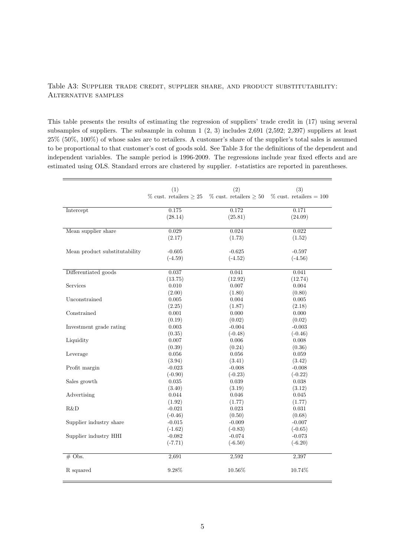### Table A3: Supplier trade credit, supplier share, and product substitutability: Alternative samples

This table presents the results of estimating the regression of suppliers' trade credit in (17) using several subsamples of suppliers. The subsample in column 1 (2, 3) includes 2,691 (2,592; 2,397) suppliers at least 25% (50%, 100%) of whose sales are to retailers. A customer's share of the supplier's total sales is assumed to be proportional to that customer's cost of goods sold. See Table 3 for the definitions of the dependent and independent variables. The sample period is 1996-2009. The regressions include year fixed effects and are estimated using OLS. Standard errors are clustered by supplier. t-statistics are reported in parentheses.

|                               | (1)<br>$\%$ cust. retailers $\geq 25$ | (2)<br>$\%$ cust. retailers $\geq 50$ | (3)<br>$\%$ cust. retailers = 100 |
|-------------------------------|---------------------------------------|---------------------------------------|-----------------------------------|
| Intercept                     | 0.175                                 | 0.172                                 | 0.171                             |
|                               | (28.14)                               | (25.81)                               | (24.09)                           |
| Mean supplier share           | 0.029                                 | 0.024                                 | 0.022                             |
|                               | (2.17)                                | (1.73)                                | (1.52)                            |
|                               |                                       |                                       |                                   |
| Mean product substitutability | $-0.605$                              | $-0.625$                              | $-0.597$                          |
|                               | $(-4.59)$                             | $(-4.52)$                             | $(-4.56)$                         |
|                               |                                       |                                       |                                   |
| Differentiated goods          | 0.037                                 | 0.041                                 | 0.041                             |
|                               | (13.75)                               | (12.92)                               | (12.74)                           |
| Services                      | 0.010                                 | 0.007                                 | 0.004                             |
|                               | (2.00)                                | (1.80)                                | (0.80)                            |
| Unconstrained                 | 0.005                                 | 0.004                                 | 0.005                             |
|                               | (2.25)                                | (1.87)                                | (2.18)                            |
| Constrained                   | 0.001                                 | 0.000                                 | 0.000                             |
|                               | (0.19)                                | (0.02)                                | (0.02)                            |
| Investment grade rating       | 0.003                                 | $-0.004$                              | $-0.003$                          |
|                               | (0.35)                                | $(-0.48)$                             | $(-0.46)$                         |
| Liquidity                     | 0.007                                 | 0.006                                 | 0.008                             |
|                               | (0.39)                                | (0.24)                                | (0.36)                            |
| Leverage                      | 0.056                                 | 0.056                                 | 0.059                             |
|                               | (3.94)                                | (3.41)                                | (3.42)                            |
| Profit margin                 | $-0.023$                              | $-0.008$                              | $-0.008$                          |
|                               | $(-0.90)$                             | $(-0.23)$                             | $(-0.22)$                         |
| Sales growth                  | 0.035                                 | 0.039                                 | 0.038                             |
|                               | (3.40)                                | (3.19)                                | (3.12)                            |
| Advertising                   | 0.044                                 | 0.046                                 | 0.045                             |
|                               | (1.92)                                | (1.77)                                | (1.77)                            |
| R&D                           | $-0.021$                              | 0.023                                 | 0.031                             |
|                               | $(-0.46)$                             | (0.50)                                | (0.68)                            |
| Supplier industry share       | $-0.015$                              | $-0.009$                              | $-0.007$                          |
|                               | $(-1.62)$                             | $(-0.83)$                             | $(-0.65)$                         |
| Supplier industry HHI         | $-0.082$                              | $-0.074$                              | $-0.073$                          |
|                               | $(-7.71)$                             | $(-6.50)$                             | $(-6.20)$                         |
| $\overline{\text{\# Obs.}}$   | 2,691                                 | 2,592                                 | 2,397                             |
| R squared                     | 9.28%                                 | 10.56%                                | 10.74%                            |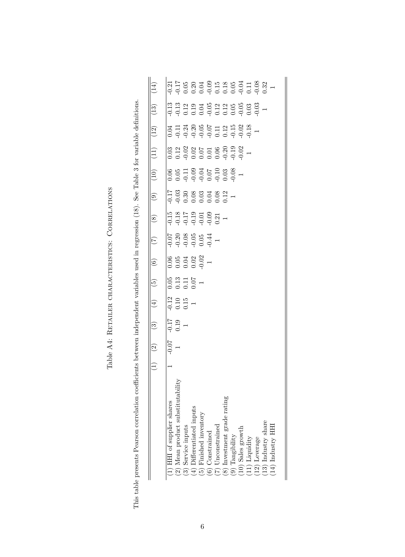|                                                           | $\widehat{\mathfrak{O}}$ | <u>ි</u>        | $\bigoplus$                                              | $\widetilde{5}$                                                  | $\odot$                                                                          | $\widetilde{C}$                                                          | $\circledast$ | $\circledcirc$ | (10)                                          | (11) | (12)                                                                                                                                                                                                                                                                      | $(13)$                             | (14)                                   |
|-----------------------------------------------------------|--------------------------|-----------------|----------------------------------------------------------|------------------------------------------------------------------|----------------------------------------------------------------------------------|--------------------------------------------------------------------------|---------------|----------------|-----------------------------------------------|------|---------------------------------------------------------------------------------------------------------------------------------------------------------------------------------------------------------------------------------------------------------------------------|------------------------------------|----------------------------------------|
| (1) HHI of supplier shares                                | $-0.07$                  |                 |                                                          |                                                                  |                                                                                  |                                                                          |               |                |                                               |      |                                                                                                                                                                                                                                                                           |                                    |                                        |
| $(2)$ Mean product substitutability                       | $\overline{a}$           | $-0.17$<br>0.19 |                                                          |                                                                  |                                                                                  |                                                                          |               |                |                                               |      |                                                                                                                                                                                                                                                                           |                                    |                                        |
| (3) Service inputs                                        |                          |                 | $\begin{array}{c} 0.12 \\ 0.10 \\ 0.15 \\ 1 \end{array}$ | $\begin{array}{c} 0.05 \\ 0.13 \\ 0.11 \\ 0.07 \\ 1 \end{array}$ | $\begin{array}{c} 0.06 \\ 0.05 \\ 0.01 \\ 0.02 \\ 0.01 \\ 0.02 \\ 1 \end{array}$ | $\begin{array}{c} 0.07 \\ 0.20 \\ 0.66 \\ 0.65 \\ 0.44 \\ 1 \end{array}$ |               | 17.388833821   | 0.05<br>0.05 0.05 0.06<br>0.09 0.07 0.09 0.09 |      | $\begin{array}{cccc}\n 0.011 & 0.000 & 0.000 & 0.000 & 0.000 & 0.000 & 0.000 & 0.000 & 0.000 & 0.000 & 0.000 & 0.000 & 0.000 & 0.000 & 0.000 & 0.000 & 0.000 & 0.000 & 0.000 & 0.000 & 0.000 & 0.000 & 0.000 & 0.000 & 0.000 & 0.000 & 0.000 & 0.000 & 0.000 & 0.000 & 0$ | 33<br>3333358335633<br>99009009090 | 1<br>1115883953851383<br>9000000000000 |
| Differentiated inputs<br>(4)                              |                          |                 |                                                          |                                                                  |                                                                                  |                                                                          |               |                |                                               |      |                                                                                                                                                                                                                                                                           |                                    |                                        |
| (5) Finished inventory                                    |                          |                 |                                                          |                                                                  |                                                                                  |                                                                          |               |                |                                               |      |                                                                                                                                                                                                                                                                           |                                    |                                        |
| (6) Constrained                                           |                          |                 |                                                          |                                                                  |                                                                                  |                                                                          |               |                |                                               |      |                                                                                                                                                                                                                                                                           |                                    |                                        |
| (7) Unconstrained                                         |                          |                 |                                                          |                                                                  |                                                                                  |                                                                          |               |                |                                               |      |                                                                                                                                                                                                                                                                           |                                    |                                        |
| (8) Investment grade rating                               |                          |                 |                                                          |                                                                  |                                                                                  |                                                                          |               |                |                                               |      |                                                                                                                                                                                                                                                                           |                                    |                                        |
| $(9)$ Tangibility                                         |                          |                 |                                                          |                                                                  |                                                                                  |                                                                          |               |                |                                               |      |                                                                                                                                                                                                                                                                           |                                    |                                        |
|                                                           |                          |                 |                                                          |                                                                  |                                                                                  |                                                                          |               |                |                                               |      |                                                                                                                                                                                                                                                                           |                                    |                                        |
| $(10)$ Sales growth $(11)$ Liquidity                      |                          |                 |                                                          |                                                                  |                                                                                  |                                                                          |               |                |                                               |      |                                                                                                                                                                                                                                                                           |                                    |                                        |
|                                                           |                          |                 |                                                          |                                                                  |                                                                                  |                                                                          |               |                |                                               |      |                                                                                                                                                                                                                                                                           |                                    |                                        |
| $(12)$ Leverage $(13)$ Industry share $(14)$ Industry HHI |                          |                 |                                                          |                                                                  |                                                                                  |                                                                          |               |                |                                               |      |                                                                                                                                                                                                                                                                           |                                    |                                        |
|                                                           |                          |                 |                                                          |                                                                  |                                                                                  |                                                                          |               |                |                                               |      |                                                                                                                                                                                                                                                                           |                                    |                                        |

Table A4: RETAILER CHARACTERISTICS: CORRELATIONS Table A4: Retailer characteristics: Correlations

6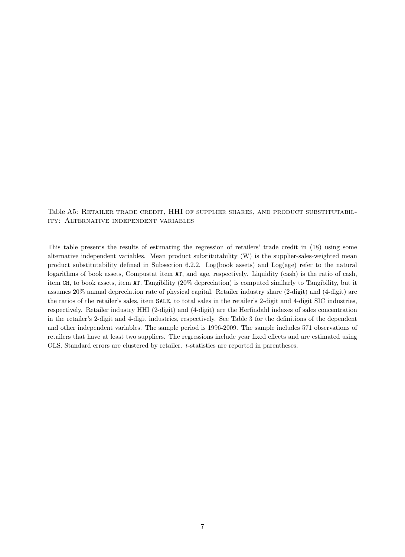### Table A5: Retailer trade credit, HHI of supplier shares, and product substitutability: Alternative independent variables

This table presents the results of estimating the regression of retailers' trade credit in (18) using some alternative independent variables. Mean product substitutability (W) is the supplier-sales-weighted mean product substitutability defined in Subsection 6.2.2. Log(book assets) and Log(age) refer to the natural logarithms of book assets, Compustat item AT, and age, respectively. Liquidity (cash) is the ratio of cash, item CH, to book assets, item AT. Tangibility (20% depreciation) is computed similarly to Tangibility, but it assumes 20% annual depreciation rate of physical capital. Retailer industry share (2-digit) and (4-digit) are the ratios of the retailer's sales, item SALE, to total sales in the retailer's 2-digit and 4-digit SIC industries, respectively. Retailer industry HHI (2-digit) and (4-digit) are the Herfindahl indexes of sales concentration in the retailer's 2-digit and 4-digit industries, respectively. See Table 3 for the definitions of the dependent and other independent variables. The sample period is 1996-2009. The sample includes 571 observations of retailers that have at least two suppliers. The regressions include year fixed effects and are estimated using OLS. Standard errors are clustered by retailer. t-statistics are reported in parentheses.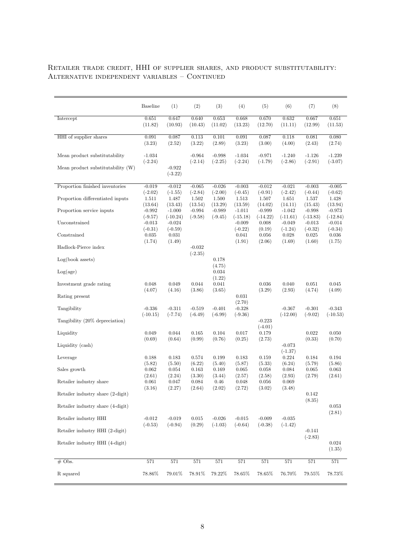# RETAILER TRADE CREDIT, HHI OF SUPPLIER SHARES, AND PRODUCT SUBSTITUTABILITY: Alternative independent variables – Continued

|                                   | <b>Baseline</b>        | (1)                    | (2)                   | (3)                   | (4)                    | (5)                    | (6)                    | (7)                    | (8)                    |
|-----------------------------------|------------------------|------------------------|-----------------------|-----------------------|------------------------|------------------------|------------------------|------------------------|------------------------|
| Intercept                         | 0.651<br>(11.82)       | 0.647<br>(10.93)       | 0.640<br>(10.43)      | 0.653<br>(11.02)      | 0.668<br>(13.23)       | 0.670<br>(12.70)       | 0.632<br>(11.11)       | 0.667<br>(12.99)       | 0.651<br>(11.53)       |
| HHI of supplier shares            | 0.091<br>(3.23)        | 0.087<br>(2.52)        | 0.113<br>(3.22)       | 0.101<br>(2.89)       | 0.091<br>(3.23)        | 0.087<br>(3.00)        | 0.118<br>(4.00)        | 0.081<br>(2.43)        | 0.080<br>(2.74)        |
| Mean product substitutability     | $-1.034$<br>$(-2.24)$  |                        | $-0.964$<br>$(-2.14)$ | $-0.998$<br>$(-2.25)$ | $-1.034$<br>$(-2.24)$  | $-0.971$<br>$(-1.79)$  | $-1.240$<br>$(-2.86)$  | $-1.126$<br>$(-2.91)$  | $-1.239$<br>$(-3.07)$  |
| Mean product substitutability (W) |                        | $-0.922$<br>$(-3.22)$  |                       |                       |                        |                        |                        |                        |                        |
| Proportion finished inventories   | $-0.019$<br>$(-2.02)$  | $-0.012$<br>$(-1.55)$  | $-0.065$<br>$(-2.84)$ | $-0.026$<br>$(-2.00)$ | $-0.003$<br>$(-0.45)$  | $-0.012$<br>$(-0.91)$  | $-0.021$<br>$(-2.42)$  | $-0.003$<br>$(-0.44)$  | $-0.005$<br>$(-0.62)$  |
| Proportion differentiated inputs  | 1.511<br>(13.64)       | 1.487<br>(13.43)       | 1.502<br>(13.54)      | 1.500<br>(13.29)      | 1.513<br>(13.59)       | 1.507<br>(14.02)       | 1.651<br>(14.11)       | 1.537<br>(15.43)       | 1.428<br>(13.94)       |
| Proportion service inputs         | $-0.992$<br>$(-9.57)$  | $-1.000$<br>$(-10.24)$ | $-0.994$<br>$(-9.58)$ | $-0.989$<br>$(-9.45)$ | $-1.011$<br>$(-15.18)$ | $-0.999$<br>$(-14.22)$ | $-1.042$<br>$(-11.61)$ | $-0.998$<br>$(-13.83)$ | $-0.973$<br>$(-12.84)$ |
| Unconstrained                     | $-0.013$<br>$(-0.31)$  | $-0.024$<br>$(-0.59)$  |                       |                       | $-0.009$<br>$(-0.22)$  | 0.008<br>(0.19)        | $-0.049$<br>$(-1.24)$  | $-0.013$<br>$(-0.32)$  | $-0.014$<br>$(-0.34)$  |
| Constrained                       | 0.035<br>(1.74)        | 0.031<br>(1.49)        |                       |                       | 0.041<br>(1.91)        | 0.056<br>(2.06)        | 0.028<br>(1.69)        | 0.025<br>(1.60)        | 0.036<br>(1.75)        |
| Hadlock-Pierce index              |                        |                        | $-0.032$<br>$(-2.35)$ |                       |                        |                        |                        |                        |                        |
| Log(book assets)                  |                        |                        |                       | 0.178<br>(4.75)       |                        |                        |                        |                        |                        |
| Log(age)                          |                        |                        |                       | 0.034<br>(1.22)       |                        |                        |                        |                        |                        |
| Investment grade rating           | 0.048<br>(4.07)        | 0.049<br>(4.16)        | 0.044<br>(3.86)       | 0.041<br>(3.65)       |                        | 0.036<br>(3.29)        | 0.040<br>(2.93)        | 0.051<br>(4.74)        | 0.045<br>(4.09)        |
| Rating present                    |                        |                        |                       |                       | 0.031<br>(2.70)        |                        |                        |                        |                        |
| Tangibility                       | $-0.336$<br>$(-10.15)$ | $-0.311$<br>$(-7.74)$  | $-0.519$<br>$(-6.49)$ | $-0.401$<br>$(-6.99)$ | $-0.328$<br>$(-9.36)$  |                        | $-0.367$<br>$(-12.00)$ | $-0.301$<br>$(-9.02)$  | $-0.343$<br>$(-10.53)$ |
| Tangibility (20% depreciation)    |                        |                        |                       |                       |                        | $-0.223$<br>$(-4.01)$  |                        |                        |                        |
| Liquidity                         | 0.049<br>(0.69)        | 0.044<br>(0.64)        | 0.165<br>(0.99)       | 0.104<br>(0.76)       | 0.017<br>(0.25)        | 0.179<br>(2.73)        |                        | 0.022<br>(0.33)        | 0.050<br>(0.70)        |
| Liquidity (cash)                  |                        |                        |                       |                       |                        |                        | $-0.073$<br>$(-1.37)$  |                        |                        |
| Leverage                          | 0.188<br>(5.82)        | 0.183<br>(5.50)        | 0.574<br>(6.22)       | 0.199<br>(5.40)       | 0.183<br>(5.87)        | 0.159<br>(5.33)        | 0.224<br>(6.24)        | 0.184<br>(5.79)        | 0.194<br>(5.86)        |
| Sales growth                      | 0.062<br>(2.61)        | 0.054<br>(2.24)        | 0.163<br>(3.30)       | 0.169<br>(3.44)       | 0.065<br>(2.57)        | 0.058<br>(2.58)        | 0.084<br>(2.93)        | 0.065<br>(2.79)        | 0.063<br>(2.61)        |
| Retailer industry share           | 0.061<br>(3.16)        | 0.047<br>(2.27)        | 0.084<br>(2.64)       | 0.46<br>(2.02)        | 0.048<br>(2.72)        | 0.056<br>(3.02)        | 0.069<br>(3.48)        |                        |                        |
| Retailer industry share (2-digit) |                        |                        |                       |                       |                        |                        |                        | 0.142<br>(8.35)        |                        |
| Retailer industry share (4-digit) |                        |                        |                       |                       |                        |                        |                        |                        | 0.053<br>(2.81)        |
| Retailer industry HHI             | $-0.012$<br>$(-0.53)$  | $-0.019$<br>$(-0.94)$  | 0.015<br>(0.29)       | $-0.026$<br>$(-1.03)$ | $-0.015$<br>$(-0.64)$  | $-0.009$<br>$(-0.38)$  | $-0.035$<br>$(-1.42)$  |                        |                        |
| Retailer industry HHI (2-digit)   |                        |                        |                       |                       |                        |                        |                        | $-0.141$<br>$(-2.83)$  |                        |
| Retailer industry HHI (4-digit)   |                        |                        |                       |                       |                        |                        |                        |                        | 0.024<br>(1.35)        |
| $#$ Obs.                          | 571                    | 571                    | 571                   | 571                   | 571                    | 571                    | 571                    | 571                    | 571                    |
| R squared                         | 78.86%                 | 79.01%                 | 78.91%                | 79.22%                | 78.65%                 | 78.65%                 | 76.70%                 | $79.55\%$              | 78.73%                 |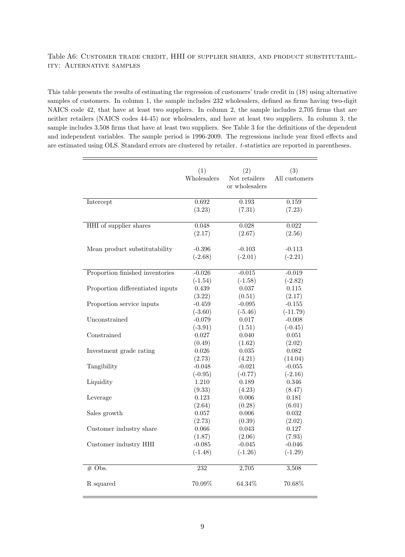## Table A6: CUSTOMER TRADE CREDIT, HHI OF SUPPLIER SHARES, AND PRODUCT SUBSTITUTABILity: Alternative samples

This table presents the results of estimating the regression of customers' trade credit in (18) using alternative samples of customers. In column 1, the sample includes 232 wholesalers, defined as firms having two-digit NAICS code 42, that have at least two suppliers. In column 2, the sample includes 2,705 firms that are neither retailers (NAICS codes 44-45) nor wholesalers, and have at least two suppliers. In column 3, the sample includes 3,508 firms that have at least two suppliers. See Table 3 for the definitions of the dependent and independent variables. The sample period is 1996-2009. The regressions include year fixed effects and are estimated using OLS. Standard errors are clustered by retailer. t-statistics are reported in parentheses.

|                                  | (1)<br>Wholesalers | (2)<br>Not retailers<br>or wholesalers | (3)<br>All customers |
|----------------------------------|--------------------|----------------------------------------|----------------------|
| Intercept                        | 0.692              | 0.193                                  | 0.159                |
|                                  | (3.23)             | (7.31)                                 | (7.23)               |
| <b>HHI</b> of supplier shares    | 0.048              | 0.028                                  | 0.022                |
|                                  | (2.17)             | (2.67)                                 | (2.56)               |
| Mean product substitutability    | $-0.396$           | $-0.103$                               | $-0.113$             |
|                                  | $(-2.68)$          | $(-2.01)$                              | $(-2.21)$            |
| Proportion finished inventories  | $-0.026$           | $-0.015$                               | $-0.019$             |
|                                  | $(-1.54)$          | $(-1.58)$                              | $(-2.82)$            |
| Proportion differentiated inputs | 0.439              | 0.037                                  | 0.115                |
|                                  | (3.22)             | (0.51)                                 | (2.17)               |
| Proportion service inputs        | $-0.459$           | $-0.095$                               | $-0.155$             |
|                                  | $(-3.60)$          | $(-5.46)$                              | $(-11.79)$           |
| Unconstrained                    | $-0.079$           | 0.017                                  | $-0.008$             |
|                                  | $(-3.91)$          | (1.51)                                 | $(-0.45)$            |
| Constrained                      | 0.027              | 0.040                                  | 0.051                |
|                                  | (0.49)             | (1.62)                                 | (2.02)               |
| Investment grade rating          | 0.026              | 0.035                                  | 0.082                |
|                                  | (2.73)             | (4.21)                                 | (14.04)              |
| Tangibility                      | $-0.048$           | $-0.021$                               | $-0.055$             |
|                                  | $(-0.95)$          | $(-0.77)$                              | $(-2.16)$            |
| Liquidity                        | 1.210              | 0.189                                  | 0.346                |
|                                  | (9.33)             | (4.23)                                 | (8.47)               |
| Leverage                         | 0.123              | 0.006                                  | 0.181                |
|                                  | (2.64)             | (0.28)                                 | (6.01)               |
| Sales growth                     | 0.057              | 0.006                                  | 0.032                |
|                                  | (2.73)             | (0.39)                                 | (2.02)               |
| Customer industry share          | 0.066              | 0.043                                  | 0.127                |
|                                  | (1.87)             | (2.06)                                 | (7.93)               |
| Customer industry HHI            | $-0.085$           | $-0.045$                               | $-0.046$             |
|                                  | $(-1.48)$          | $(-1.26)$                              | $(-1.29)$            |
| $# \overline{Obs}.$              | 232                | 2,705                                  | 3,508                |
| R squared                        | 70.09%             | 64.34%                                 | 70.68%               |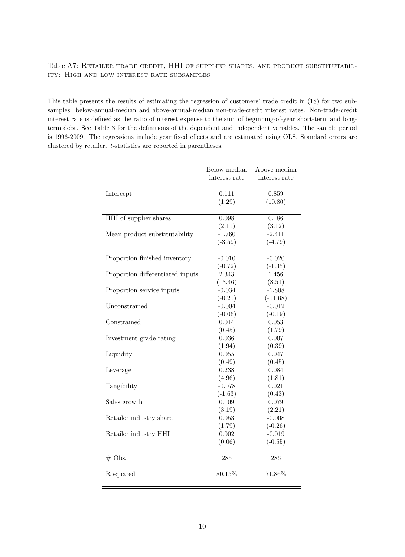## Table A7: RETAILER TRADE CREDIT, HHI OF SUPPLIER SHARES, AND PRODUCT SUBSTITUTABILity: High and low interest rate subsamples

This table presents the results of estimating the regression of customers' trade credit in (18) for two subsamples: below-annual-median and above-annual-median non-trade-credit interest rates. Non-trade-credit interest rate is defined as the ratio of interest expense to the sum of beginning-of-year short-term and longterm debt. See Table 3 for the definitions of the dependent and independent variables. The sample period is 1996-2009. The regressions include year fixed effects and are estimated using OLS. Standard errors are clustered by retailer. t-statistics are reported in parentheses.

|                                  | Below-median<br>interest rate | Above-median<br>interest rate |  |
|----------------------------------|-------------------------------|-------------------------------|--|
| Intercept                        | 0.111                         | 0.859                         |  |
|                                  | (1.29)                        | (10.80)                       |  |
|                                  |                               |                               |  |
| HHI of supplier shares           | 0.098                         | 0.186                         |  |
|                                  | (2.11)                        | (3.12)                        |  |
| Mean product substitutability    | $-1.760$                      | $-2.411$                      |  |
|                                  | $(-3.59)$                     | $(-4.79)$                     |  |
|                                  |                               |                               |  |
| Proportion finished inventory    | $-0.010$                      | $-0.020$                      |  |
|                                  | $(-0.72)$                     | $(-1.35)$                     |  |
| Proportion differentiated inputs | 2.343                         | 1.456                         |  |
|                                  | (13.46)                       | (8.51)                        |  |
| Proportion service inputs        | $-0.034$                      | $-1.808$                      |  |
|                                  | $(-0.21)$                     | $(-11.68)$                    |  |
| Unconstrained                    | $-0.004$                      | $-0.012$                      |  |
|                                  | $(-0.06)$                     | $(-0.19)$                     |  |
| Constrained                      | 0.014                         | 0.053                         |  |
|                                  | (0.45)                        | (1.79)                        |  |
| Investment grade rating          | 0.036                         | 0.007                         |  |
|                                  | (1.94)                        | (0.39)                        |  |
| Liquidity                        | 0.055                         | 0.047                         |  |
|                                  | (0.49)                        | (0.45)                        |  |
| Leverage                         | 0.238                         | 0.084                         |  |
|                                  | (4.96)                        | (1.81)                        |  |
| Tangibility                      | $-0.078$                      | 0.021                         |  |
|                                  | $(-1.63)$                     | (0.43)                        |  |
| Sales growth                     | 0.109                         | 0.079                         |  |
|                                  | (3.19)                        | (2.21)                        |  |
| Retailer industry share          | 0.053                         | $-0.008$                      |  |
|                                  | (1.79)                        | $(-0.26)$                     |  |
| Retailer industry HHI            | 0.002                         | $-0.019$                      |  |
|                                  | (0.06)                        | $(-0.55)$                     |  |
|                                  |                               |                               |  |
| $\overline{\text{\# Obs.}}$      | 285                           | 286                           |  |
| R squared                        | 80.15%                        | 71.86%                        |  |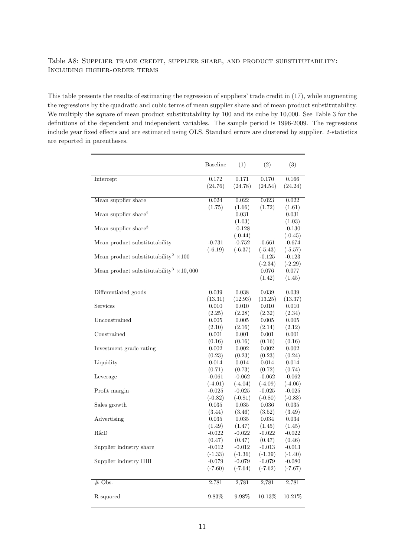## Table A8: Supplier trade credit, supplier share, and product substitutability: Including higher-order terms

This table presents the results of estimating the regression of suppliers' trade credit in (17), while augmenting the regressions by the quadratic and cubic terms of mean supplier share and of mean product substitutability. We multiply the square of mean product substitutability by 100 and its cube by 10,000. See Table 3 for the definitions of the dependent and independent variables. The sample period is 1996-2009. The regressions include year fixed effects and are estimated using OLS. Standard errors are clustered by supplier. t-statistics are reported in parentheses.

|                                                            | <b>Baseline</b> | (1)                | (2)                   | (3)                   |
|------------------------------------------------------------|-----------------|--------------------|-----------------------|-----------------------|
| Intercept                                                  | 0.172           | 0.171              | 0.170                 | 0.166                 |
|                                                            | (24.76)         | (24.78)            | (24.54)               | (24.24)               |
| Mean supplier share                                        | 0.024           | 0.022              | 0.023                 | 0.022                 |
|                                                            | (1.75)          | (1.66)             | (1.72)                | (1.61)                |
| Mean supplier share $2$                                    |                 | 0.031              |                       | 0.031                 |
|                                                            |                 | (1.03)             |                       | (1.03)                |
| Mean supplier share <sup>3</sup>                           |                 | $-0.128$           |                       | $-0.130$              |
|                                                            | $-0.731$        | $(-0.44)$          | $-0.661$              | $(-0.45)$<br>$-0.674$ |
| Mean product substitutability                              |                 | $-0.752$           |                       |                       |
| Mean product substitutability <sup>2</sup> $\times$ 100    | $(-6.19)$       | $(-6.37)$          | $(-5.43)$<br>$-0.125$ | $(-5.57)$<br>$-0.123$ |
|                                                            |                 |                    | $(-2.34)$             | $(-2.29)$             |
| Mean product substitutability <sup>3</sup> $\times$ 10,000 |                 |                    | 0.076                 | 0.077                 |
|                                                            |                 |                    | (1.42)                | (1.45)                |
|                                                            |                 |                    |                       |                       |
| Differentiated goods                                       | 0.039           | 0.038              | 0.039                 | 0.039                 |
|                                                            | (13.31)         | (12.93)            | (13.25)               | (13.37)               |
| Services                                                   | 0.010           | 0.010              | 0.010                 | 0.010                 |
|                                                            | (2.25)          | (2.28)             | (2.32)                | (2.34)                |
| Unconstrained                                              | 0.005           | 0.005              | 0.005                 | 0.005                 |
|                                                            | (2.10)          | (2.16)             | (2.14)                | (2.12)                |
| Constrained                                                | 0.001           | 0.001              | 0.001                 | 0.001                 |
|                                                            | (0.16)          | (0.16)             | (0.16)                | (0.16)                |
| Investment grade rating                                    | 0.002           | 0.002              | 0.002                 | 0.002                 |
|                                                            | (0.23)          | (0.23)             | (0.23)                | (0.24)                |
| Liquidity                                                  | 0.014           | 0.014              | 0.014                 | 0.014                 |
|                                                            | (0.71)          | (0.73)             | (0.72)                | (0.74)                |
| Leverage                                                   | $-0.061$        | $-0.062$           | $-0.062$              | $-0.062$              |
|                                                            | $(-4.01)$       | $(-4.04)$          | $(-4.09)$             | $(-4.06)$             |
| Profit margin                                              | $-0.025$        | $-0.025$           | $-0.025$              | $-0.025$              |
|                                                            | $(-0.82)$       | $(-0.81)$<br>0.035 | $(-0.80)$<br>0.036    | $(-0.83)$<br>0.035    |
| Sales growth                                               | 0.035<br>(3.44) | (3.46)             | (3.52)                | (3.49)                |
| Advertising                                                | 0.035           | 0.035              | 0.034                 | 0.034                 |
|                                                            | (1.49)          | (1.47)             | (1.45)                | (1.45)                |
| R&D                                                        | $-0.022$        | $-0.022$           | $-0.022$              | $-0.022$              |
|                                                            | (0.47)          | (0.47)             | (0.47)                | (0.46)                |
| Supplier industry share                                    | $-0.012$        | $-0.012$           | $-0.013$              | $-0.013$              |
|                                                            | $(-1.33)$       | $(-1.36)$          | $(-1.39)$             | $(-1.40)$             |
| Supplier industry HHI                                      | $-0.079$        | $-0.079$           | $-0.079$              | $-0.080$              |
|                                                            | $(-7.60)$       | $(-7.64)$          | $(-7.62)$             | $(-7.67)$             |
|                                                            |                 |                    |                       |                       |
| $\overline{\text{\# Obs.}}$                                | 2,781           | 2,781              | 2,781                 | 2,781                 |
| R squared                                                  | $9.83\%$        | $9.98\%$           | $10.13\%$             | $10.21\%$             |